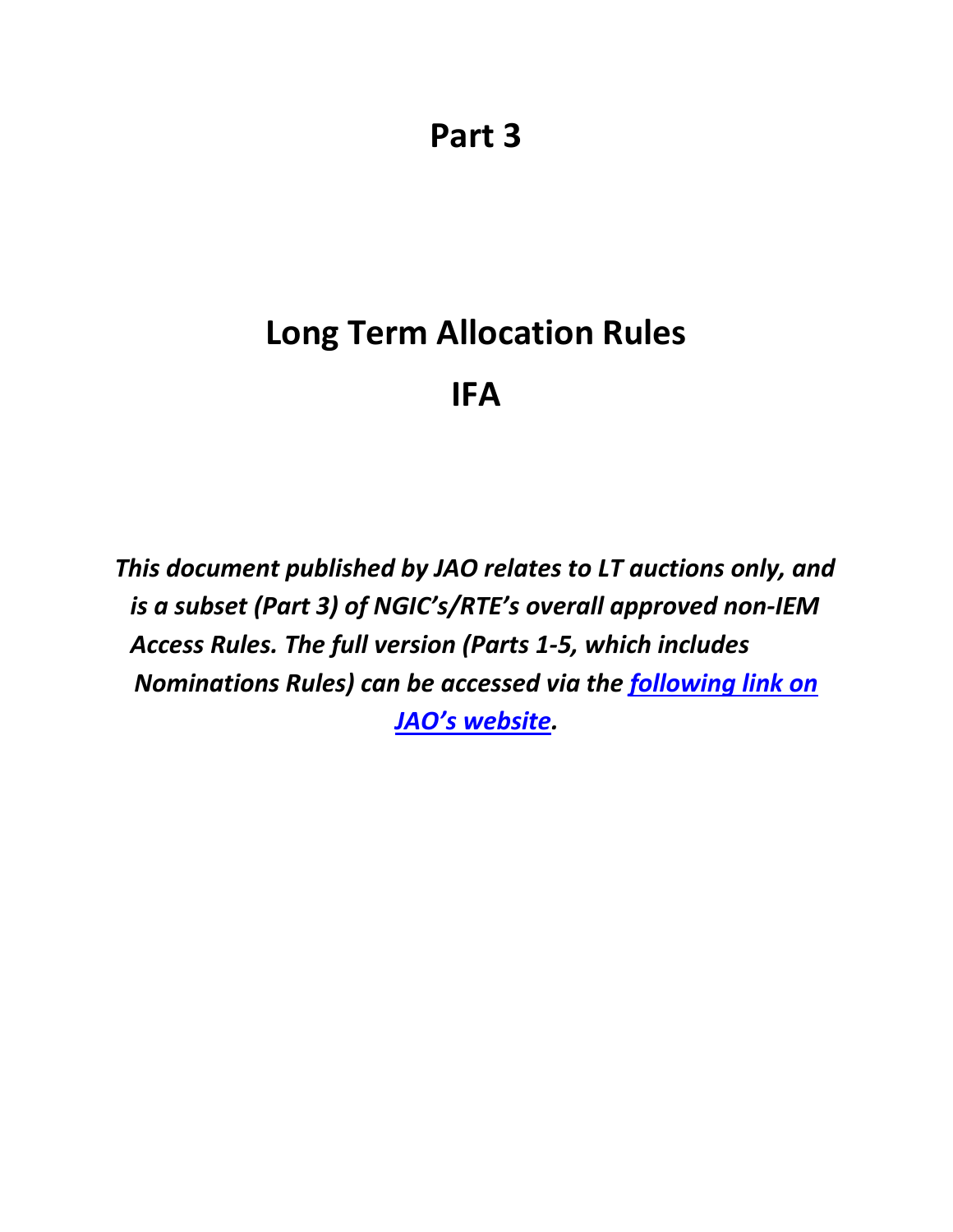# **Long Term Allocation Rules IFA**

*This document published by JAO relates to LT auctions only, and is a subset (Part 3) of NGIC's/RTE's overall approved non-IEM Access Rules. The full version (Parts 1-5, which includes Nominations Rules) can be accessed via the [following](http://www.jao.eu/support/resourcecenter/overview?parameters=%7B%22IsIFA%22%3A%22True%22%7D) [link on](http://www.jao.eu/support/resourcecenter/overview?parameters=%7B%22IsIFA%22%3A%22True%22%7D) [JAO's website.](http://www.jao.eu/support/resourcecenter/overview?parameters=%7B%22IsIFA%22%3A%22True%22%7D)*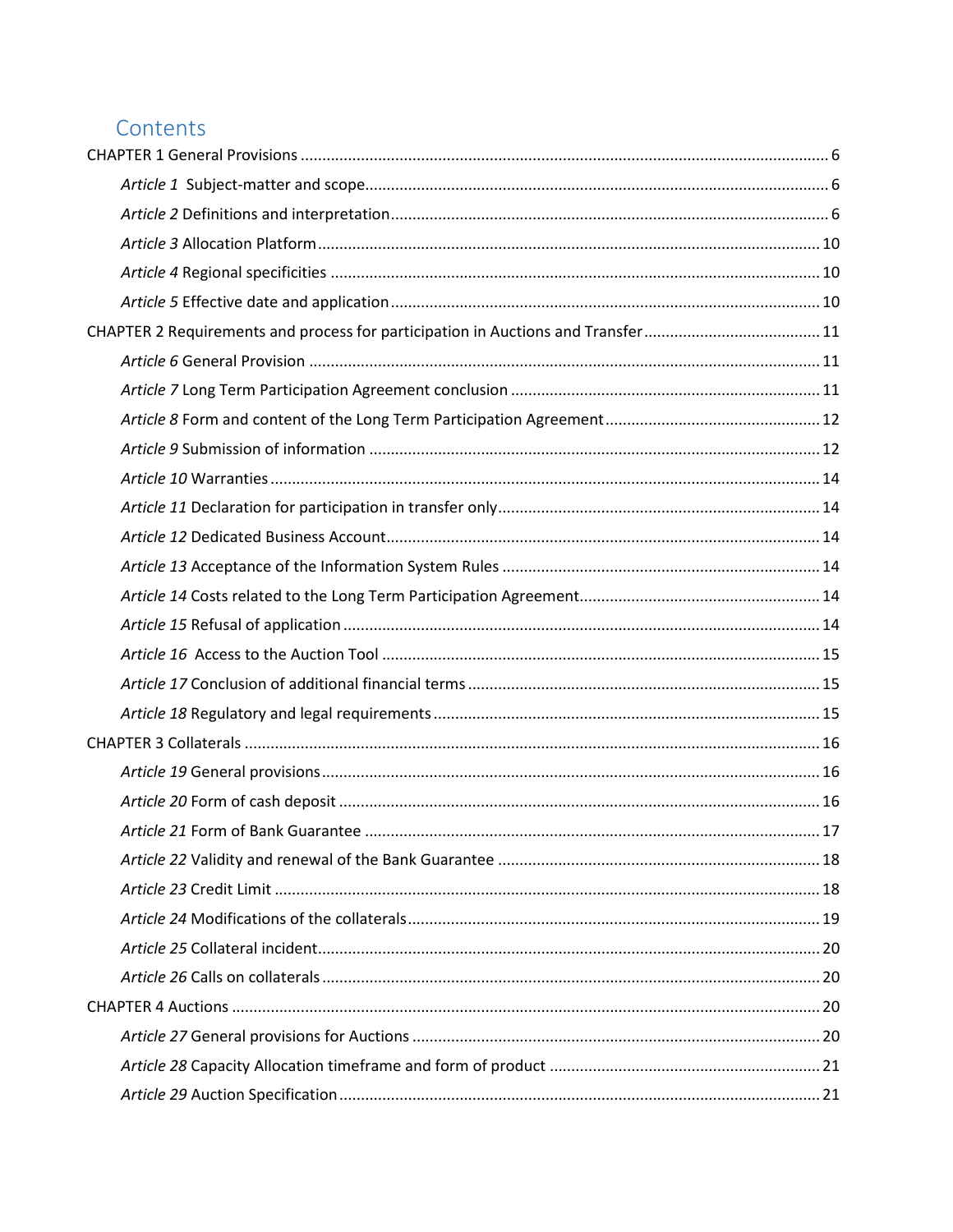# Contents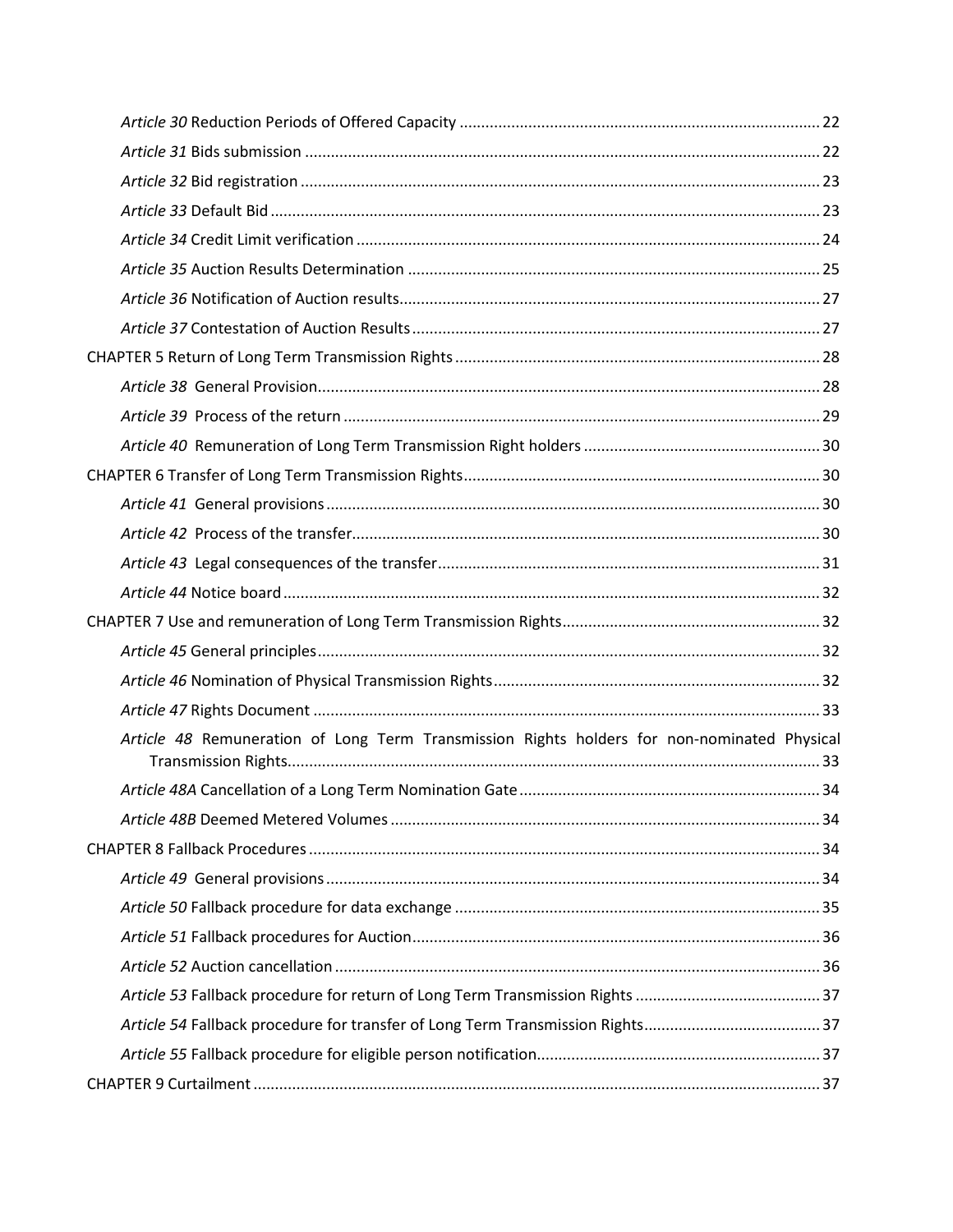| Article 48 Remuneration of Long Term Transmission Rights holders for non-nominated Physical |  |
|---------------------------------------------------------------------------------------------|--|
|                                                                                             |  |
|                                                                                             |  |
|                                                                                             |  |
|                                                                                             |  |
|                                                                                             |  |
|                                                                                             |  |
|                                                                                             |  |
|                                                                                             |  |
|                                                                                             |  |
|                                                                                             |  |
|                                                                                             |  |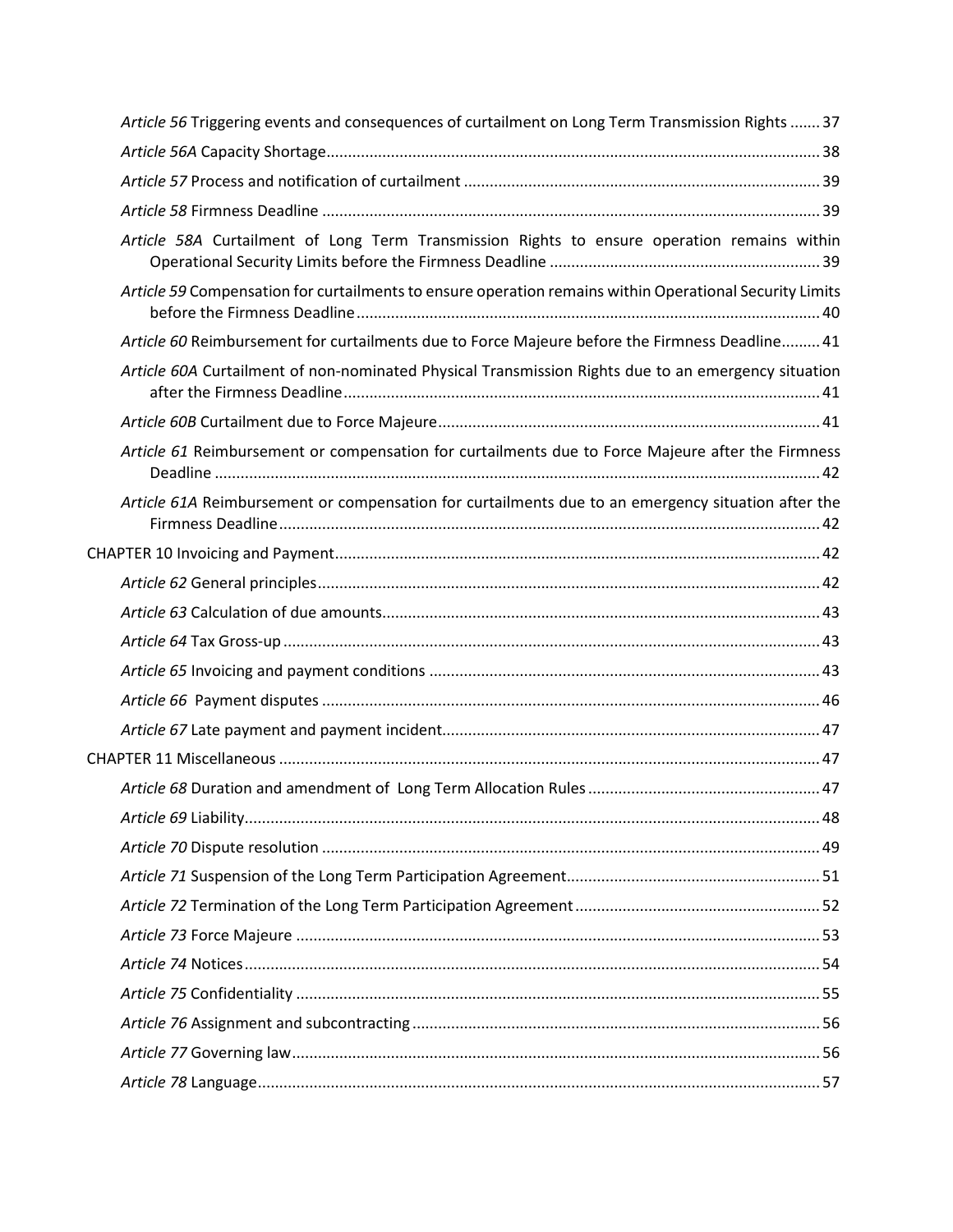| Article 56 Triggering events and consequences of curtailment on Long Term Transmission Rights  37       |
|---------------------------------------------------------------------------------------------------------|
|                                                                                                         |
|                                                                                                         |
|                                                                                                         |
| Article 58A Curtailment of Long Term Transmission Rights to ensure operation remains within             |
| Article 59 Compensation for curtailments to ensure operation remains within Operational Security Limits |
| Article 60 Reimbursement for curtailments due to Force Majeure before the Firmness Deadline 41          |
| Article 60A Curtailment of non-nominated Physical Transmission Rights due to an emergency situation     |
|                                                                                                         |
| Article 61 Reimbursement or compensation for curtailments due to Force Majeure after the Firmness       |
| Article 61A Reimbursement or compensation for curtailments due to an emergency situation after the      |
|                                                                                                         |
|                                                                                                         |
|                                                                                                         |
|                                                                                                         |
|                                                                                                         |
|                                                                                                         |
|                                                                                                         |
|                                                                                                         |
|                                                                                                         |
|                                                                                                         |
|                                                                                                         |
|                                                                                                         |
|                                                                                                         |
|                                                                                                         |
|                                                                                                         |
|                                                                                                         |
|                                                                                                         |
|                                                                                                         |
|                                                                                                         |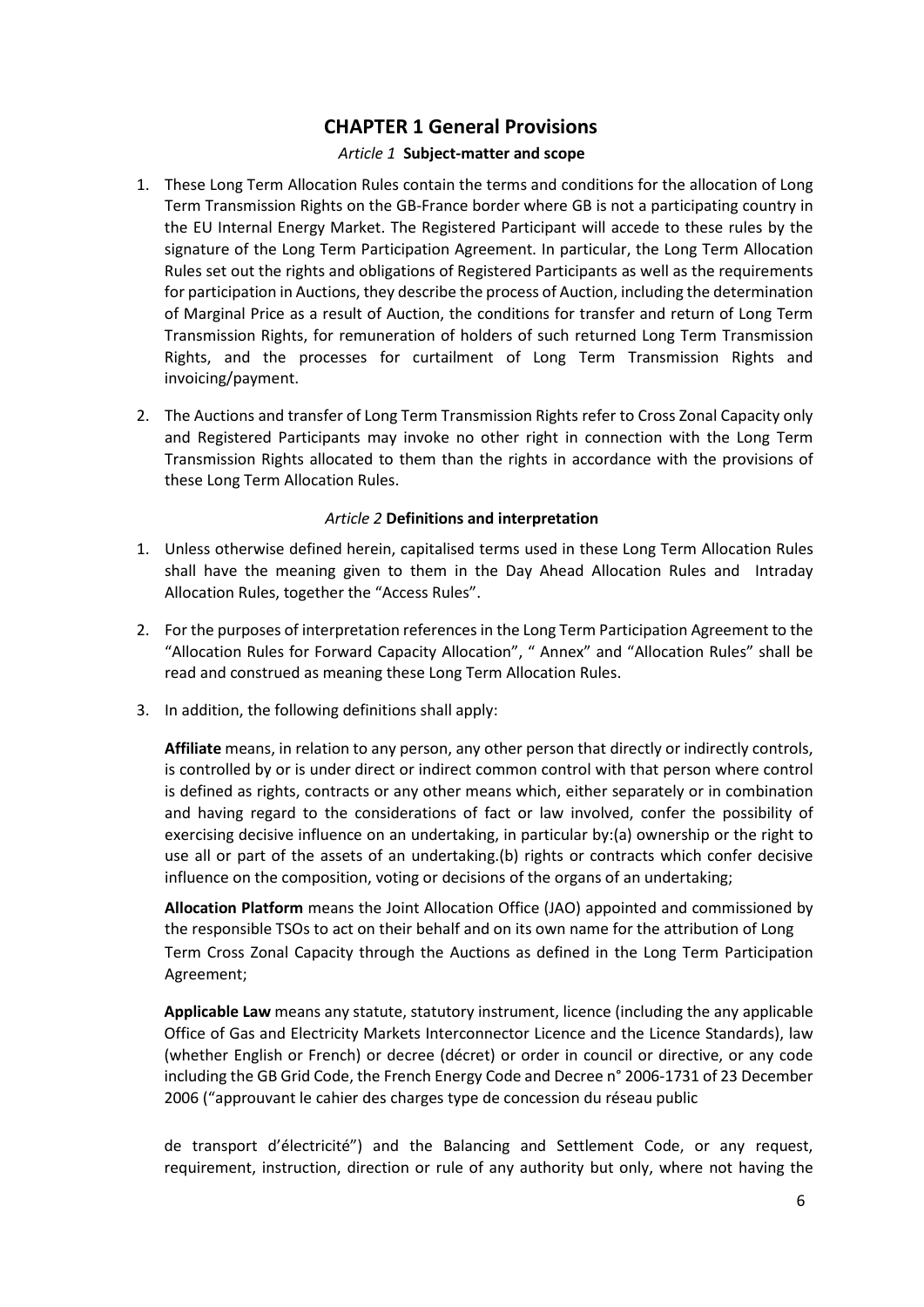# <span id="page-5-0"></span> **CHAPTER 1 General Provisions**

## *Article 1* **Subject-matter and scope**

- <span id="page-5-1"></span>1. These Long Term Allocation Rules contain the terms and conditions for the allocation of Long Term Transmission Rights on the GB-France border where GB is not a participating country in the EU Internal Energy Market. The Registered Participant will accede to these rules by the signature of the Long Term Participation Agreement. In particular, the Long Term Allocation Rules set out the rights and obligations of Registered Participants as well as the requirements for participation in Auctions, they describe the process of Auction, including the determination of Marginal Price as a result of Auction, the conditions for transfer and return of Long Term Transmission Rights, for remuneration of holders of such returned Long Term Transmission Rights, and the processes for curtailment of Long Term Transmission Rights and invoicing/payment.
- <span id="page-5-2"></span>2. The Auctions and transfer of Long Term Transmission Rights refer to Cross Zonal Capacity only and Registered Participants may invoke no other right in connection with the Long Term Transmission Rights allocated to them than the rights in accordance with the provisions of these Long Term Allocation Rules.

#### *Article 2* **Definitions and interpretation**

- 1. Unless otherwise defined herein, capitalised terms used in these Long Term Allocation Rules shall have the meaning given to them in the Day Ahead Allocation Rules and Intraday Allocation Rules, together the "Access Rules".
- 2. For the purposes of interpretation references in the Long Term Participation Agreement to the "Allocation Rules for Forward Capacity Allocation", " Annex" and "Allocation Rules" shall be read and construed as meaning these Long Term Allocation Rules.
- 3. In addition, the following definitions shall apply:

**Affiliate** means, in relation to any person, any other person that directly or indirectly controls, is controlled by or is under direct or indirect common control with that person where control is defined as rights, contracts or any other means which, either separately or in combination and having regard to the considerations of fact or law involved, confer the possibility of exercising decisive influence on an undertaking, in particular by:(a) ownership or the right to use all or part of the assets of an undertaking.(b) rights or contracts which confer decisive influence on the composition, voting or decisions of the organs of an undertaking;

**Allocation Platform** means the Joint Allocation Office (JAO) appointed and commissioned by the responsible TSOs to act on their behalf and on its own name for the attribution of Long Term Cross Zonal Capacity through the Auctions as defined in the Long Term Participation Agreement;

**Applicable Law** means any statute, statutory instrument, licence (including the any applicable Office of Gas and Electricity Markets Interconnector Licence and the Licence Standards), law (whether English or French) or decree (décret) or order in council or directive, or any code including the GB Grid Code, the French Energy Code and Decree n° 2006-1731 of 23 December 2006 ("approuvant le cahier des charges type de concession du réseau public

de transport d'électricité") and the Balancing and Settlement Code, or any request, requirement, instruction, direction or rule of any authority but only, where not having the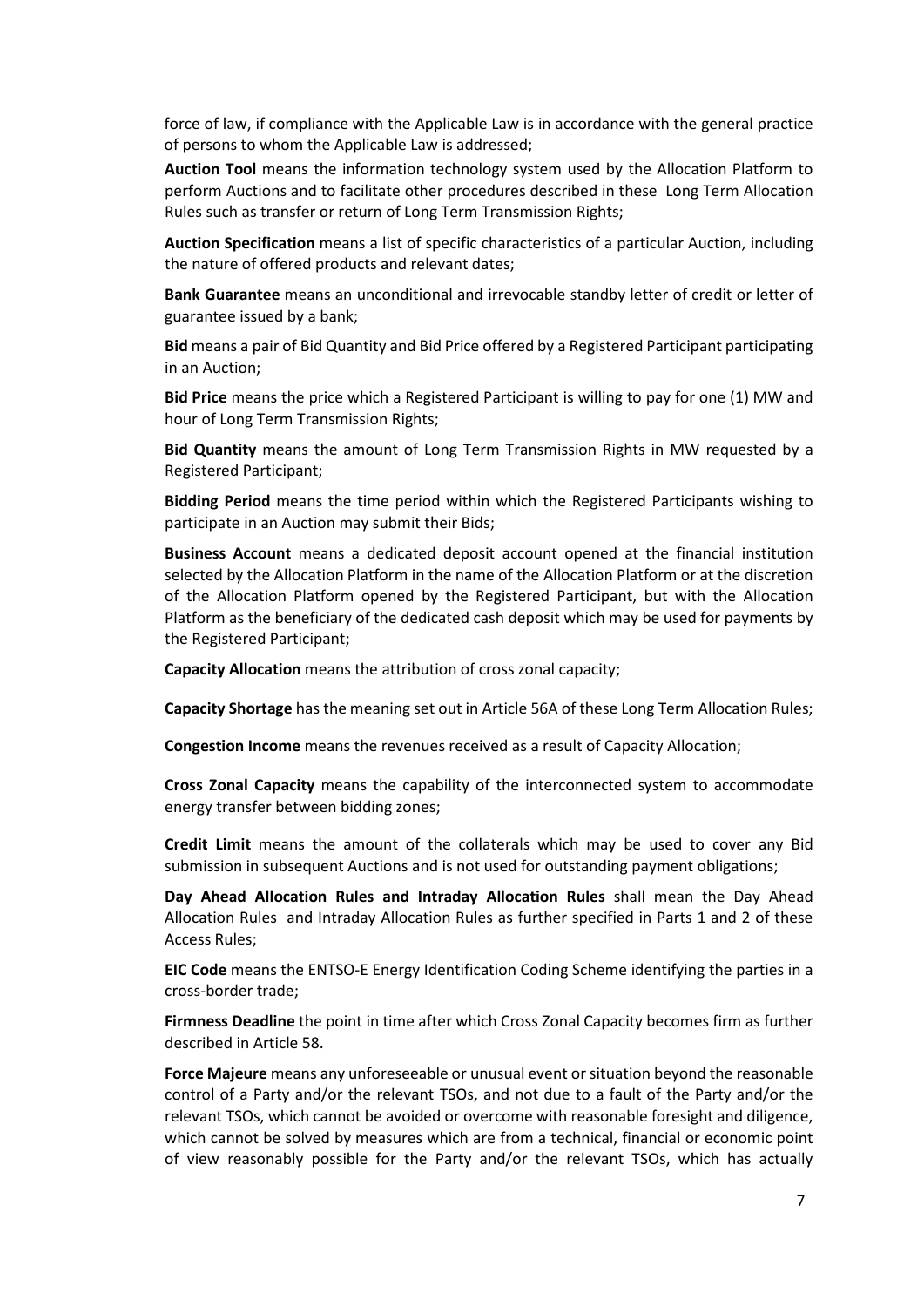force of law, if compliance with the Applicable Law is in accordance with the general practice of persons to whom the Applicable Law is addressed;

**Auction Tool** means the information technology system used by the Allocation Platform to perform Auctions and to facilitate other procedures described in these Long Term Allocation Rules such as transfer or return of Long Term Transmission Rights;

**Auction Specification** means a list of specific characteristics of a particular Auction, including the nature of offered products and relevant dates;

**Bank Guarantee** means an unconditional and irrevocable standby letter of credit or letter of guarantee issued by a bank;

**Bid** means a pair of Bid Quantity and Bid Price offered by a Registered Participant participating in an Auction;

**Bid Price** means the price which a Registered Participant is willing to pay for one (1) MW and hour of Long Term Transmission Rights;

**Bid Quantity** means the amount of Long Term Transmission Rights in MW requested by a Registered Participant;

**Bidding Period** means the time period within which the Registered Participants wishing to participate in an Auction may submit their Bids;

**Business Account** means a dedicated deposit account opened at the financial institution selected by the Allocation Platform in the name of the Allocation Platform or at the discretion of the Allocation Platform opened by the Registered Participant, but with the Allocation Platform as the beneficiary of the dedicated cash deposit which may be used for payments by the Registered Participant;

**Capacity Allocation** means the attribution of cross zonal capacity;

**Capacity Shortage** has the meaning set out in Article 56A of these Long Term Allocation Rules;

**Congestion Income** means the revenues received as a result of Capacity Allocation;

**Cross Zonal Capacity** means the capability of the interconnected system to accommodate energy transfer between bidding zones;

**Credit Limit** means the amount of the collaterals which may be used to cover any Bid submission in subsequent Auctions and is not used for outstanding payment obligations;

**Day Ahead Allocation Rules and Intraday Allocation Rules** shall mean the Day Ahead Allocation Rules and Intraday Allocation Rules as further specified in Parts 1 and 2 of these Access Rules;

**EIC Code** means the ENTSO-E Energy Identification Coding Scheme identifying the parties in a cross-border trade;

**Firmness Deadline** the point in time after which Cross Zonal Capacity becomes firm as further described in Article 58.

**Force Majeure** means any unforeseeable or unusual event or situation beyond the reasonable control of a Party and/or the relevant TSOs, and not due to a fault of the Party and/or the relevant TSOs, which cannot be avoided or overcome with reasonable foresight and diligence, which cannot be solved by measures which are from a technical, financial or economic point of view reasonably possible for the Party and/or the relevant TSOs, which has actually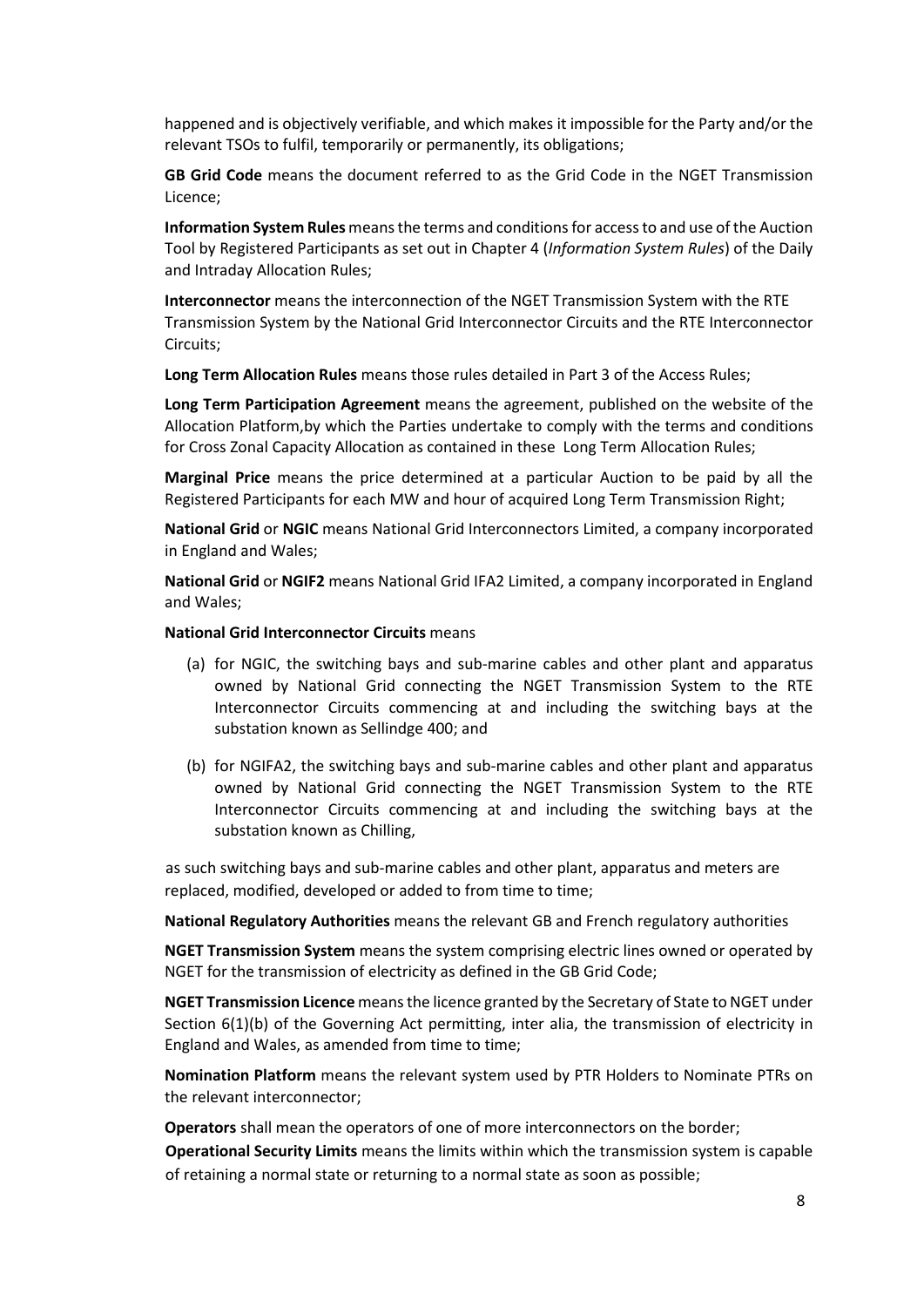happened and is objectively verifiable, and which makes it impossible for the Party and/or the relevant TSOs to fulfil, temporarily or permanently, its obligations;

**GB Grid Code** means the document referred to as the Grid Code in the NGET Transmission Licence;

**Information System Rules** means the terms and conditions for access to and use of the Auction Tool by Registered Participants as set out in Chapter 4 (*Information System Rules*) of the Daily and Intraday Allocation Rules;

**Interconnector** means the interconnection of the NGET Transmission System with the RTE Transmission System by the National Grid Interconnector Circuits and the RTE Interconnector Circuits;

**Long Term Allocation Rules** means those rules detailed in Part 3 of the Access Rules;

**Long Term Participation Agreement** means the agreement, published on the website of the Allocation Platform,by which the Parties undertake to comply with the terms and conditions for Cross Zonal Capacity Allocation as contained in these Long Term Allocation Rules;

**Marginal Price** means the price determined at a particular Auction to be paid by all the Registered Participants for each MW and hour of acquired Long Term Transmission Right;

**National Grid** or **NGIC** means National Grid Interconnectors Limited, a company incorporated in England and Wales;

**National Grid** or **NGIF2** means National Grid IFA2 Limited, a company incorporated in England and Wales;

#### **National Grid Interconnector Circuits** means

- (a) for NGIC, the switching bays and sub-marine cables and other plant and apparatus owned by National Grid connecting the NGET Transmission System to the RTE Interconnector Circuits commencing at and including the switching bays at the substation known as Sellindge 400; and
- (b) for NGIFA2, the switching bays and sub-marine cables and other plant and apparatus owned by National Grid connecting the NGET Transmission System to the RTE Interconnector Circuits commencing at and including the switching bays at the substation known as Chilling,

as such switching bays and sub-marine cables and other plant, apparatus and meters are replaced, modified, developed or added to from time to time;

**National Regulatory Authorities** means the relevant GB and French regulatory authorities

**NGET Transmission System** means the system comprising electric lines owned or operated by NGET for the transmission of electricity as defined in the GB Grid Code;

**NGET Transmission Licence** means the licence granted by the Secretary of State to NGET under Section 6(1)(b) of the Governing Act permitting, inter alia, the transmission of electricity in England and Wales, as amended from time to time;

**Nomination Platform** means the relevant system used by PTR Holders to Nominate PTRs on the relevant interconnector;

**Operators** shall mean the operators of one of more interconnectors on the border;

**Operational Security Limits** means the limits within which the transmission system is capable of retaining a normal state or returning to a normal state as soon as possible;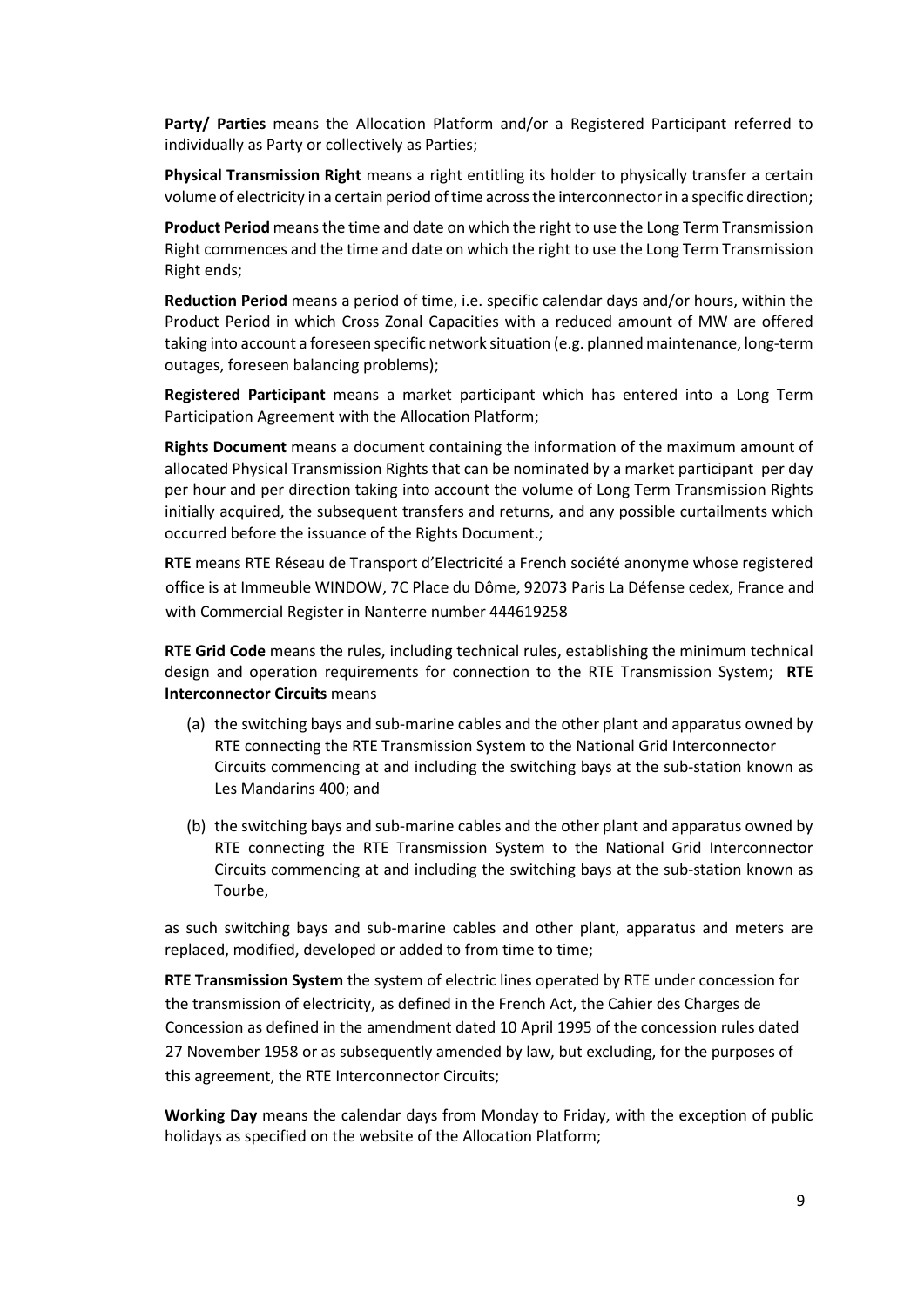**Party/ Parties** means the Allocation Platform and/or a Registered Participant referred to individually as Party or collectively as Parties;

**Physical Transmission Right** means a right entitling its holder to physically transfer a certain volume of electricity in a certain period of time across the interconnector in a specific direction;

**Product Period** means the time and date on which the right to use the Long Term Transmission Right commences and the time and date on which the right to use the Long Term Transmission Right ends;

**Reduction Period** means a period of time, i.e. specific calendar days and/or hours, within the Product Period in which Cross Zonal Capacities with a reduced amount of MW are offered taking into account a foreseen specific network situation (e.g. planned maintenance, long-term outages, foreseen balancing problems);

**Registered Participant** means a market participant which has entered into a Long Term Participation Agreement with the Allocation Platform;

**Rights Document** means a document containing the information of the maximum amount of allocated Physical Transmission Rights that can be nominated by a market participant per day per hour and per direction taking into account the volume of Long Term Transmission Rights initially acquired, the subsequent transfers and returns, and any possible curtailments which occurred before the issuance of the Rights Document.;

**RTE** means RTE Réseau de Transport d'Electricité a French société anonyme whose registered office is at Immeuble WINDOW, 7C Place du Dôme, 92073 Paris La Défense cedex, France and with Commercial Register in Nanterre number 444619258

**RTE Grid Code** means the rules, including technical rules, establishing the minimum technical design and operation requirements for connection to the RTE Transmission System; **RTE Interconnector Circuits** means

- (a) the switching bays and sub-marine cables and the other plant and apparatus owned by RTE connecting the RTE Transmission System to the National Grid Interconnector Circuits commencing at and including the switching bays at the sub-station known as Les Mandarins 400; and
- (b) the switching bays and sub-marine cables and the other plant and apparatus owned by RTE connecting the RTE Transmission System to the National Grid Interconnector Circuits commencing at and including the switching bays at the sub-station known as Tourbe,

as such switching bays and sub-marine cables and other plant, apparatus and meters are replaced, modified, developed or added to from time to time;

**RTE Transmission System** the system of electric lines operated by RTE under concession for the transmission of electricity, as defined in the French Act, the Cahier des Charges de Concession as defined in the amendment dated 10 April 1995 of the concession rules dated 27 November 1958 or as subsequently amended by law, but excluding, for the purposes of this agreement, the RTE Interconnector Circuits;

**Working Day** means the calendar days from Monday to Friday, with the exception of public holidays as specified on the website of the Allocation Platform;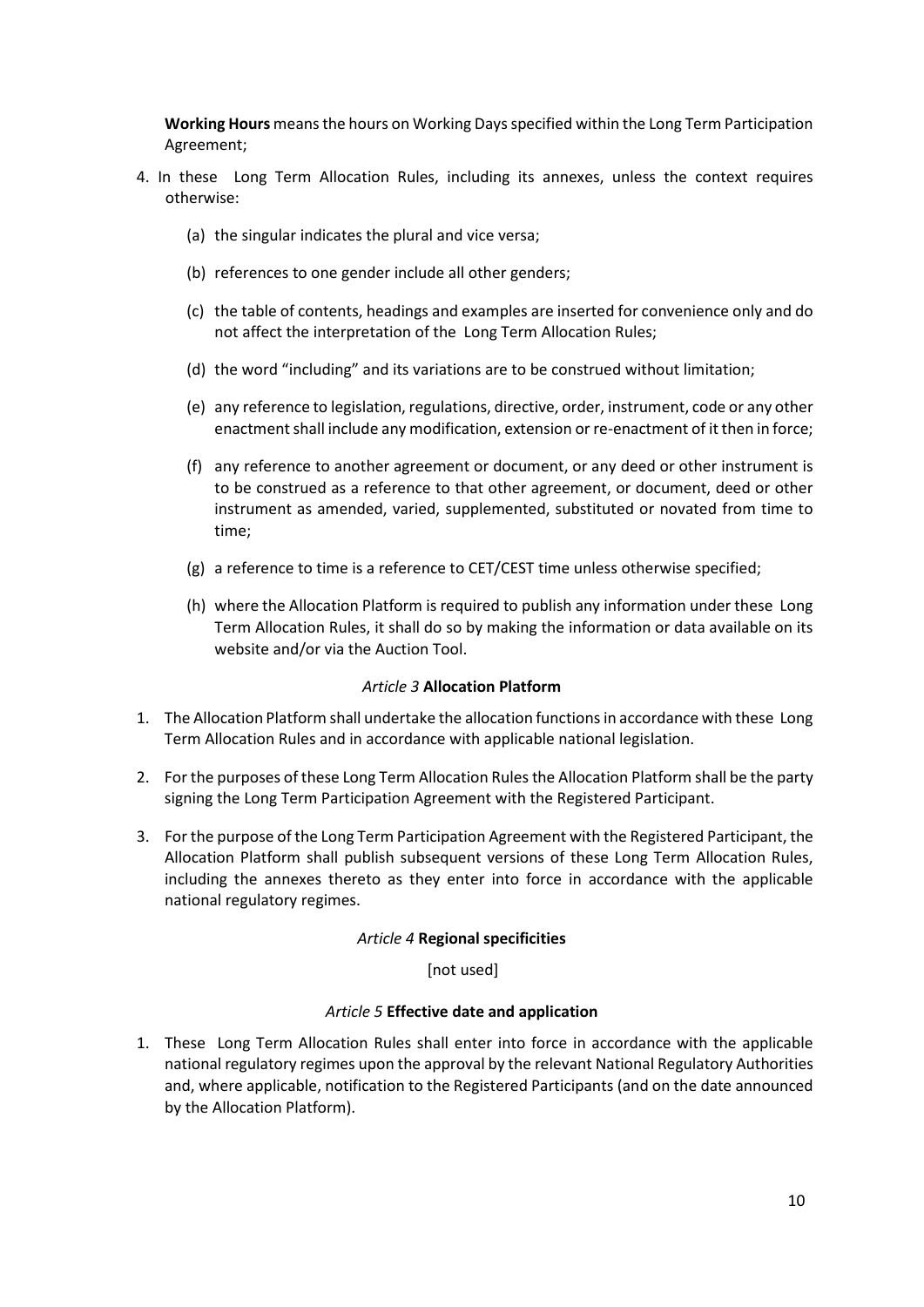**Working Hours** means the hours on Working Days specified within the Long Term Participation Agreement;

- 4. In these Long Term Allocation Rules, including its annexes, unless the context requires otherwise:
	- (a) the singular indicates the plural and vice versa;
	- (b) references to one gender include all other genders;
	- (c) the table of contents, headings and examples are inserted for convenience only and do not affect the interpretation of the Long Term Allocation Rules;
	- (d) the word "including" and its variations are to be construed without limitation;
	- (e) any reference to legislation, regulations, directive, order, instrument, code or any other enactment shall include any modification, extension or re-enactment of it then in force;
	- (f) any reference to another agreement or document, or any deed or other instrument is to be construed as a reference to that other agreement, or document, deed or other instrument as amended, varied, supplemented, substituted or novated from time to time;
	- (g) a reference to time is a reference to CET/CEST time unless otherwise specified;
	- (h) where the Allocation Platform is required to publish any information under these Long Term Allocation Rules, it shall do so by making the information or data available on its website and/or via the Auction Tool.

#### *Article 3* **Allocation Platform**

- <span id="page-9-0"></span>1. The Allocation Platform shall undertake the allocation functions in accordance with these Long Term Allocation Rules and in accordance with applicable national legislation.
- 2. For the purposes of these Long Term Allocation Rules the Allocation Platform shall be the party signing the Long Term Participation Agreement with the Registered Participant.
- <span id="page-9-2"></span><span id="page-9-1"></span>3. For the purpose of the Long Term Participation Agreement with the Registered Participant, the Allocation Platform shall publish subsequent versions of these Long Term Allocation Rules, including the annexes thereto as they enter into force in accordance with the applicable national regulatory regimes.

#### *Article 4* **Regional specificities**

[not used]

#### *Article 5* **Effective date and application**

1. These Long Term Allocation Rules shall enter into force in accordance with the applicable national regulatory regimes upon the approval by the relevant National Regulatory Authorities and, where applicable, notification to the Registered Participants (and on the date announced by the Allocation Platform).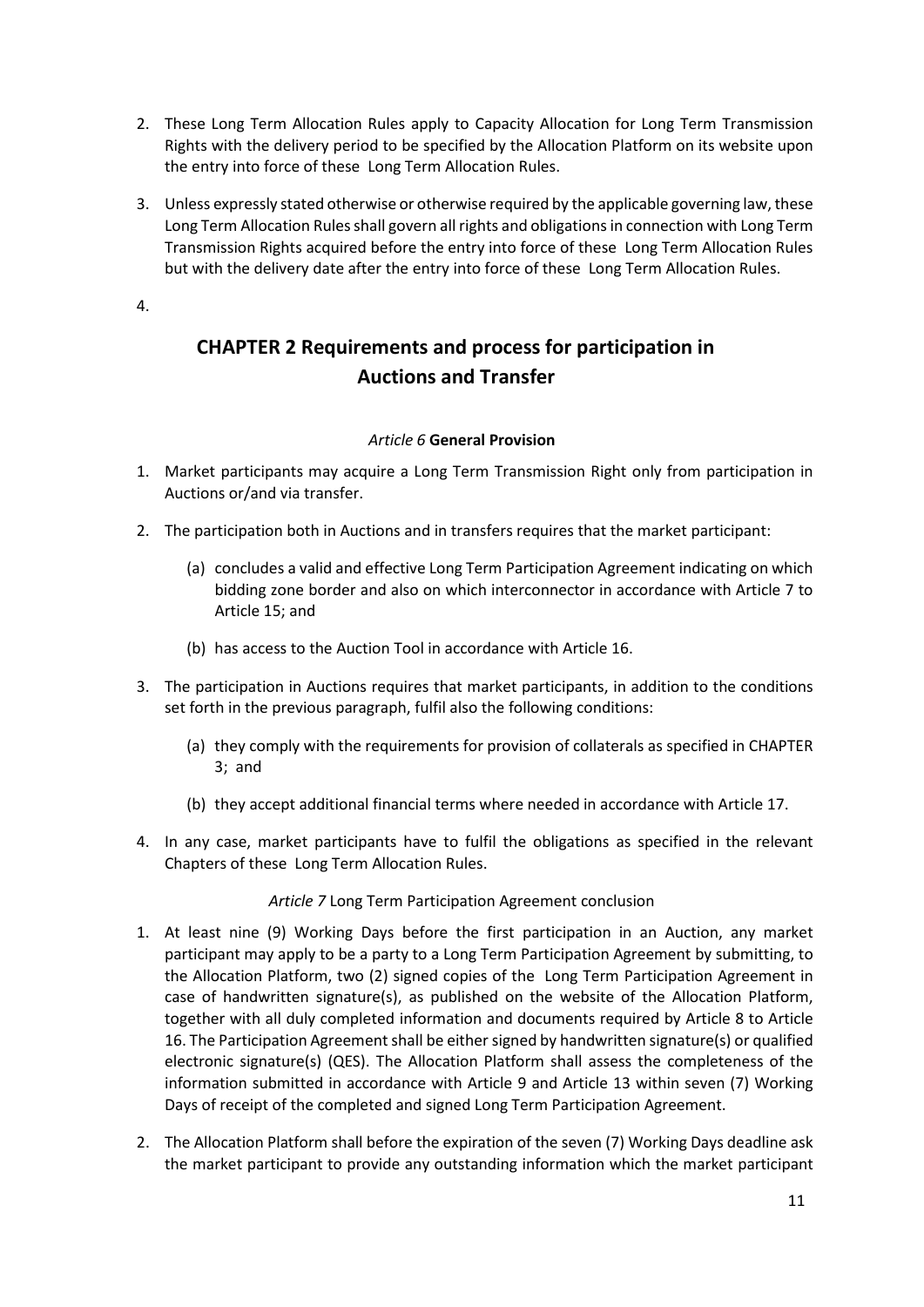- 2. These Long Term Allocation Rules apply to Capacity Allocation for Long Term Transmission Rights with the delivery period to be specified by the Allocation Platform on its website upon the entry into force of these Long Term Allocation Rules.
- 3. Unless expressly stated otherwise or otherwise required by the applicable governing law, these Long Term Allocation Rules shall govern all rights and obligations in connection with Long Term Transmission Rights acquired before the entry into force of these Long Term Allocation Rules but with the delivery date after the entry into force of these Long Term Allocation Rules.
- <span id="page-10-1"></span><span id="page-10-0"></span>4.

# **CHAPTER 2 Requirements and process for participation in Auctions and Transfer**

# *Article 6* **General Provision**

- 1. Market participants may acquire a Long Term Transmission Right only from participation in Auctions or/and via transfer.
- 2. The participation both in Auctions and in transfers requires that the market participant:
	- (a) concludes a valid and effective Long Term Participation Agreement indicating on which bidding zone border and also on which interconnector in accordance with Article 7 to Article 15; and
	- (b) has access to the Auction Tool in accordance with Article 16.
- 3. The participation in Auctions requires that market participants, in addition to the conditions set forth in the previous paragraph, fulfil also the following conditions:
	- (a) they comply with the requirements for provision of collaterals as specified in CHAPTER 3; and
	- (b) they accept additional financial terms where needed in accordance with Article 17.
- <span id="page-10-2"></span>4. In any case, market participants have to fulfil the obligations as specified in the relevant Chapters of these Long Term Allocation Rules.

# *Article 7* Long Term Participation Agreement conclusion

- 1. At least nine (9) Working Days before the first participation in an Auction, any market participant may apply to be a party to a Long Term Participation Agreement by submitting, to the Allocation Platform, two (2) signed copies of the Long Term Participation Agreement in case of handwritten signature(s), as published on the website of the Allocation Platform, together with all duly completed information and documents required by Article 8 to Article 16. The Participation Agreement shall be either signed by handwritten signature(s) or qualified electronic signature(s) (QES). The Allocation Platform shall assess the completeness of the information submitted in accordance with Article 9 and Article 13 within seven (7) Working Days of receipt of the completed and signed Long Term Participation Agreement.
- 2. The Allocation Platform shall before the expiration of the seven (7) Working Days deadline ask the market participant to provide any outstanding information which the market participant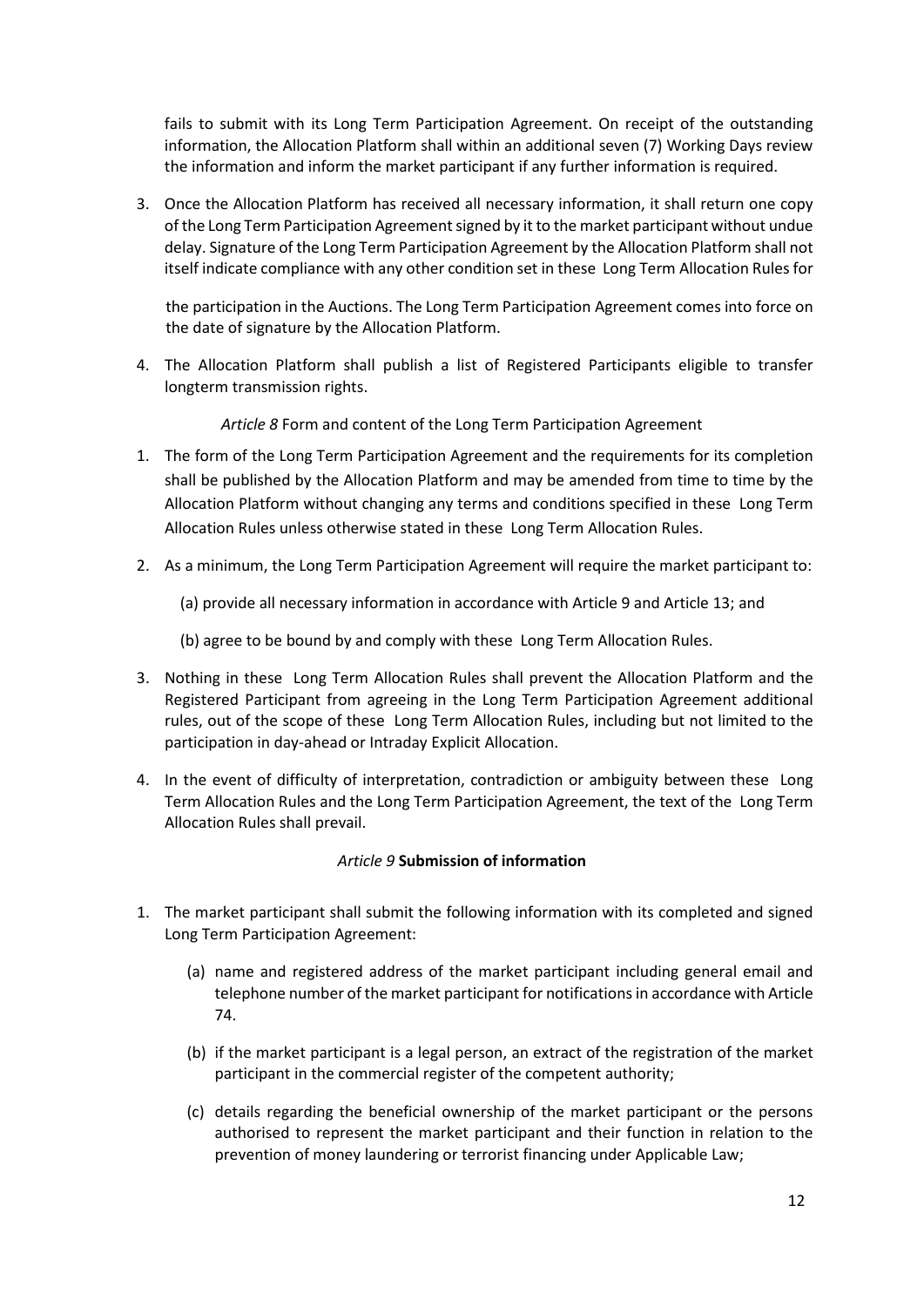fails to submit with its Long Term Participation Agreement. On receipt of the outstanding information, the Allocation Platform shall within an additional seven (7) Working Days review the information and inform the market participant if any further information is required.

3. Once the Allocation Platform has received all necessary information, it shall return one copy of the Long Term Participation Agreement signed by it to the market participant without undue delay. Signature of the Long Term Participation Agreement by the Allocation Platform shall not itself indicate compliance with any other condition set in these Long Term Allocation Rules for

the participation in the Auctions. The Long Term Participation Agreement comes into force on the date of signature by the Allocation Platform.

<span id="page-11-0"></span>4. The Allocation Platform shall publish a list of Registered Participants eligible to transfer longterm transmission rights.

*Article 8* Form and content of the Long Term Participation Agreement

- 1. The form of the Long Term Participation Agreement and the requirements for its completion shall be published by the Allocation Platform and may be amended from time to time by the Allocation Platform without changing any terms and conditions specified in these Long Term Allocation Rules unless otherwise stated in these Long Term Allocation Rules.
- 2. As a minimum, the Long Term Participation Agreement will require the market participant to:
	- (a) provide all necessary information in accordance with Article 9 and Article 13; and

(b) agree to be bound by and comply with these Long Term Allocation Rules.

- 3. Nothing in these Long Term Allocation Rules shall prevent the Allocation Platform and the Registered Participant from agreeing in the Long Term Participation Agreement additional rules, out of the scope of these Long Term Allocation Rules, including but not limited to the participation in day-ahead or Intraday Explicit Allocation.
- <span id="page-11-1"></span>4. In the event of difficulty of interpretation, contradiction or ambiguity between these Long Term Allocation Rules and the Long Term Participation Agreement, the text of the Long Term Allocation Rules shall prevail.

#### *Article 9* **Submission of information**

- 1. The market participant shall submit the following information with its completed and signed Long Term Participation Agreement:
	- (a) name and registered address of the market participant including general email and telephone number of the market participant for notifications in accordance with Article 74.
	- (b) if the market participant is a legal person, an extract of the registration of the market participant in the commercial register of the competent authority;
	- (c) details regarding the beneficial ownership of the market participant or the persons authorised to represent the market participant and their function in relation to the prevention of money laundering or terrorist financing under Applicable Law;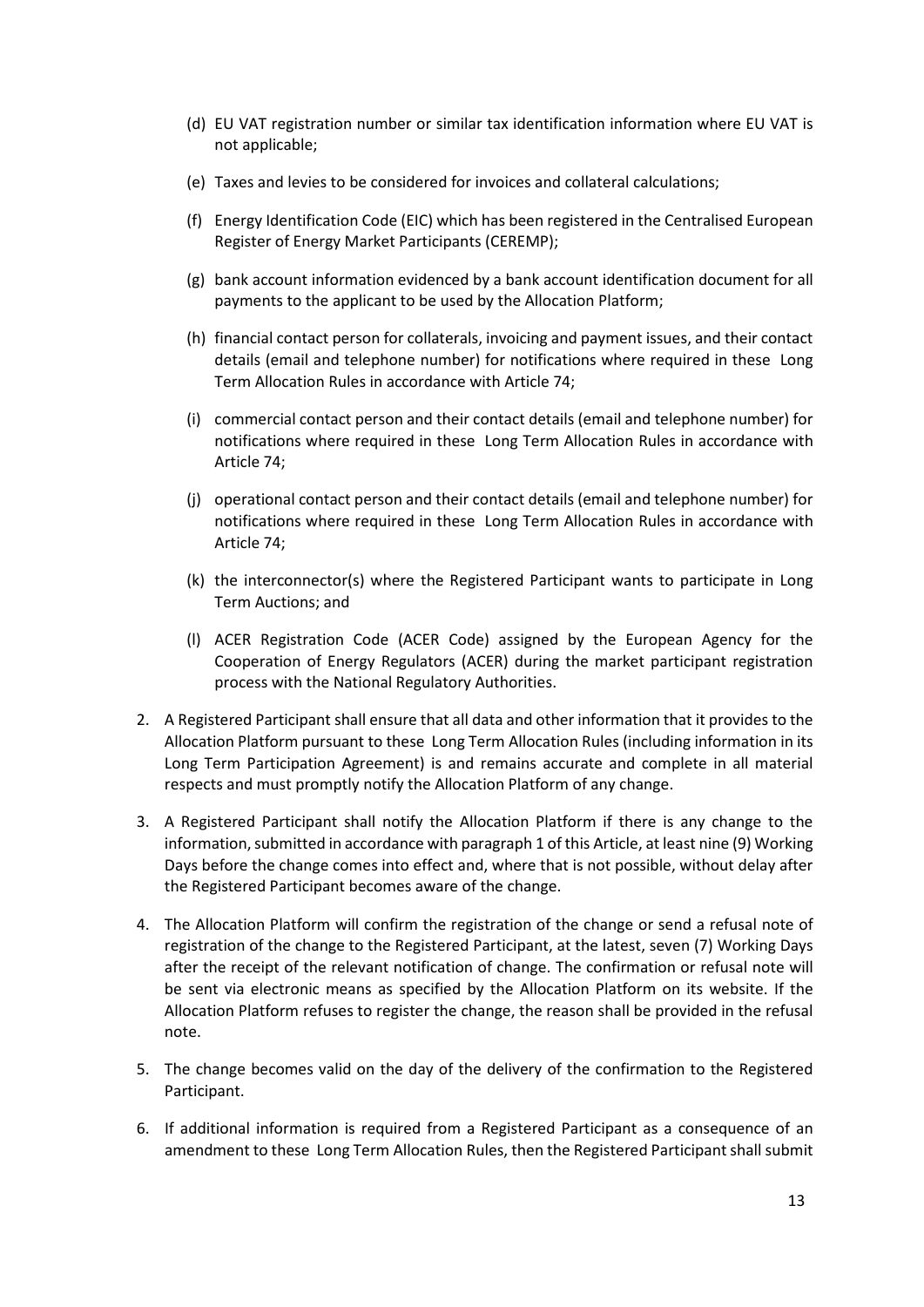- (d) EU VAT registration number or similar tax identification information where EU VAT is not applicable;
- (e) Taxes and levies to be considered for invoices and collateral calculations;
- (f) Energy Identification Code (EIC) which has been registered in the Centralised European Register of Energy Market Participants (CEREMP);
- (g) bank account information evidenced by a bank account identification document for all payments to the applicant to be used by the Allocation Platform;
- (h) financial contact person for collaterals, invoicing and payment issues, and their contact details (email and telephone number) for notifications where required in these Long Term Allocation Rules in accordance with Article 74;
- (i) commercial contact person and their contact details (email and telephone number) for notifications where required in these Long Term Allocation Rules in accordance with Article 74;
- (j) operational contact person and their contact details (email and telephone number) for notifications where required in these Long Term Allocation Rules in accordance with Article 74;
- (k) the interconnector(s) where the Registered Participant wants to participate in Long Term Auctions; and
- (l) ACER Registration Code (ACER Code) assigned by the European Agency for the Cooperation of Energy Regulators (ACER) during the market participant registration process with the National Regulatory Authorities.
- 2. A Registered Participant shall ensure that all data and other information that it provides to the Allocation Platform pursuant to these Long Term Allocation Rules (including information in its Long Term Participation Agreement) is and remains accurate and complete in all material respects and must promptly notify the Allocation Platform of any change.
- 3. A Registered Participant shall notify the Allocation Platform if there is any change to the information, submitted in accordance with paragraph 1 of this Article, at least nine (9) Working Days before the change comes into effect and, where that is not possible, without delay after the Registered Participant becomes aware of the change.
- 4. The Allocation Platform will confirm the registration of the change or send a refusal note of registration of the change to the Registered Participant, at the latest, seven (7) Working Days after the receipt of the relevant notification of change. The confirmation or refusal note will be sent via electronic means as specified by the Allocation Platform on its website. If the Allocation Platform refuses to register the change, the reason shall be provided in the refusal note.
- 5. The change becomes valid on the day of the delivery of the confirmation to the Registered Participant.
- 6. If additional information is required from a Registered Participant as a consequence of an amendment to these Long Term Allocation Rules, then the Registered Participant shall submit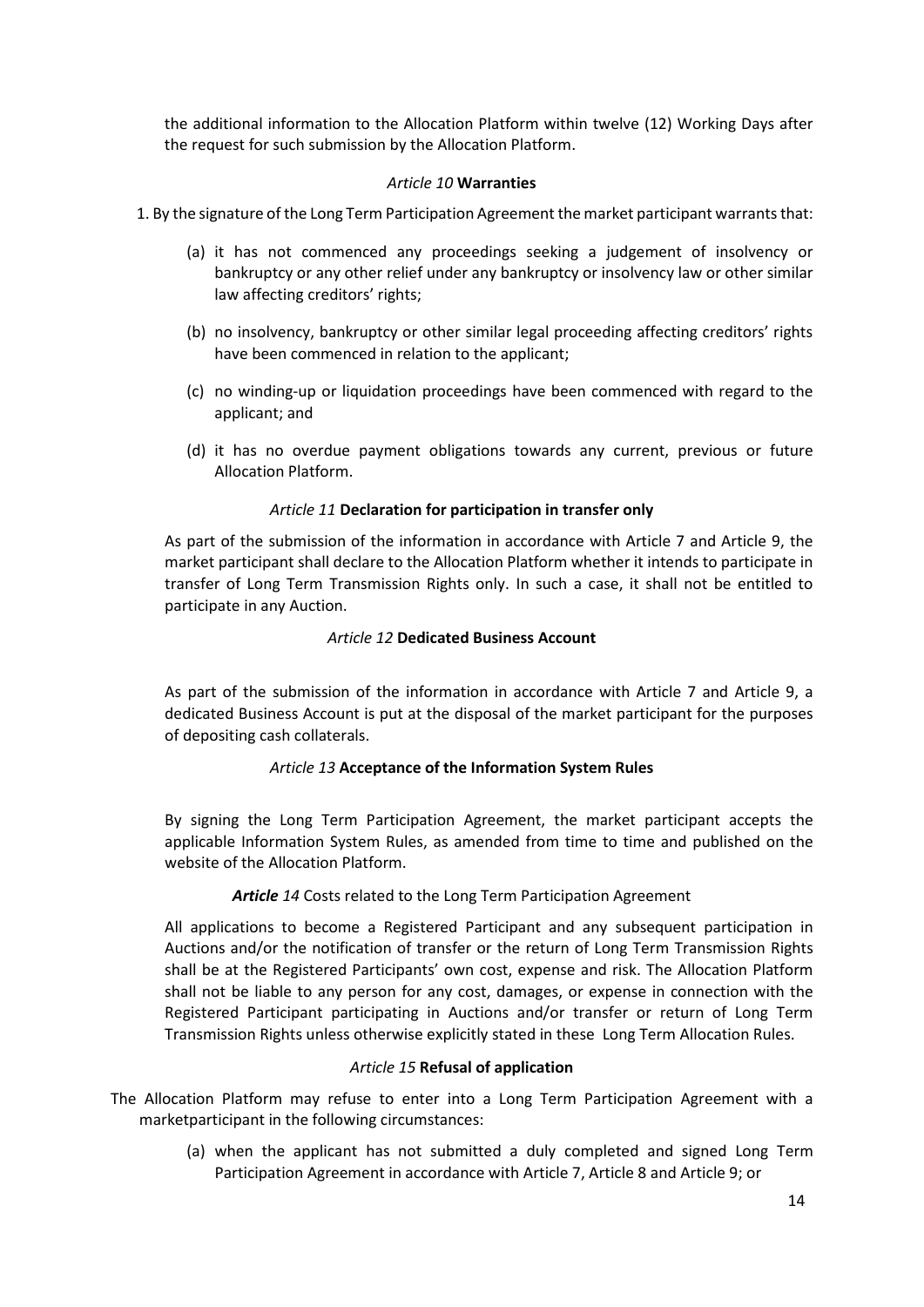<span id="page-13-0"></span>the additional information to the Allocation Platform within twelve (12) Working Days after the request for such submission by the Allocation Platform.

#### *Article 10* **Warranties**

- 1. By the signature of the Long Term Participation Agreement the market participant warrants that:
	- (a) it has not commenced any proceedings seeking a judgement of insolvency or bankruptcy or any other relief under any bankruptcy or insolvency law or other similar law affecting creditors' rights;
	- (b) no insolvency, bankruptcy or other similar legal proceeding affecting creditors' rights have been commenced in relation to the applicant;
	- (c) no winding-up or liquidation proceedings have been commenced with regard to the applicant; and
	- (d) it has no overdue payment obligations towards any current, previous or future Allocation Platform.

#### *Article 11* **Declaration for participation in transfer only**

<span id="page-13-2"></span><span id="page-13-1"></span>As part of the submission of the information in accordance with Article 7 and Article 9, the market participant shall declare to the Allocation Platform whether it intends to participate in transfer of Long Term Transmission Rights only. In such a case, it shall not be entitled to participate in any Auction.

#### *Article 12* **Dedicated Business Account**

<span id="page-13-3"></span>As part of the submission of the information in accordance with Article 7 and Article 9, a dedicated Business Account is put at the disposal of the market participant for the purposes of depositing cash collaterals.

#### *Article 13* **Acceptance of the Information System Rules**

<span id="page-13-4"></span>By signing the Long Term Participation Agreement, the market participant accepts the applicable Information System Rules, as amended from time to time and published on the website of the Allocation Platform.

#### *Article 14* Costs related to the Long Term Participation Agreement

<span id="page-13-5"></span>All applications to become a Registered Participant and any subsequent participation in Auctions and/or the notification of transfer or the return of Long Term Transmission Rights shall be at the Registered Participants' own cost, expense and risk. The Allocation Platform shall not be liable to any person for any cost, damages, or expense in connection with the Registered Participant participating in Auctions and/or transfer or return of Long Term Transmission Rights unless otherwise explicitly stated in these Long Term Allocation Rules.

#### *Article 15* **Refusal of application**

The Allocation Platform may refuse to enter into a Long Term Participation Agreement with a marketparticipant in the following circumstances:

> (a) when the applicant has not submitted a duly completed and signed Long Term Participation Agreement in accordance with Article 7, Article 8 and Article 9; or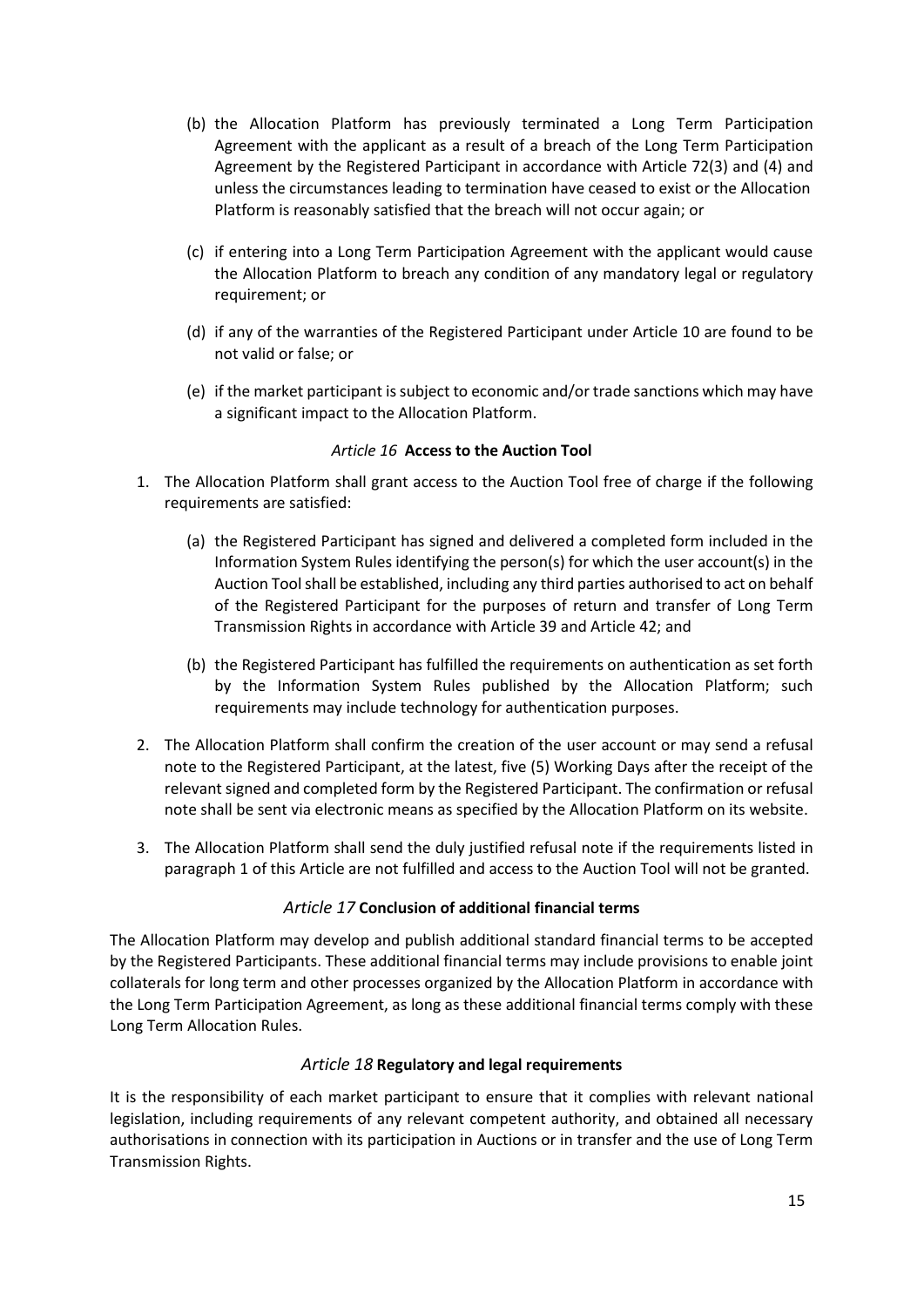- (b) the Allocation Platform has previously terminated a Long Term Participation Agreement with the applicant as a result of a breach of the Long Term Participation Agreement by the Registered Participant in accordance with Article 72(3) and (4) and unless the circumstances leading to termination have ceased to exist or the Allocation Platform is reasonably satisfied that the breach will not occur again; or
- (c) if entering into a Long Term Participation Agreement with the applicant would cause the Allocation Platform to breach any condition of any mandatory legal or regulatory requirement; or
- (d) if any of the warranties of the Registered Participant under Article 10 are found to be not valid or false; or
- <span id="page-14-0"></span>(e) if the market participant is subject to economic and/or trade sanctions which may have a significant impact to the Allocation Platform.

### *Article 16* **Access to the Auction Tool**

- 1. The Allocation Platform shall grant access to the Auction Tool free of charge if the following requirements are satisfied:
	- (a) the Registered Participant has signed and delivered a completed form included in the Information System Rules identifying the person(s) for which the user account(s) in the Auction Tool shall be established, including any third parties authorised to act on behalf of the Registered Participant for the purposes of return and transfer of Long Term Transmission Rights in accordance with Article 39 and Article 42; and
	- (b) the Registered Participant has fulfilled the requirements on authentication as set forth by the Information System Rules published by the Allocation Platform; such requirements may include technology for authentication purposes.
- 2. The Allocation Platform shall confirm the creation of the user account or may send a refusal note to the Registered Participant, at the latest, five (5) Working Days after the receipt of the relevant signed and completed form by the Registered Participant. The confirmation or refusal note shall be sent via electronic means as specified by the Allocation Platform on its website.
- <span id="page-14-1"></span>3. The Allocation Platform shall send the duly justified refusal note if the requirements listed in paragraph 1 of this Article are not fulfilled and access to the Auction Tool will not be granted.

# *Article 17* **Conclusion of additional financial terms**

<span id="page-14-2"></span>The Allocation Platform may develop and publish additional standard financial terms to be accepted by the Registered Participants. These additional financial terms may include provisions to enable joint collaterals for long term and other processes organized by the Allocation Platform in accordance with the Long Term Participation Agreement, as long as these additional financial terms comply with these Long Term Allocation Rules.

#### *Article 18* **Regulatory and legal requirements**

It is the responsibility of each market participant to ensure that it complies with relevant national legislation, including requirements of any relevant competent authority, and obtained all necessary authorisations in connection with its participation in Auctions or in transfer and the use of Long Term Transmission Rights.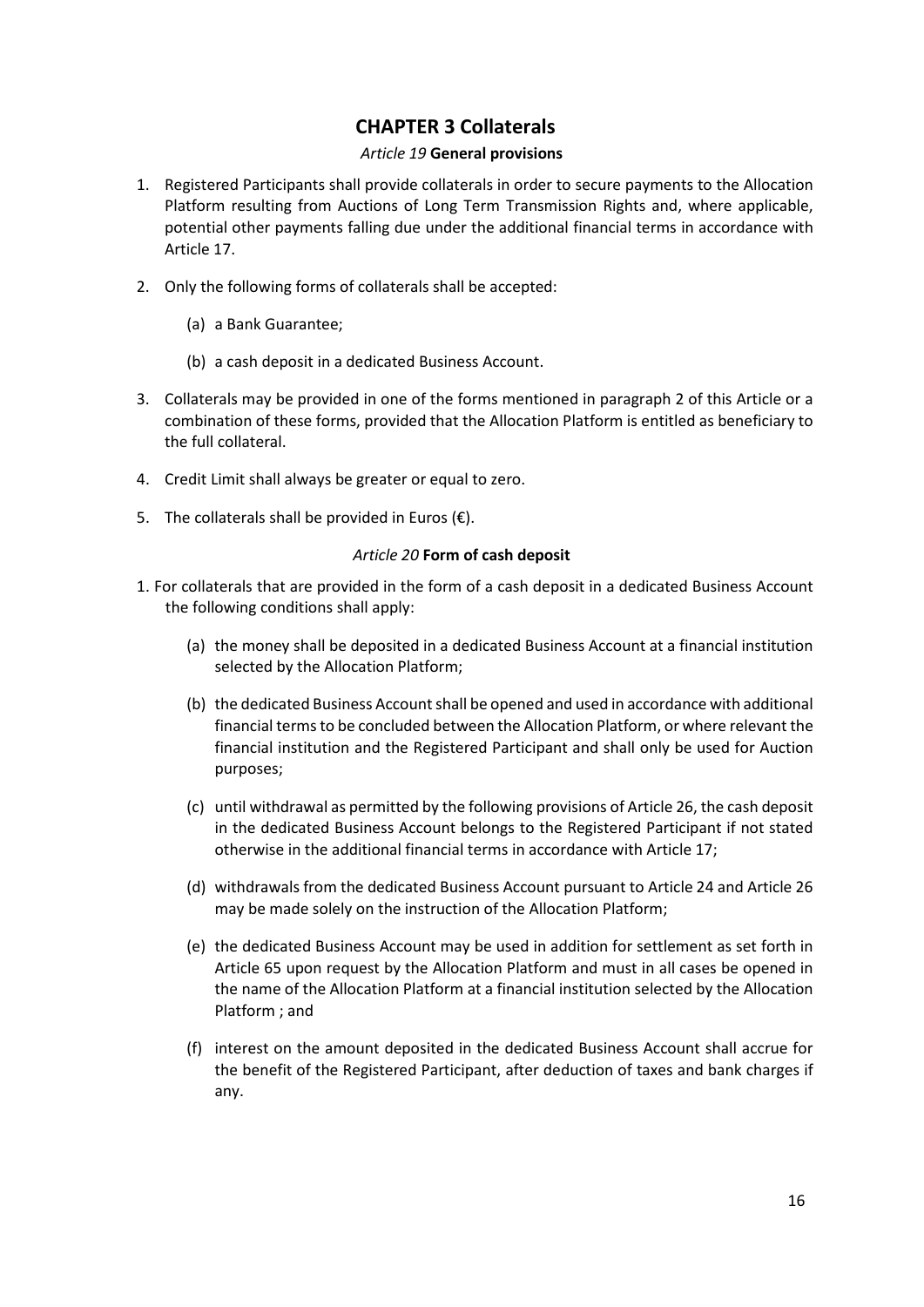# **CHAPTER 3 Collaterals**

## *Article 19* **General provisions**

- <span id="page-15-1"></span><span id="page-15-0"></span>1. Registered Participants shall provide collaterals in order to secure payments to the Allocation Platform resulting from Auctions of Long Term Transmission Rights and, where applicable, potential other payments falling due under the additional financial terms in accordance with Article 17.
- 2. Only the following forms of collaterals shall be accepted:
	- (a) a Bank Guarantee;
	- (b) a cash deposit in a dedicated Business Account.
- 3. Collaterals may be provided in one of the forms mentioned in paragraph 2 of this Article or a combination of these forms, provided that the Allocation Platform is entitled as beneficiary to the full collateral.
- <span id="page-15-2"></span>4. Credit Limit shall always be greater or equal to zero.
- 5. The collaterals shall be provided in Euros  $(\epsilon)$ .

### *Article 20* **Form of cash deposit**

- 1. For collaterals that are provided in the form of a cash deposit in a dedicated Business Account the following conditions shall apply:
	- (a) the money shall be deposited in a dedicated Business Account at a financial institution selected by the Allocation Platform;
	- (b) the dedicated Business Account shall be opened and used in accordance with additional financial terms to be concluded between the Allocation Platform, or where relevant the financial institution and the Registered Participant and shall only be used for Auction purposes;
	- (c) until withdrawal as permitted by the following provisions of Article 26, the cash deposit in the dedicated Business Account belongs to the Registered Participant if not stated otherwise in the additional financial terms in accordance with Article 17;
	- (d) withdrawals from the dedicated Business Account pursuant to Article 24 and Article 26 may be made solely on the instruction of the Allocation Platform;
	- (e) the dedicated Business Account may be used in addition for settlement as set forth in Article 65 upon request by the Allocation Platform and must in all cases be opened in the name of the Allocation Platform at a financial institution selected by the Allocation Platform ; and
	- (f) interest on the amount deposited in the dedicated Business Account shall accrue for the benefit of the Registered Participant, after deduction of taxes and bank charges if any.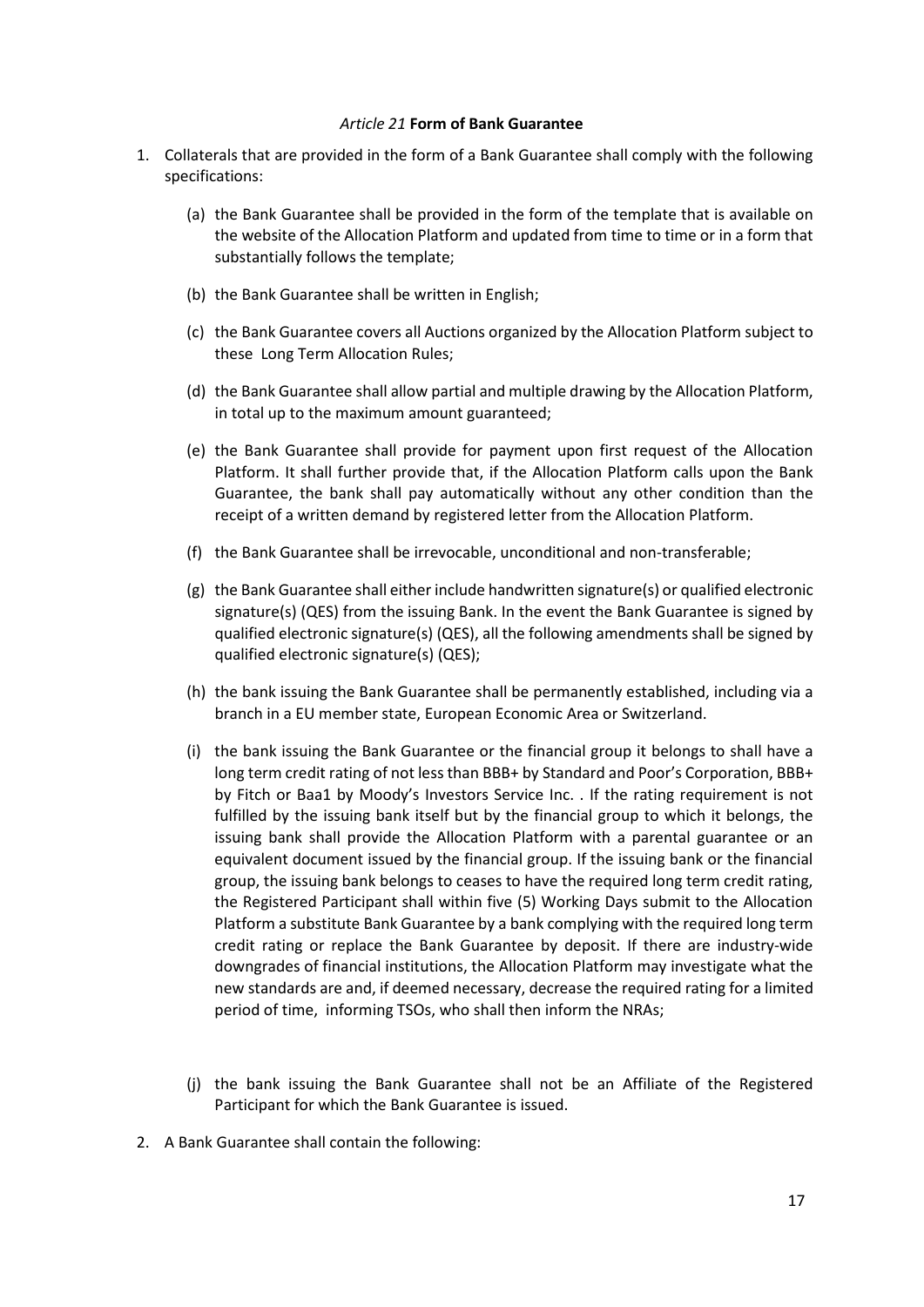#### *Article 21* **Form of Bank Guarantee**

- <span id="page-16-0"></span>1. Collaterals that are provided in the form of a Bank Guarantee shall comply with the following specifications:
	- (a) the Bank Guarantee shall be provided in the form of the template that is available on the website of the Allocation Platform and updated from time to time or in a form that substantially follows the template;
	- (b) the Bank Guarantee shall be written in English;
	- (c) the Bank Guarantee covers all Auctions organized by the Allocation Platform subject to these Long Term Allocation Rules;
	- (d) the Bank Guarantee shall allow partial and multiple drawing by the Allocation Platform, in total up to the maximum amount guaranteed;
	- (e) the Bank Guarantee shall provide for payment upon first request of the Allocation Platform. It shall further provide that, if the Allocation Platform calls upon the Bank Guarantee, the bank shall pay automatically without any other condition than the receipt of a written demand by registered letter from the Allocation Platform.
	- (f) the Bank Guarantee shall be irrevocable, unconditional and non-transferable;
	- (g) the Bank Guarantee shall either include handwritten signature(s) or qualified electronic signature(s) (QES) from the issuing Bank. In the event the Bank Guarantee is signed by qualified electronic signature(s) (QES), all the following amendments shall be signed by qualified electronic signature(s) (QES);
	- (h) the bank issuing the Bank Guarantee shall be permanently established, including via a branch in a EU member state, European Economic Area or Switzerland.
	- (i) the bank issuing the Bank Guarantee or the financial group it belongs to shall have a long term credit rating of not less than BBB+ by Standard and Poor's Corporation, BBB+ by Fitch or Baa1 by Moody's Investors Service Inc. . If the rating requirement is not fulfilled by the issuing bank itself but by the financial group to which it belongs, the issuing bank shall provide the Allocation Platform with a parental guarantee or an equivalent document issued by the financial group. If the issuing bank or the financial group, the issuing bank belongs to ceases to have the required long term credit rating, the Registered Participant shall within five (5) Working Days submit to the Allocation Platform a substitute Bank Guarantee by a bank complying with the required long term credit rating or replace the Bank Guarantee by deposit. If there are industry-wide downgrades of financial institutions, the Allocation Platform may investigate what the new standards are and, if deemed necessary, decrease the required rating for a limited period of time, informing TSOs, who shall then inform the NRAs;
	- (j) the bank issuing the Bank Guarantee shall not be an Affiliate of the Registered Participant for which the Bank Guarantee is issued.
- 2. A Bank Guarantee shall contain the following: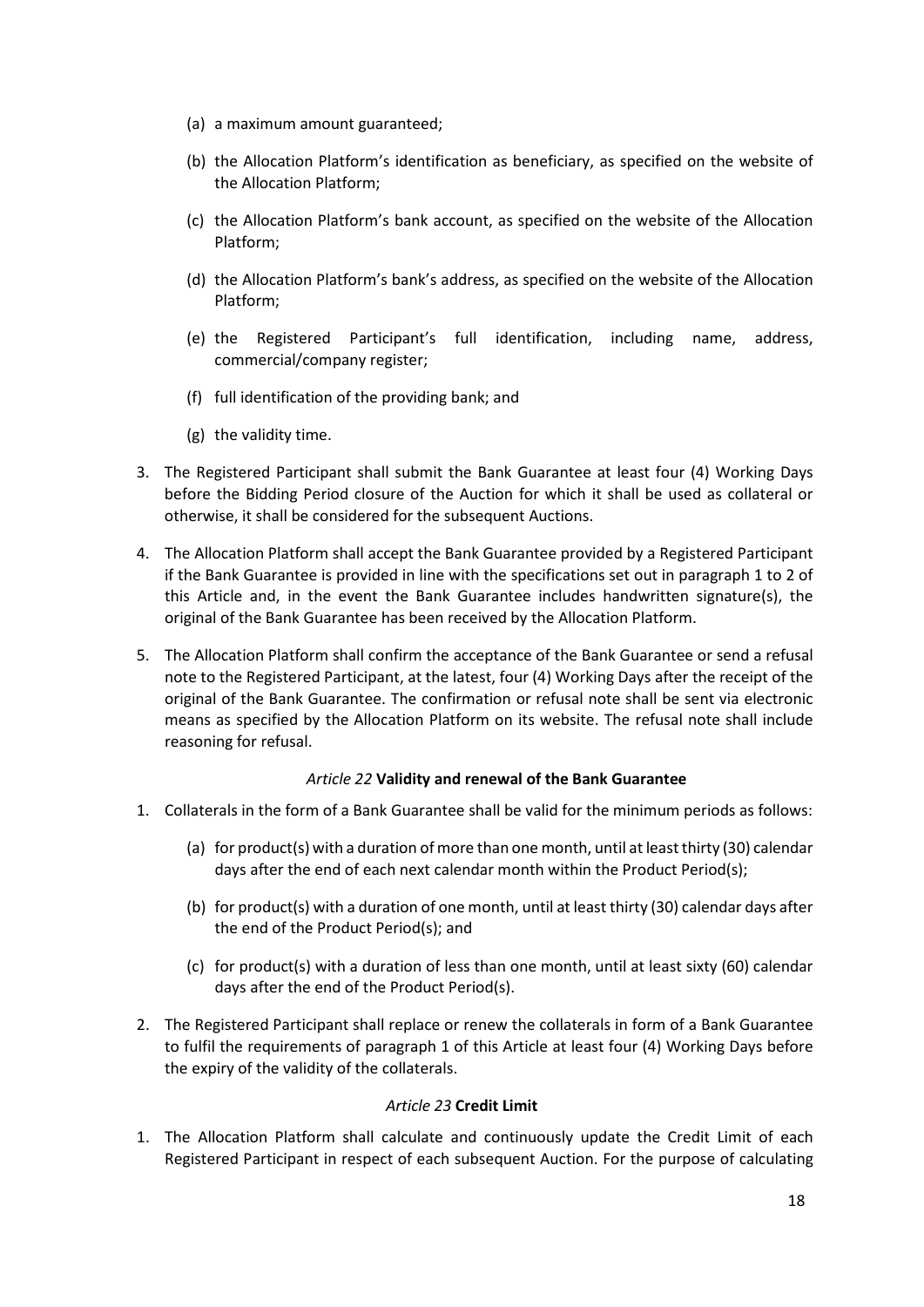- (a) a maximum amount guaranteed;
- (b) the Allocation Platform's identification as beneficiary, as specified on the website of the Allocation Platform;
- (c) the Allocation Platform's bank account, as specified on the website of the Allocation Platform;
- (d) the Allocation Platform's bank's address, as specified on the website of the Allocation Platform;
- (e) the Registered Participant's full identification, including name, address, commercial/company register;
- (f) full identification of the providing bank; and
- (g) the validity time.
- 3. The Registered Participant shall submit the Bank Guarantee at least four (4) Working Days before the Bidding Period closure of the Auction for which it shall be used as collateral or otherwise, it shall be considered for the subsequent Auctions.
- 4. The Allocation Platform shall accept the Bank Guarantee provided by a Registered Participant if the Bank Guarantee is provided in line with the specifications set out in paragraph 1 to 2 of this Article and, in the event the Bank Guarantee includes handwritten signature(s), the original of the Bank Guarantee has been received by the Allocation Platform.
- <span id="page-17-0"></span>5. The Allocation Platform shall confirm the acceptance of the Bank Guarantee or send a refusal note to the Registered Participant, at the latest, four (4) Working Days after the receipt of the original of the Bank Guarantee. The confirmation or refusal note shall be sent via electronic means as specified by the Allocation Platform on its website. The refusal note shall include reasoning for refusal.

#### *Article 22* **Validity and renewal of the Bank Guarantee**

- 1. Collaterals in the form of a Bank Guarantee shall be valid for the minimum periods as follows:
	- (a) for product(s) with a duration of more than one month, until at least thirty (30) calendar days after the end of each next calendar month within the Product Period(s);
	- (b) for product(s) with a duration of one month, until at least thirty (30) calendar days after the end of the Product Period(s); and
	- (c) for product(s) with a duration of less than one month, until at least sixty (60) calendar days after the end of the Product Period(s).
- <span id="page-17-1"></span>2. The Registered Participant shall replace or renew the collaterals in form of a Bank Guarantee to fulfil the requirements of paragraph 1 of this Article at least four (4) Working Days before the expiry of the validity of the collaterals.

#### *Article 23* **Credit Limit**

1. The Allocation Platform shall calculate and continuously update the Credit Limit of each Registered Participant in respect of each subsequent Auction. For the purpose of calculating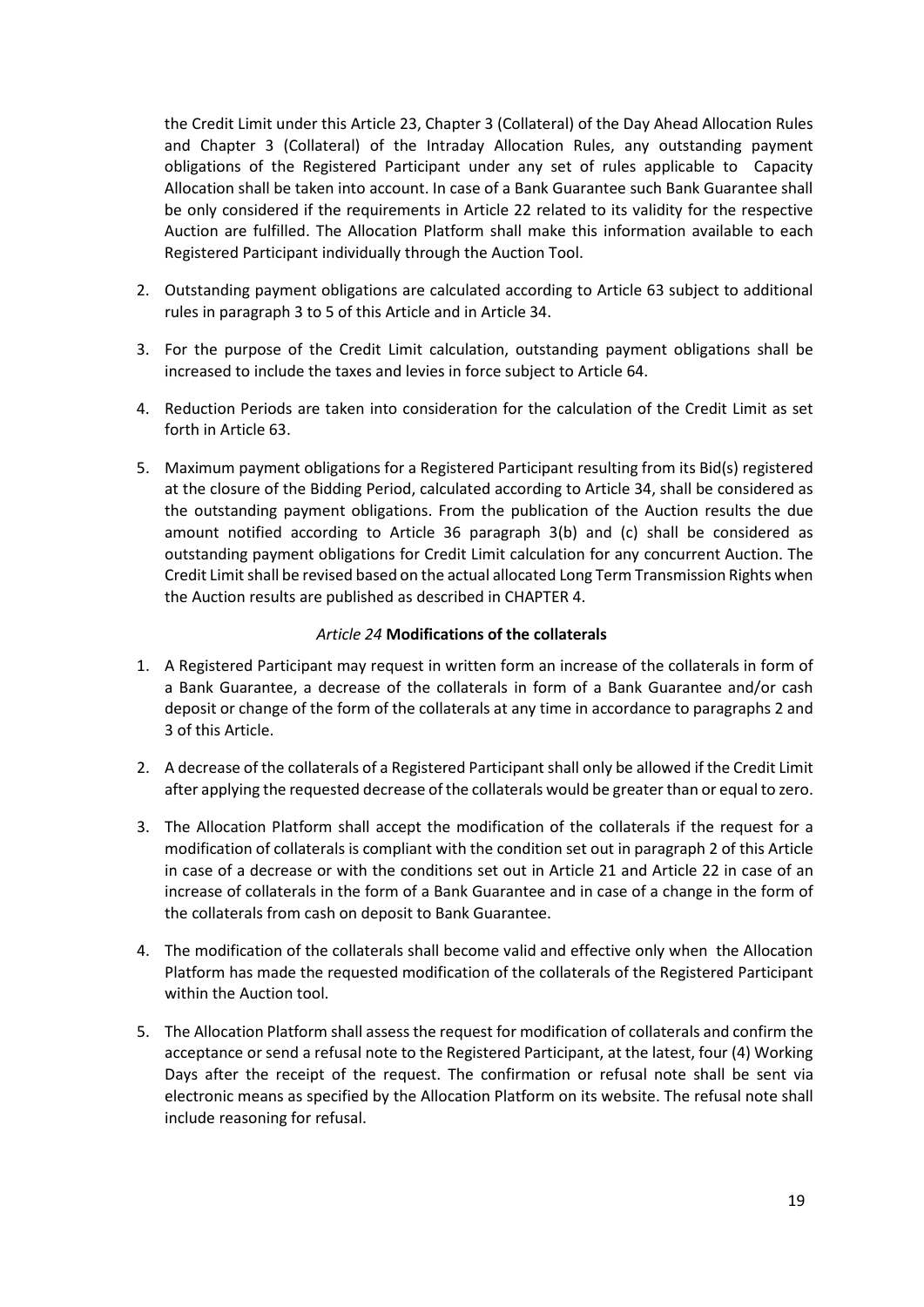the Credit Limit under this Article 23, Chapter 3 (Collateral) of the Day Ahead Allocation Rules and Chapter 3 (Collateral) of the Intraday Allocation Rules, any outstanding payment obligations of the Registered Participant under any set of rules applicable to Capacity Allocation shall be taken into account. In case of a Bank Guarantee such Bank Guarantee shall be only considered if the requirements in Article 22 related to its validity for the respective Auction are fulfilled. The Allocation Platform shall make this information available to each Registered Participant individually through the Auction Tool.

- 2. Outstanding payment obligations are calculated according to Article 63 subject to additional rules in paragraph 3 to 5 of this Article and in Article 34.
- 3. For the purpose of the Credit Limit calculation, outstanding payment obligations shall be increased to include the taxes and levies in force subject to Article 64.
- 4. Reduction Periods are taken into consideration for the calculation of the Credit Limit as set forth in Article 63.
- <span id="page-18-0"></span>5. Maximum payment obligations for a Registered Participant resulting from its Bid(s) registered at the closure of the Bidding Period, calculated according to Article 34, shall be considered as the outstanding payment obligations. From the publication of the Auction results the due amount notified according to Article 36 paragraph 3(b) and (c) shall be considered as outstanding payment obligations for Credit Limit calculation for any concurrent Auction. The Credit Limit shall be revised based on the actual allocated Long Term Transmission Rights when the Auction results are published as described in CHAPTER 4.

#### *Article 24* **Modifications of the collaterals**

- 1. A Registered Participant may request in written form an increase of the collaterals in form of a Bank Guarantee, a decrease of the collaterals in form of a Bank Guarantee and/or cash deposit or change of the form of the collaterals at any time in accordance to paragraphs 2 and 3 of this Article.
- 2. A decrease of the collaterals of a Registered Participant shall only be allowed if the Credit Limit after applying the requested decrease of the collaterals would be greater than or equal to zero.
- 3. The Allocation Platform shall accept the modification of the collaterals if the request for a modification of collaterals is compliant with the condition set out in paragraph 2 of this Article in case of a decrease or with the conditions set out in Article 21 and Article 22 in case of an increase of collaterals in the form of a Bank Guarantee and in case of a change in the form of the collaterals from cash on deposit to Bank Guarantee.
- 4. The modification of the collaterals shall become valid and effective only when the Allocation Platform has made the requested modification of the collaterals of the Registered Participant within the Auction tool.
- 5. The Allocation Platform shall assess the request for modification of collaterals and confirm the acceptance or send a refusal note to the Registered Participant, at the latest, four (4) Working Days after the receipt of the request. The confirmation or refusal note shall be sent via electronic means as specified by the Allocation Platform on its website. The refusal note shall include reasoning for refusal.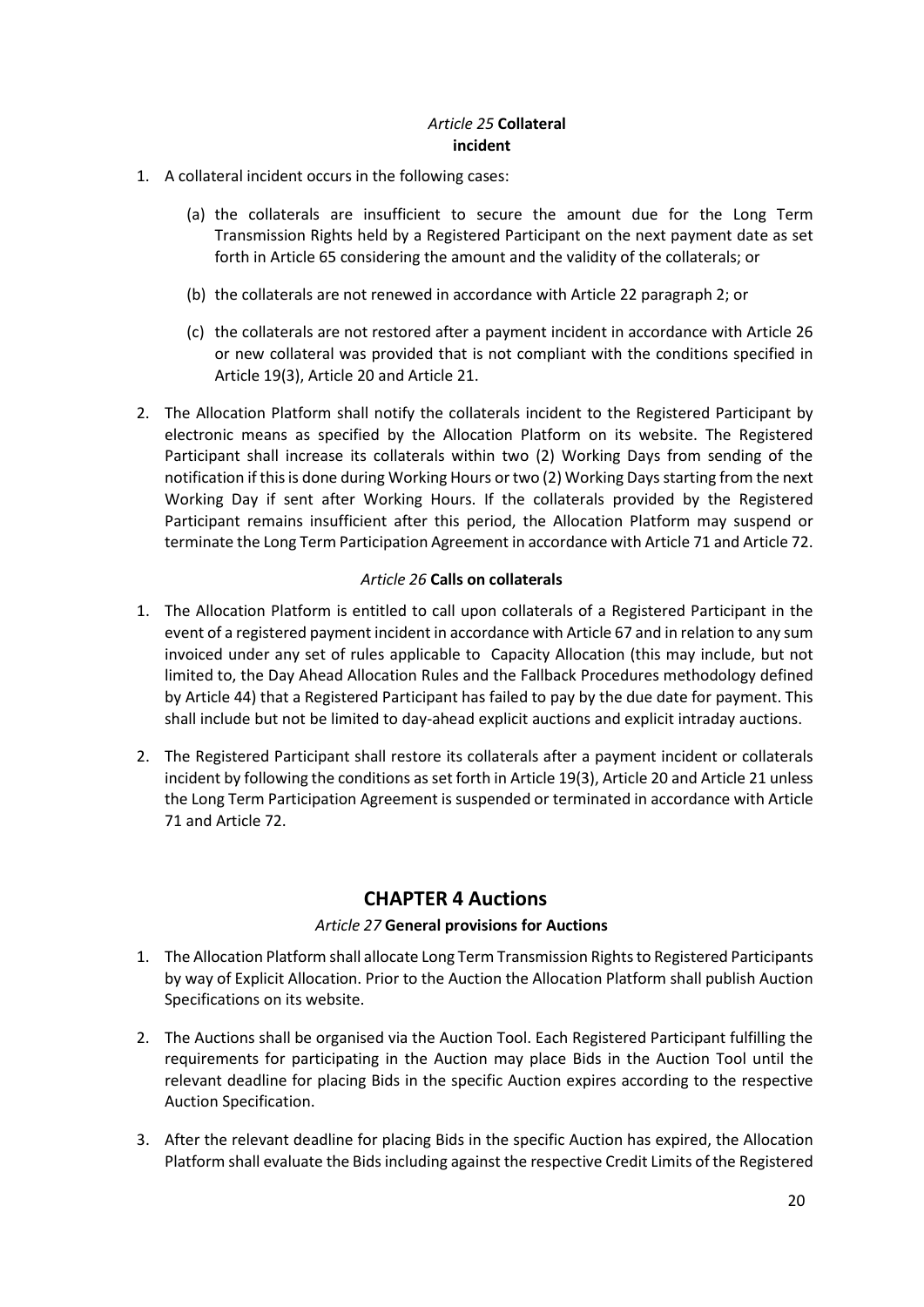# *Article 25* **Collateral incident**

- <span id="page-19-0"></span>1. A collateral incident occurs in the following cases:
	- (a) the collaterals are insufficient to secure the amount due for the Long Term Transmission Rights held by a Registered Participant on the next payment date as set forth in Article 65 considering the amount and the validity of the collaterals; or
	- (b) the collaterals are not renewed in accordance with Article 22 paragraph 2; or
	- (c) the collaterals are not restored after a payment incident in accordance with Article 26 or new collateral was provided that is not compliant with the conditions specified in Article 19(3), Article 20 and Article 21.
- <span id="page-19-1"></span>2. The Allocation Platform shall notify the collaterals incident to the Registered Participant by electronic means as specified by the Allocation Platform on its website. The Registered Participant shall increase its collaterals within two (2) Working Days from sending of the notification if this is done during Working Hours or two (2) Working Days starting from the next Working Day if sent after Working Hours. If the collaterals provided by the Registered Participant remains insufficient after this period, the Allocation Platform may suspend or terminate the Long Term Participation Agreement in accordance with Article 71 and Article 72.

### *Article 26* **Calls on collaterals**

- 1. The Allocation Platform is entitled to call upon collaterals of a Registered Participant in the event of a registered payment incident in accordance with Article 67 and in relation to any sum invoiced under any set of rules applicable to Capacity Allocation (this may include, but not limited to, the Day Ahead Allocation Rules and the Fallback Procedures methodology defined by Article 44) that a Registered Participant has failed to pay by the due date for payment. This shall include but not be limited to day-ahead explicit auctions and explicit intraday auctions.
- <span id="page-19-3"></span><span id="page-19-2"></span>2. The Registered Participant shall restore its collaterals after a payment incident or collaterals incident by following the conditions as set forth in Article 19(3), Article 20 and Article 21 unless the Long Term Participation Agreement is suspended or terminated in accordance with Article 71 and Article 72.

# **CHAPTER 4 Auctions**

# *Article 27* **General provisions for Auctions**

- 1. The Allocation Platform shall allocate Long Term Transmission Rights to Registered Participants by way of Explicit Allocation. Prior to the Auction the Allocation Platform shall publish Auction Specifications on its website.
- 2. The Auctions shall be organised via the Auction Tool. Each Registered Participant fulfilling the requirements for participating in the Auction may place Bids in the Auction Tool until the relevant deadline for placing Bids in the specific Auction expires according to the respective Auction Specification.
- 3. After the relevant deadline for placing Bids in the specific Auction has expired, the Allocation Platform shall evaluate the Bids including against the respective Credit Limits of the Registered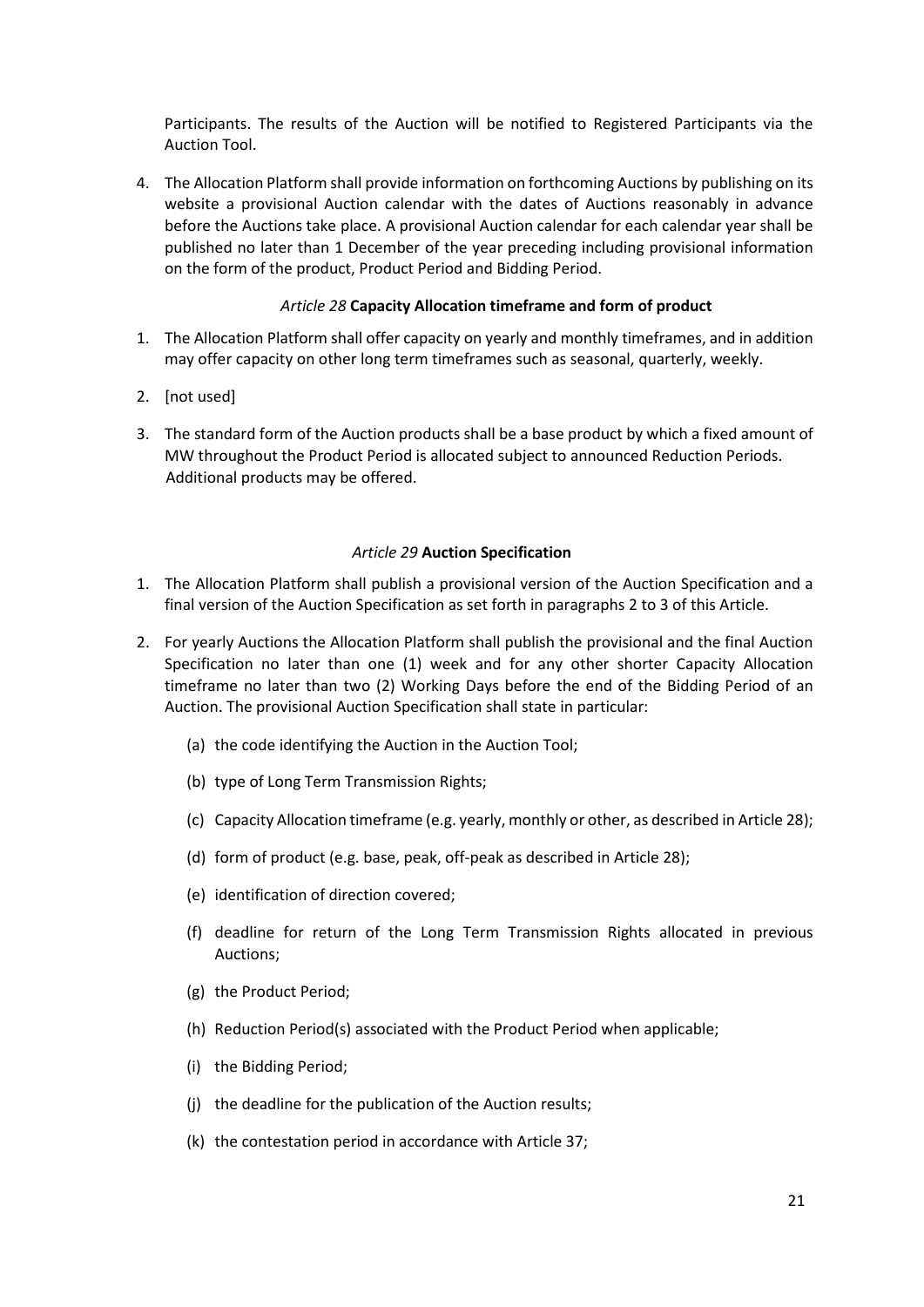Participants. The results of the Auction will be notified to Registered Participants via the Auction Tool.

<span id="page-20-0"></span>4. The Allocation Platform shall provide information on forthcoming Auctions by publishing on its website a provisional Auction calendar with the dates of Auctions reasonably in advance before the Auctions take place. A provisional Auction calendar for each calendar year shall be published no later than 1 December of the year preceding including provisional information on the form of the product, Product Period and Bidding Period.

#### *Article 28* **Capacity Allocation timeframe and form of product**

- 1. The Allocation Platform shall offer capacity on yearly and monthly timeframes, and in addition may offer capacity on other long term timeframes such as seasonal, quarterly, weekly.
- 2. [not used]
- <span id="page-20-1"></span>3. The standard form of the Auction products shall be a base product by which a fixed amount of MW throughout the Product Period is allocated subject to announced Reduction Periods. Additional products may be offered.

#### *Article 29* **Auction Specification**

- 1. The Allocation Platform shall publish a provisional version of the Auction Specification and a final version of the Auction Specification as set forth in paragraphs 2 to 3 of this Article.
- 2. For yearly Auctions the Allocation Platform shall publish the provisional and the final Auction Specification no later than one (1) week and for any other shorter Capacity Allocation timeframe no later than two (2) Working Days before the end of the Bidding Period of an Auction. The provisional Auction Specification shall state in particular:
	- (a) the code identifying the Auction in the Auction Tool;
	- (b) type of Long Term Transmission Rights;
	- (c) Capacity Allocation timeframe (e.g. yearly, monthly or other, as described in Article 28);
	- (d) form of product (e.g. base, peak, off-peak as described in Article 28);
	- (e) identification of direction covered;
	- (f) deadline for return of the Long Term Transmission Rights allocated in previous Auctions;
	- (g) the Product Period;
	- (h) Reduction Period(s) associated with the Product Period when applicable;
	- (i) the Bidding Period;
	- (j) the deadline for the publication of the Auction results;
	- (k) the contestation period in accordance with Article 37;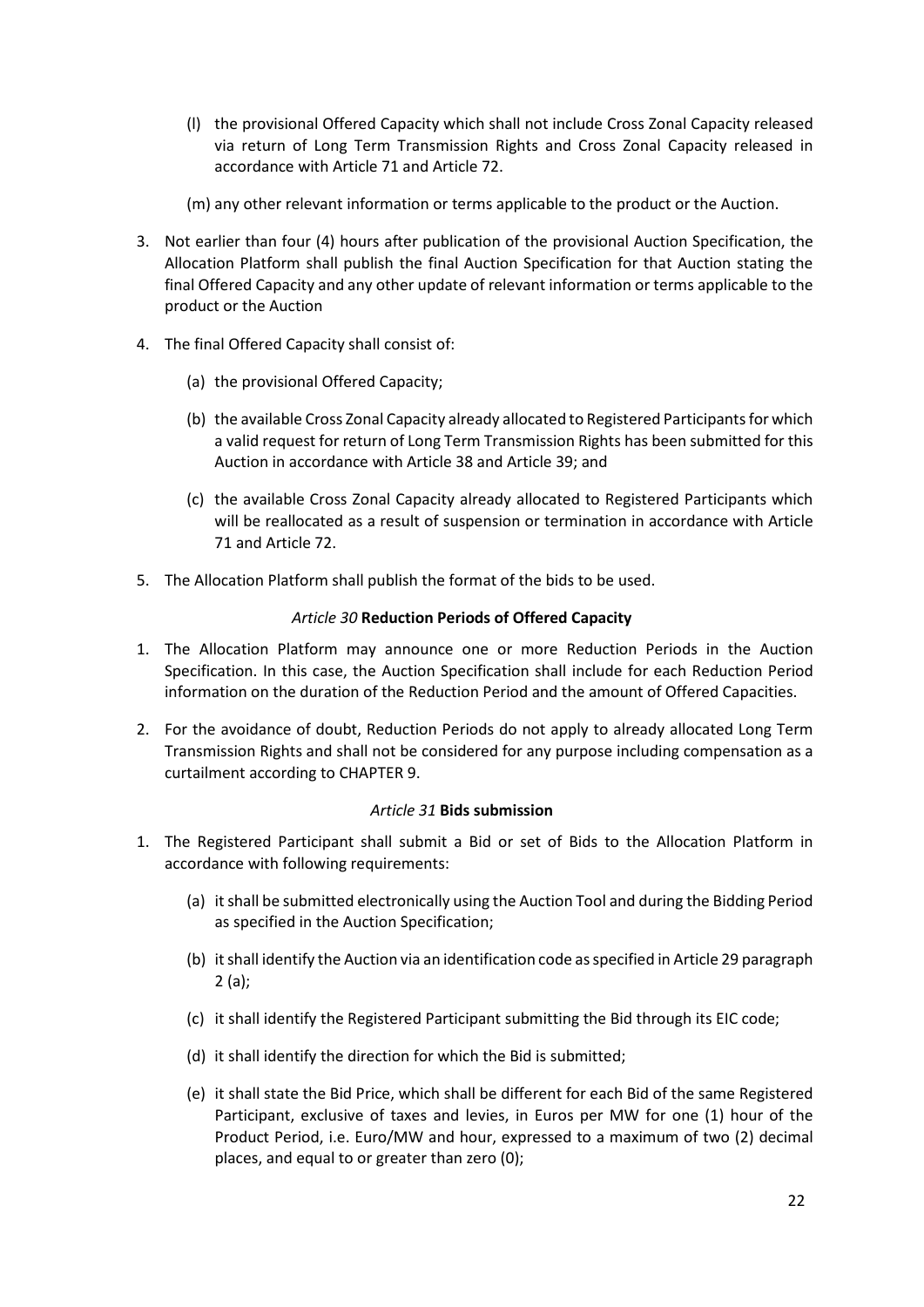- (l) the provisional Offered Capacity which shall not include Cross Zonal Capacity released via return of Long Term Transmission Rights and Cross Zonal Capacity released in accordance with Article 71 and Article 72.
- (m) any other relevant information or terms applicable to the product or the Auction.
- 3. Not earlier than four (4) hours after publication of the provisional Auction Specification, the Allocation Platform shall publish the final Auction Specification for that Auction stating the final Offered Capacity and any other update of relevant information or terms applicable to the product or the Auction
- 4. The final Offered Capacity shall consist of:
	- (a) the provisional Offered Capacity;
	- (b) the available Cross Zonal Capacity already allocated to Registered Participants for which a valid request for return of Long Term Transmission Rights has been submitted for this Auction in accordance with Article 38 and Article 39; and
	- (c) the available Cross Zonal Capacity already allocated to Registered Participants which will be reallocated as a result of suspension or termination in accordance with Article 71 and Article 72.
- <span id="page-21-0"></span>5. The Allocation Platform shall publish the format of the bids to be used.

### *Article 30* **Reduction Periods of Offered Capacity**

- 1. The Allocation Platform may announce one or more Reduction Periods in the Auction Specification. In this case, the Auction Specification shall include for each Reduction Period information on the duration of the Reduction Period and the amount of Offered Capacities.
- <span id="page-21-1"></span>2. For the avoidance of doubt, Reduction Periods do not apply to already allocated Long Term Transmission Rights and shall not be considered for any purpose including compensation as a curtailment according to CHAPTER 9.

#### *Article 31* **Bids submission**

- 1. The Registered Participant shall submit a Bid or set of Bids to the Allocation Platform in accordance with following requirements:
	- (a) it shall be submitted electronically using the Auction Tool and during the Bidding Period as specified in the Auction Specification;
	- (b) it shall identify the Auction via an identification code as specified in Article 29 paragraph 2 (a);
	- (c) it shall identify the Registered Participant submitting the Bid through its EIC code;
	- (d) it shall identify the direction for which the Bid is submitted;
	- (e) it shall state the Bid Price, which shall be different for each Bid of the same Registered Participant, exclusive of taxes and levies, in Euros per MW for one (1) hour of the Product Period, i.e. Euro/MW and hour, expressed to a maximum of two (2) decimal places, and equal to or greater than zero (0);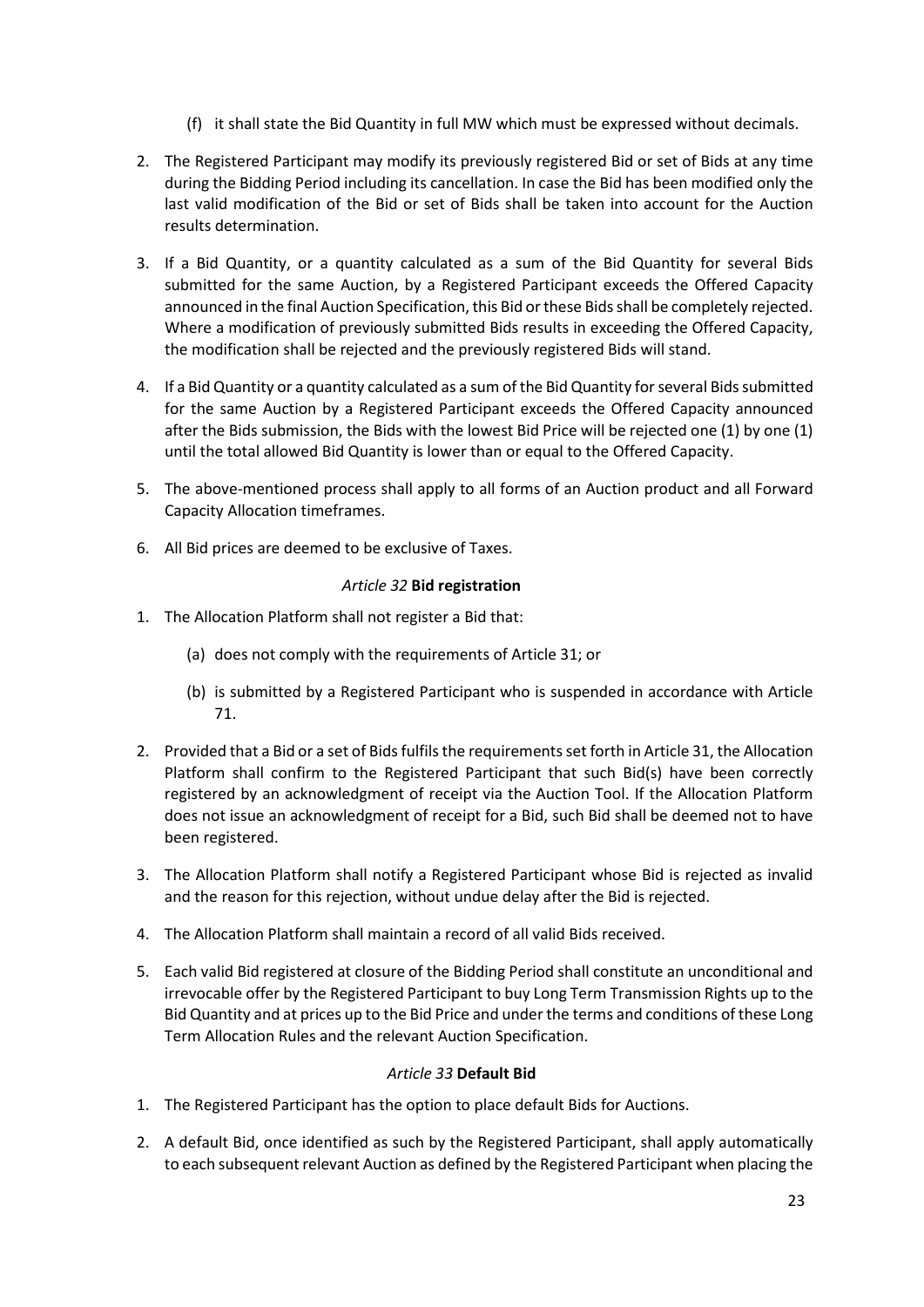- (f) it shall state the Bid Quantity in full MW which must be expressed without decimals.
- 2. The Registered Participant may modify its previously registered Bid or set of Bids at any time during the Bidding Period including its cancellation. In case the Bid has been modified only the last valid modification of the Bid or set of Bids shall be taken into account for the Auction results determination.
- 3. If a Bid Quantity, or a quantity calculated as a sum of the Bid Quantity for several Bids submitted for the same Auction, by a Registered Participant exceeds the Offered Capacity announced in the final Auction Specification, this Bid or these Bids shall be completely rejected. Where a modification of previously submitted Bids results in exceeding the Offered Capacity, the modification shall be rejected and the previously registered Bids will stand.
- 4. If a Bid Quantity or a quantity calculated as a sum of the Bid Quantity for several Bids submitted for the same Auction by a Registered Participant exceeds the Offered Capacity announced after the Bids submission, the Bids with the lowest Bid Price will be rejected one (1) by one (1) until the total allowed Bid Quantity is lower than or equal to the Offered Capacity.
- 5. The above-mentioned process shall apply to all forms of an Auction product and all Forward Capacity Allocation timeframes.
- 6. All Bid prices are deemed to be exclusive of Taxes.

#### <span id="page-22-0"></span> *Article 32* **Bid registration**

- 1. The Allocation Platform shall not register a Bid that:
	- (a) does not comply with the requirements of Article 31; or
	- (b) is submitted by a Registered Participant who is suspended in accordance with Article 71.
- 2. Provided that a Bid or a set of Bids fulfils the requirements set forth in Article 31, the Allocation Platform shall confirm to the Registered Participant that such Bid(s) have been correctly registered by an acknowledgment of receipt via the Auction Tool. If the Allocation Platform does not issue an acknowledgment of receipt for a Bid, such Bid shall be deemed not to have been registered.
- 3. The Allocation Platform shall notify a Registered Participant whose Bid is rejected as invalid and the reason for this rejection, without undue delay after the Bid is rejected.
- 4. The Allocation Platform shall maintain a record of all valid Bids received.
- <span id="page-22-1"></span>5. Each valid Bid registered at closure of the Bidding Period shall constitute an unconditional and irrevocable offer by the Registered Participant to buy Long Term Transmission Rights up to the Bid Quantity and at prices up to the Bid Price and under the terms and conditions of these Long Term Allocation Rules and the relevant Auction Specification.

#### *Article 33* **Default Bid**

- 1. The Registered Participant has the option to place default Bids for Auctions.
- 2. A default Bid, once identified as such by the Registered Participant, shall apply automatically to each subsequent relevant Auction as defined by the Registered Participant when placing the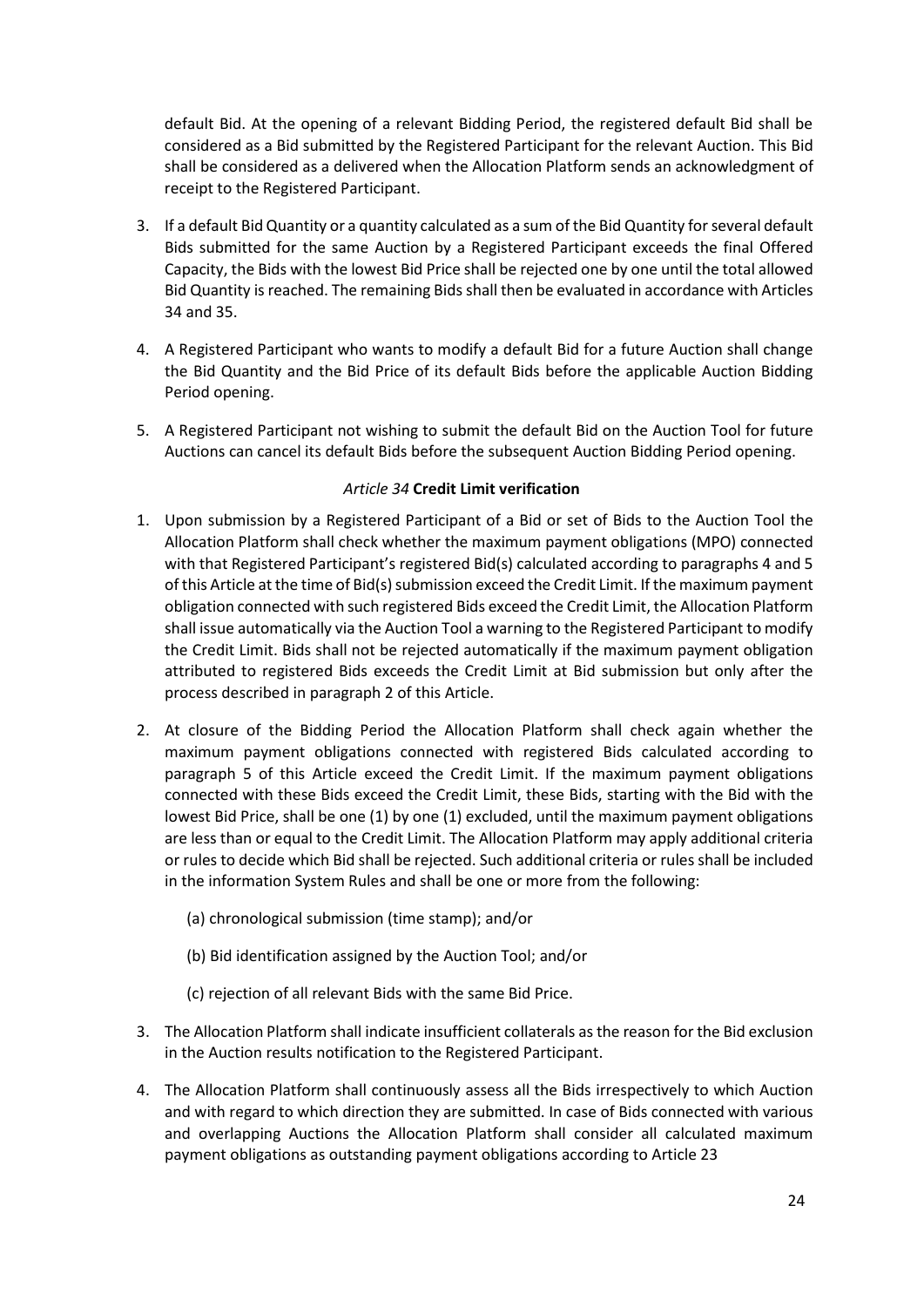default Bid. At the opening of a relevant Bidding Period, the registered default Bid shall be considered as a Bid submitted by the Registered Participant for the relevant Auction. This Bid shall be considered as a delivered when the Allocation Platform sends an acknowledgment of receipt to the Registered Participant.

- 3. If a default Bid Quantity or a quantity calculated as a sum of the Bid Quantity for several default Bids submitted for the same Auction by a Registered Participant exceeds the final Offered Capacity, the Bids with the lowest Bid Price shall be rejected one by one until the total allowed Bid Quantity is reached. The remaining Bids shall then be evaluated in accordance with Articles 34 and 35.
- 4. A Registered Participant who wants to modify a default Bid for a future Auction shall change the Bid Quantity and the Bid Price of its default Bids before the applicable Auction Bidding Period opening.
- <span id="page-23-0"></span>5. A Registered Participant not wishing to submit the default Bid on the Auction Tool for future Auctions can cancel its default Bids before the subsequent Auction Bidding Period opening.

### *Article 34* **Credit Limit verification**

- 1. Upon submission by a Registered Participant of a Bid or set of Bids to the Auction Tool the Allocation Platform shall check whether the maximum payment obligations (MPO) connected with that Registered Participant's registered Bid(s) calculated according to paragraphs 4 and 5 of this Article at the time of Bid(s) submission exceed the Credit Limit. If the maximum payment obligation connected with such registered Bids exceed the Credit Limit, the Allocation Platform shall issue automatically via the Auction Tool a warning to the Registered Participant to modify the Credit Limit. Bids shall not be rejected automatically if the maximum payment obligation attributed to registered Bids exceeds the Credit Limit at Bid submission but only after the process described in paragraph 2 of this Article.
- 2. At closure of the Bidding Period the Allocation Platform shall check again whether the maximum payment obligations connected with registered Bids calculated according to paragraph 5 of this Article exceed the Credit Limit. If the maximum payment obligations connected with these Bids exceed the Credit Limit, these Bids, starting with the Bid with the lowest Bid Price, shall be one (1) by one (1) excluded, until the maximum payment obligations are less than or equal to the Credit Limit. The Allocation Platform may apply additional criteria or rules to decide which Bid shall be rejected. Such additional criteria or rules shall be included in the information System Rules and shall be one or more from the following:
	- (a) chronological submission (time stamp); and/or
	- (b) Bid identification assigned by the Auction Tool; and/or
	- (c) rejection of all relevant Bids with the same Bid Price.
- 3. The Allocation Platform shall indicate insufficient collaterals as the reason for the Bid exclusion in the Auction results notification to the Registered Participant.
- 4. The Allocation Platform shall continuously assess all the Bids irrespectively to which Auction and with regard to which direction they are submitted. In case of Bids connected with various and overlapping Auctions the Allocation Platform shall consider all calculated maximum payment obligations as outstanding payment obligations according to Article 23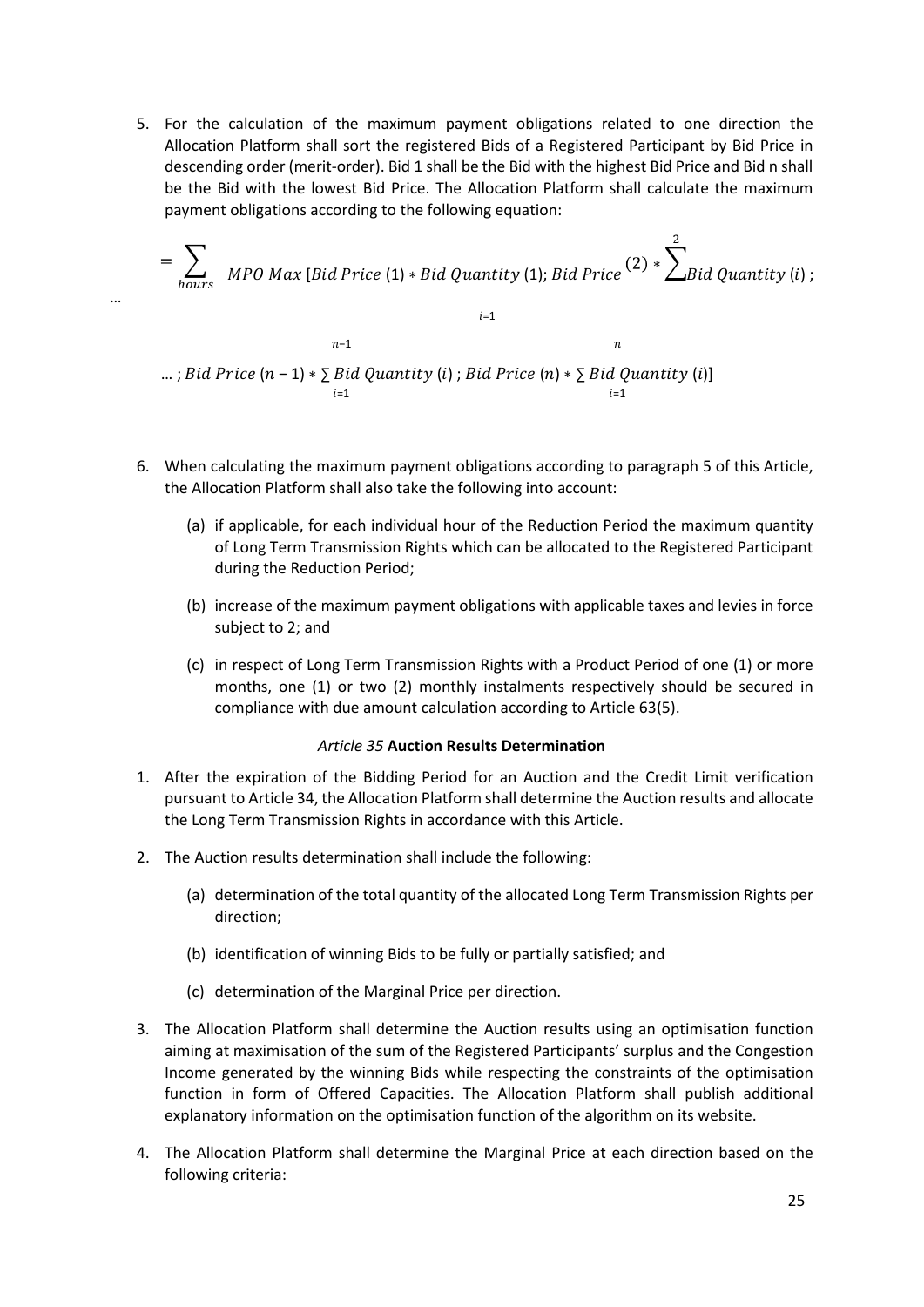5. For the calculation of the maximum payment obligations related to one direction the Allocation Platform shall sort the registered Bids of a Registered Participant by Bid Price in descending order (merit-order). Bid 1 shall be the Bid with the highest Bid Price and Bid n shall be the Bid with the lowest Bid Price. The Allocation Platform shall calculate the maximum payment obligations according to the following equation:

$$
= \sum_{hours} MPO Max [Bid Price (1) * Bid Quantity (1); Bid Price (2) * \sum_{i=1}^{2} Bid Quantity (i);
$$
  
...; Bid Price (n - 1) \*  $\sum_{i=1}^{n-1} Bid Quantity (i); Bid Price (n) * \sum_{i=1}^{n} Bid Quantity (i)]$   
...

- 6. When calculating the maximum payment obligations according to paragraph 5 of this Article, the Allocation Platform shall also take the following into account:
	- (a) if applicable, for each individual hour of the Reduction Period the maximum quantity of Long Term Transmission Rights which can be allocated to the Registered Participant during the Reduction Period;
	- (b) increase of the maximum payment obligations with applicable taxes and levies in force subject to 2; and
	- (c) in respect of Long Term Transmission Rights with a Product Period of one (1) or more months, one (1) or two (2) monthly instalments respectively should be secured in compliance with due amount calculation according to Article 63(5).

#### *Article 35* **Auction Results Determination**

- <span id="page-24-0"></span>1. After the expiration of the Bidding Period for an Auction and the Credit Limit verification pursuant to Article 34, the Allocation Platform shall determine the Auction results and allocate the Long Term Transmission Rights in accordance with this Article.
- 2. The Auction results determination shall include the following:

…

- (a) determination of the total quantity of the allocated Long Term Transmission Rights per direction;
- (b) identification of winning Bids to be fully or partially satisfied; and
- (c) determination of the Marginal Price per direction.
- 3. The Allocation Platform shall determine the Auction results using an optimisation function aiming at maximisation of the sum of the Registered Participants' surplus and the Congestion Income generated by the winning Bids while respecting the constraints of the optimisation function in form of Offered Capacities. The Allocation Platform shall publish additional explanatory information on the optimisation function of the algorithm on its website.
- 4. The Allocation Platform shall determine the Marginal Price at each direction based on the following criteria: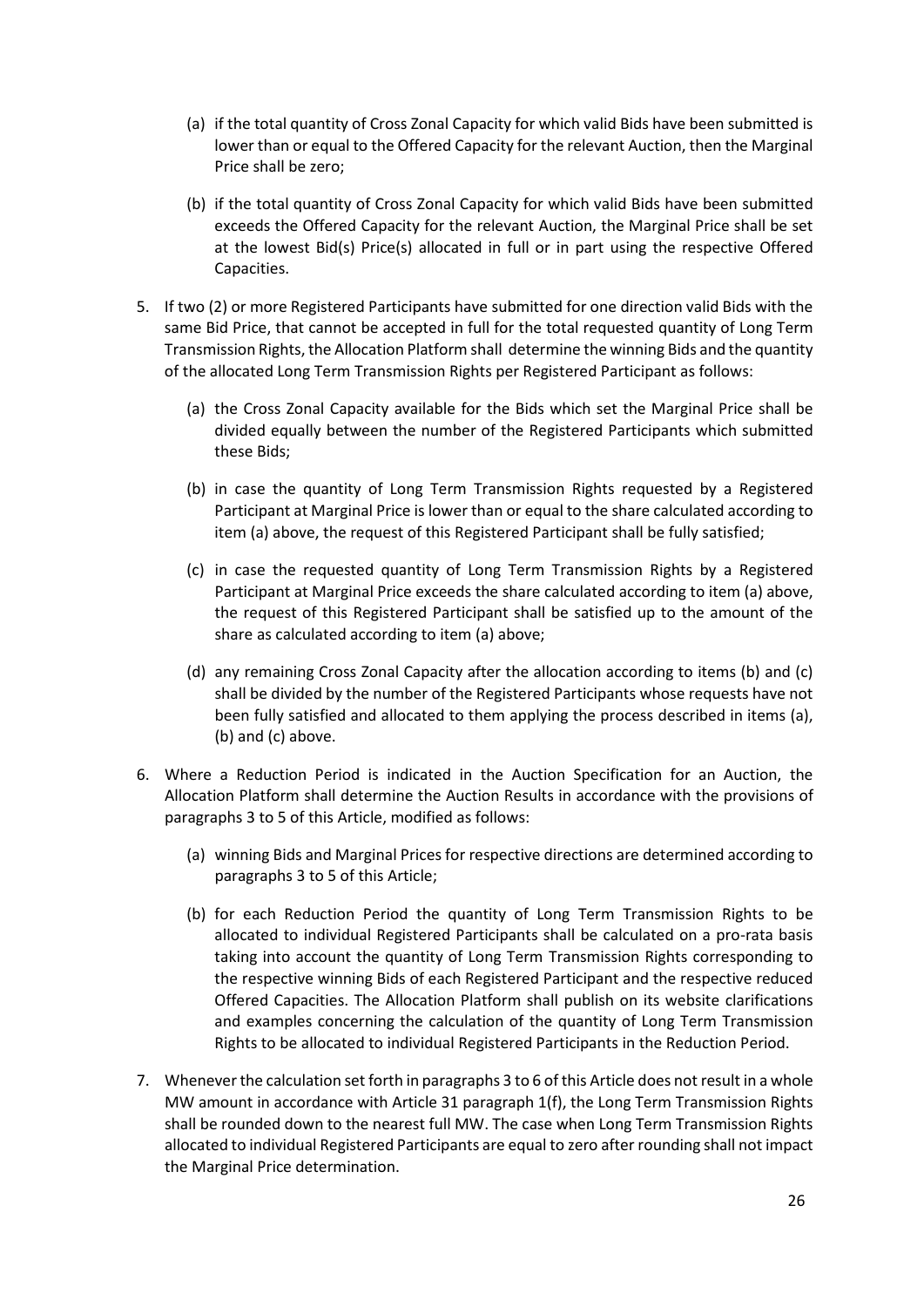- (a) if the total quantity of Cross Zonal Capacity for which valid Bids have been submitted is lower than or equal to the Offered Capacity for the relevant Auction, then the Marginal Price shall be zero;
- (b) if the total quantity of Cross Zonal Capacity for which valid Bids have been submitted exceeds the Offered Capacity for the relevant Auction, the Marginal Price shall be set at the lowest Bid(s) Price(s) allocated in full or in part using the respective Offered Capacities.
- 5. If two (2) or more Registered Participants have submitted for one direction valid Bids with the same Bid Price, that cannot be accepted in full for the total requested quantity of Long Term Transmission Rights, the Allocation Platform shall determine the winning Bids and the quantity of the allocated Long Term Transmission Rights per Registered Participant as follows:
	- (a) the Cross Zonal Capacity available for the Bids which set the Marginal Price shall be divided equally between the number of the Registered Participants which submitted these Bids;
	- (b) in case the quantity of Long Term Transmission Rights requested by a Registered Participant at Marginal Price is lower than or equal to the share calculated according to item (a) above, the request of this Registered Participant shall be fully satisfied;
	- (c) in case the requested quantity of Long Term Transmission Rights by a Registered Participant at Marginal Price exceeds the share calculated according to item (a) above, the request of this Registered Participant shall be satisfied up to the amount of the share as calculated according to item (a) above;
	- (d) any remaining Cross Zonal Capacity after the allocation according to items (b) and (c) shall be divided by the number of the Registered Participants whose requests have not been fully satisfied and allocated to them applying the process described in items (a), (b) and (c) above.
- 6. Where a Reduction Period is indicated in the Auction Specification for an Auction, the Allocation Platform shall determine the Auction Results in accordance with the provisions of paragraphs 3 to 5 of this Article, modified as follows:
	- (a) winning Bids and Marginal Prices for respective directions are determined according to paragraphs 3 to 5 of this Article;
	- (b) for each Reduction Period the quantity of Long Term Transmission Rights to be allocated to individual Registered Participants shall be calculated on a pro-rata basis taking into account the quantity of Long Term Transmission Rights corresponding to the respective winning Bids of each Registered Participant and the respective reduced Offered Capacities. The Allocation Platform shall publish on its website clarifications and examples concerning the calculation of the quantity of Long Term Transmission Rights to be allocated to individual Registered Participants in the Reduction Period.
- 7. Whenever the calculation set forth in paragraphs 3 to 6 of this Article does not result in a whole MW amount in accordance with Article 31 paragraph 1(f), the Long Term Transmission Rights shall be rounded down to the nearest full MW. The case when Long Term Transmission Rights allocated to individual Registered Participants are equal to zero after rounding shall not impact the Marginal Price determination.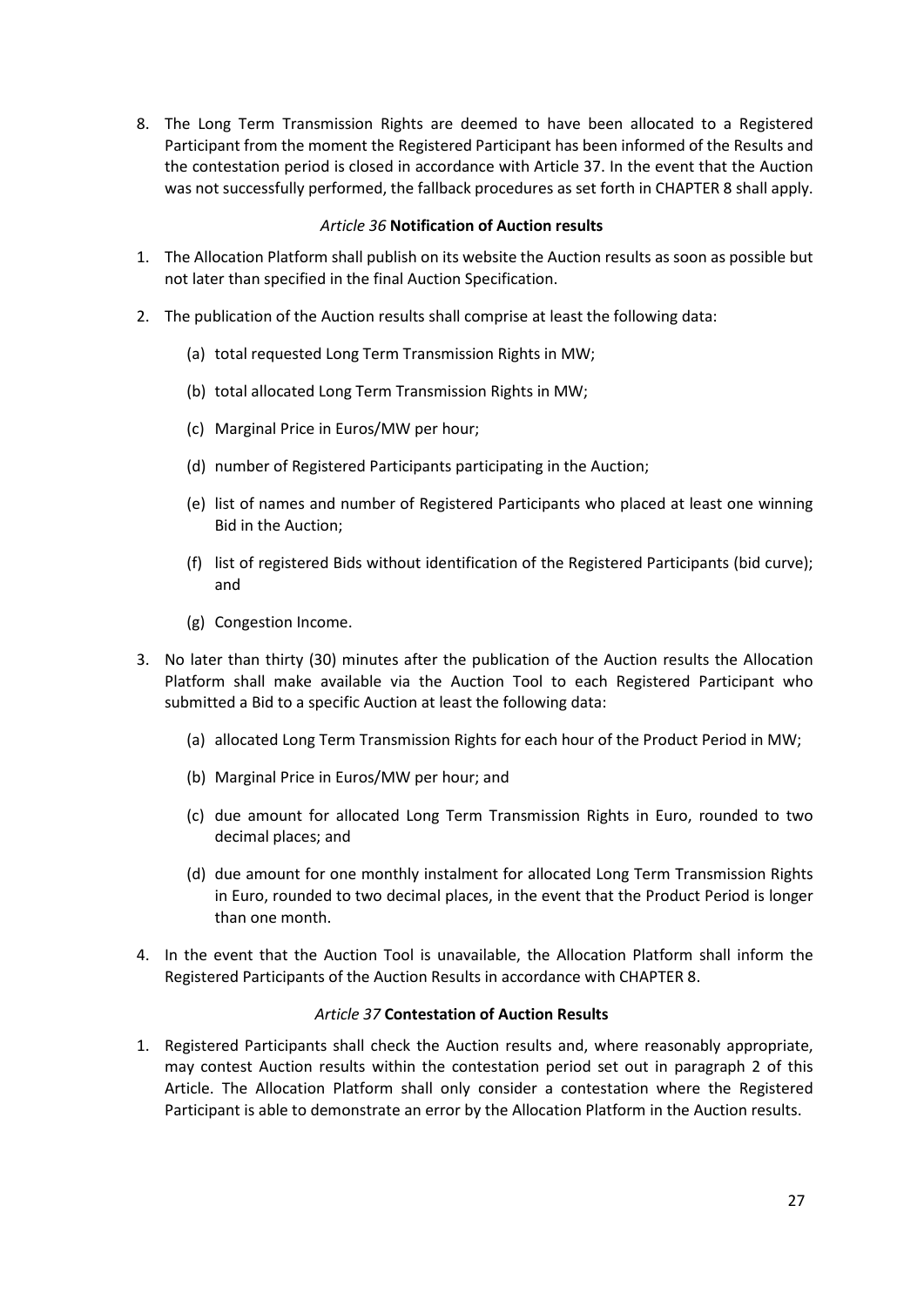<span id="page-26-0"></span>8. The Long Term Transmission Rights are deemed to have been allocated to a Registered Participant from the moment the Registered Participant has been informed of the Results and the contestation period is closed in accordance with Article 37. In the event that the Auction was not successfully performed, the fallback procedures as set forth in CHAPTER 8 shall apply.

#### *Article 36* **Notification of Auction results**

- 1. The Allocation Platform shall publish on its website the Auction results as soon as possible but not later than specified in the final Auction Specification.
- 2. The publication of the Auction results shall comprise at least the following data:
	- (a) total requested Long Term Transmission Rights in MW;
	- (b) total allocated Long Term Transmission Rights in MW;
	- (c) Marginal Price in Euros/MW per hour;
	- (d) number of Registered Participants participating in the Auction;
	- (e) list of names and number of Registered Participants who placed at least one winning Bid in the Auction;
	- (f) list of registered Bids without identification of the Registered Participants (bid curve); and
	- (g) Congestion Income.
- 3. No later than thirty (30) minutes after the publication of the Auction results the Allocation Platform shall make available via the Auction Tool to each Registered Participant who submitted a Bid to a specific Auction at least the following data:
	- (a) allocated Long Term Transmission Rights for each hour of the Product Period in MW;
	- (b) Marginal Price in Euros/MW per hour; and
	- (c) due amount for allocated Long Term Transmission Rights in Euro, rounded to two decimal places; and
	- (d) due amount for one monthly instalment for allocated Long Term Transmission Rights in Euro, rounded to two decimal places, in the event that the Product Period is longer than one month.
- <span id="page-26-1"></span>4. In the event that the Auction Tool is unavailable, the Allocation Platform shall inform the Registered Participants of the Auction Results in accordance with CHAPTER 8.

#### *Article 37* **Contestation of Auction Results**

1. Registered Participants shall check the Auction results and, where reasonably appropriate, may contest Auction results within the contestation period set out in paragraph 2 of this Article. The Allocation Platform shall only consider a contestation where the Registered Participant is able to demonstrate an error by the Allocation Platform in the Auction results.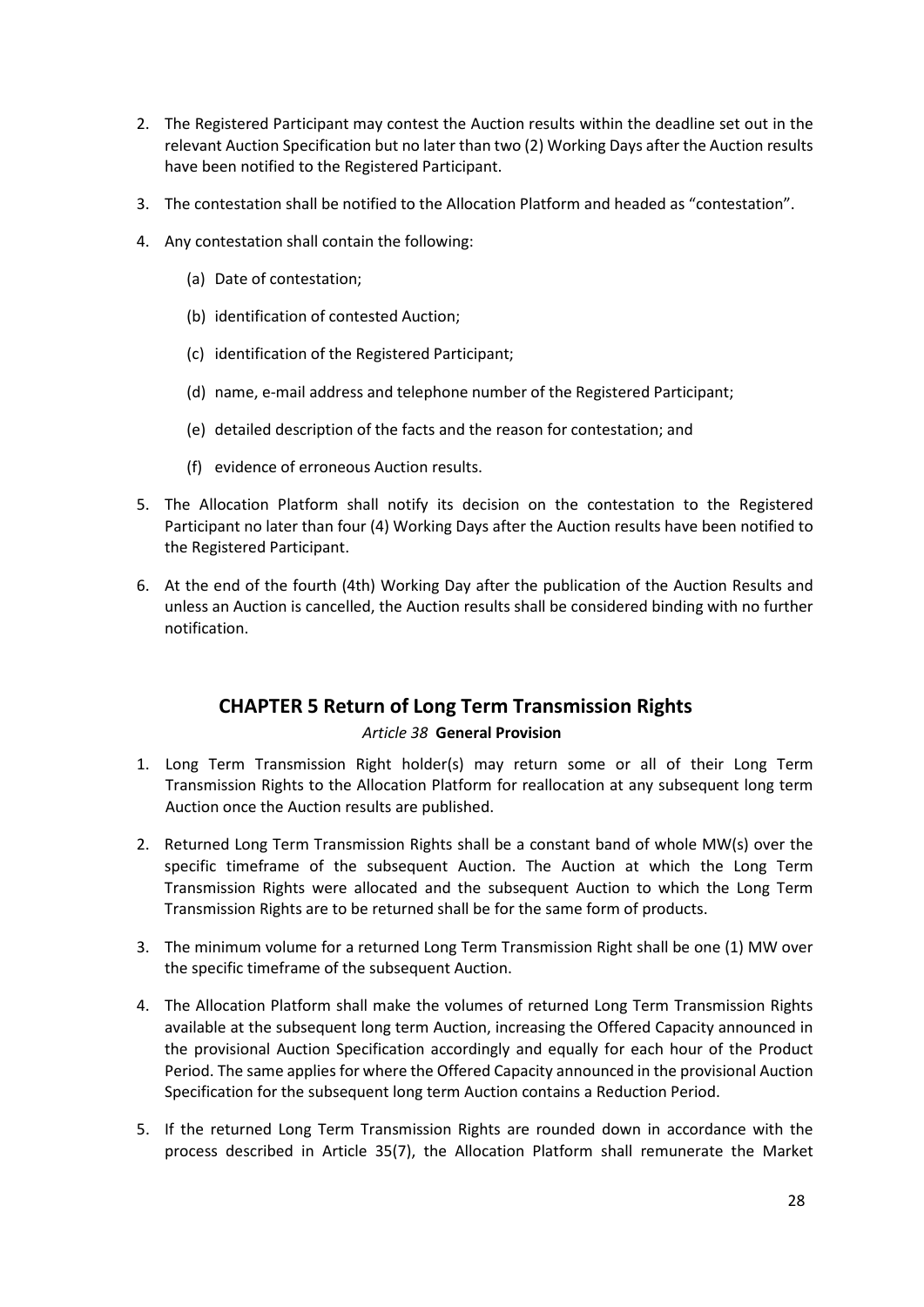- 2. The Registered Participant may contest the Auction results within the deadline set out in the relevant Auction Specification but no later than two (2) Working Days after the Auction results have been notified to the Registered Participant.
- 3. The contestation shall be notified to the Allocation Platform and headed as "contestation".
- 4. Any contestation shall contain the following:
	- (a) Date of contestation;
	- (b) identification of contested Auction;
	- (c) identification of the Registered Participant;
	- (d) name, e-mail address and telephone number of the Registered Participant;
	- (e) detailed description of the facts and the reason for contestation; and
	- (f) evidence of erroneous Auction results.
- 5. The Allocation Platform shall notify its decision on the contestation to the Registered Participant no later than four (4) Working Days after the Auction results have been notified to the Registered Participant.
- <span id="page-27-1"></span><span id="page-27-0"></span>6. At the end of the fourth (4th) Working Day after the publication of the Auction Results and unless an Auction is cancelled, the Auction results shall be considered binding with no further notification.

# **CHAPTER 5 Return of Long Term Transmission Rights**

#### *Article 38* **General Provision**

- 1. Long Term Transmission Right holder(s) may return some or all of their Long Term Transmission Rights to the Allocation Platform for reallocation at any subsequent long term Auction once the Auction results are published.
- 2. Returned Long Term Transmission Rights shall be a constant band of whole MW(s) over the specific timeframe of the subsequent Auction. The Auction at which the Long Term Transmission Rights were allocated and the subsequent Auction to which the Long Term Transmission Rights are to be returned shall be for the same form of products.
- 3. The minimum volume for a returned Long Term Transmission Right shall be one (1) MW over the specific timeframe of the subsequent Auction.
- 4. The Allocation Platform shall make the volumes of returned Long Term Transmission Rights available at the subsequent long term Auction, increasing the Offered Capacity announced in the provisional Auction Specification accordingly and equally for each hour of the Product Period. The same applies for where the Offered Capacity announced in the provisional Auction Specification for the subsequent long term Auction contains a Reduction Period.
- 5. If the returned Long Term Transmission Rights are rounded down in accordance with the process described in Article 35(7), the Allocation Platform shall remunerate the Market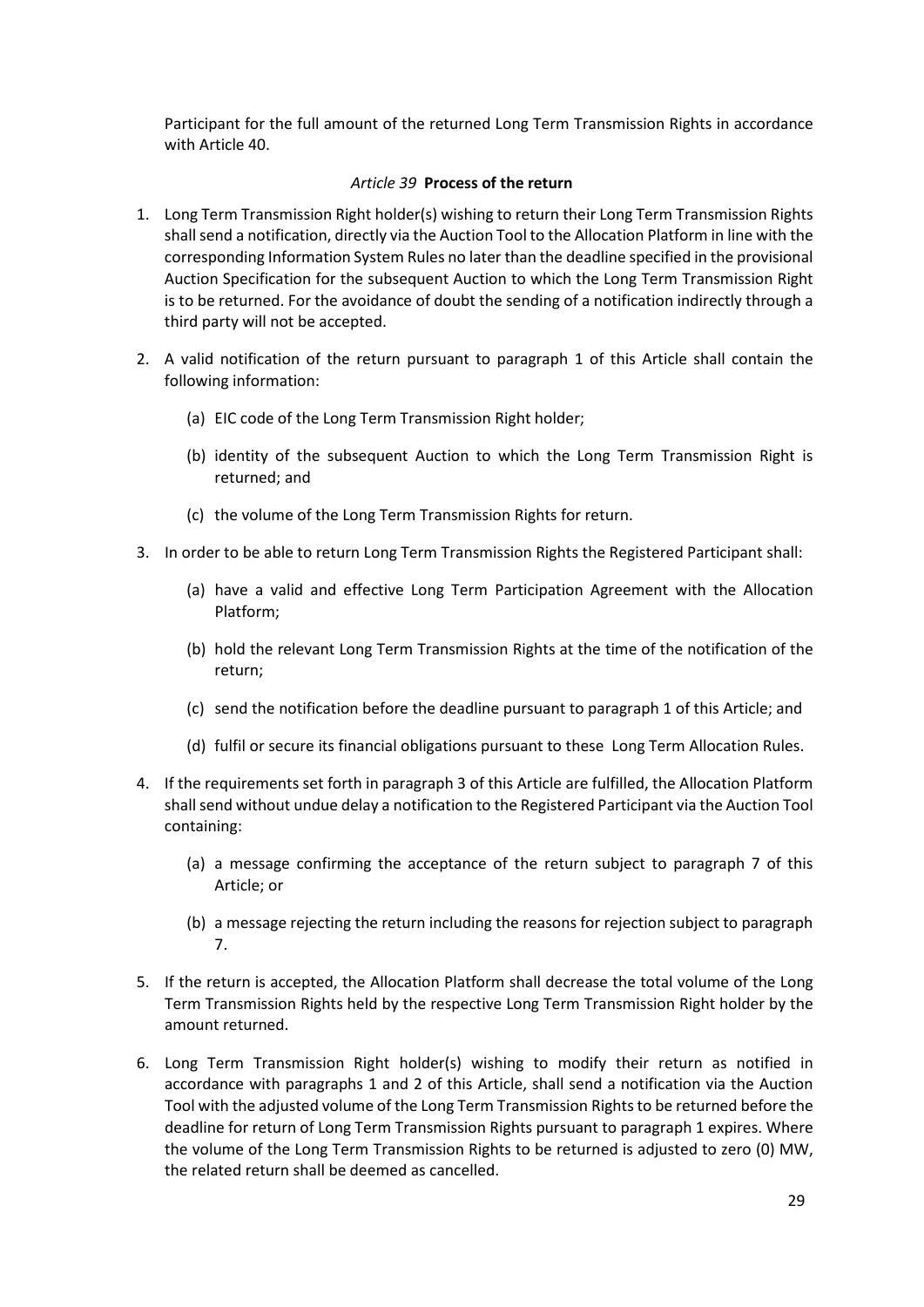<span id="page-28-0"></span>Participant for the full amount of the returned Long Term Transmission Rights in accordance with Article 40.

#### *Article 39* **Process of the return**

- 1. Long Term Transmission Right holder(s) wishing to return their Long Term Transmission Rights shall send a notification, directly via the Auction Tool to the Allocation Platform in line with the corresponding Information System Rules no later than the deadline specified in the provisional Auction Specification for the subsequent Auction to which the Long Term Transmission Right is to be returned. For the avoidance of doubt the sending of a notification indirectly through a third party will not be accepted.
- 2. A valid notification of the return pursuant to paragraph 1 of this Article shall contain the following information:
	- (a) EIC code of the Long Term Transmission Right holder;
	- (b) identity of the subsequent Auction to which the Long Term Transmission Right is returned; and
	- (c) the volume of the Long Term Transmission Rights for return.
- 3. In order to be able to return Long Term Transmission Rights the Registered Participant shall:
	- (a) have a valid and effective Long Term Participation Agreement with the Allocation Platform;
	- (b) hold the relevant Long Term Transmission Rights at the time of the notification of the return;
	- (c) send the notification before the deadline pursuant to paragraph 1 of this Article; and
	- (d) fulfil or secure its financial obligations pursuant to these Long Term Allocation Rules.
- 4. If the requirements set forth in paragraph 3 of this Article are fulfilled, the Allocation Platform shall send without undue delay a notification to the Registered Participant via the Auction Tool containing:
	- (a) a message confirming the acceptance of the return subject to paragraph 7 of this Article; or
	- (b) a message rejecting the return including the reasons for rejection subject to paragraph 7.
- 5. If the return is accepted, the Allocation Platform shall decrease the total volume of the Long Term Transmission Rights held by the respective Long Term Transmission Right holder by the amount returned.
- 6. Long Term Transmission Right holder(s) wishing to modify their return as notified in accordance with paragraphs 1 and 2 of this Article, shall send a notification via the Auction Tool with the adjusted volume of the Long Term Transmission Rights to be returned before the deadline for return of Long Term Transmission Rights pursuant to paragraph 1 expires. Where the volume of the Long Term Transmission Rights to be returned is adjusted to zero (0) MW, the related return shall be deemed as cancelled.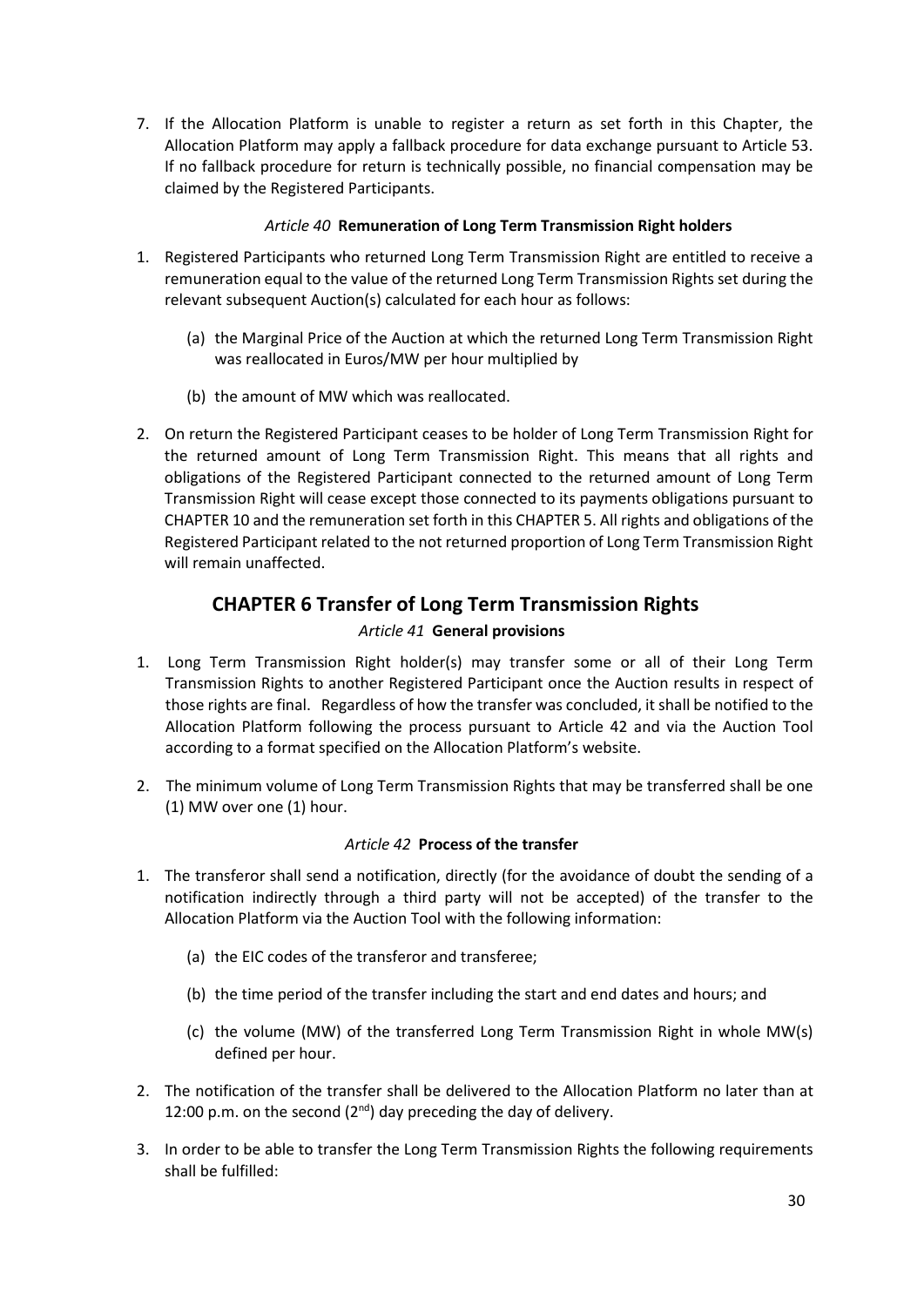<span id="page-29-0"></span>7. If the Allocation Platform is unable to register a return as set forth in this Chapter, the Allocation Platform may apply a fallback procedure for data exchange pursuant to Article 53. If no fallback procedure for return is technically possible, no financial compensation may be claimed by the Registered Participants.

## *Article 40* **Remuneration of Long Term Transmission Right holders**

- 1. Registered Participants who returned Long Term Transmission Right are entitled to receive a remuneration equal to the value of the returned Long Term Transmission Rights set during the relevant subsequent Auction(s) calculated for each hour as follows:
	- (a) the Marginal Price of the Auction at which the returned Long Term Transmission Right was reallocated in Euros/MW per hour multiplied by
	- (b) the amount of MW which was reallocated.
- <span id="page-29-1"></span>2. On return the Registered Participant ceases to be holder of Long Term Transmission Right for the returned amount of Long Term Transmission Right. This means that all rights and obligations of the Registered Participant connected to the returned amount of Long Term Transmission Right will cease except those connected to its payments obligations pursuant to CHAPTER 10 and the remuneration set forth in this CHAPTER 5. All rights and obligations of the Registered Participant related to the not returned proportion of Long Term Transmission Right will remain unaffected.

# **CHAPTER 6 Transfer of Long Term Transmission Rights**

# *Article 41* **General provisions**

- <span id="page-29-2"></span>1. Long Term Transmission Right holder(s) may transfer some or all of their Long Term Transmission Rights to another Registered Participant once the Auction results in respect of those rights are final. Regardless of how the transfer was concluded, it shall be notified to the Allocation Platform following the process pursuant to Article 42 and via the Auction Tool according to a format specified on the Allocation Platform's website.
- <span id="page-29-3"></span>2. The minimum volume of Long Term Transmission Rights that may be transferred shall be one (1) MW over one (1) hour.

# *Article 42* **Process of the transfer**

- 1. The transferor shall send a notification, directly (for the avoidance of doubt the sending of a notification indirectly through a third party will not be accepted) of the transfer to the Allocation Platform via the Auction Tool with the following information:
	- (a) the EIC codes of the transferor and transferee;
	- (b) the time period of the transfer including the start and end dates and hours; and
	- (c) the volume (MW) of the transferred Long Term Transmission Right in whole MW(s) defined per hour.
- 2. The notification of the transfer shall be delivered to the Allocation Platform no later than at 12:00 p.m. on the second  $(2^{nd})$  day preceding the day of delivery.
- 3. In order to be able to transfer the Long Term Transmission Rights the following requirements shall be fulfilled: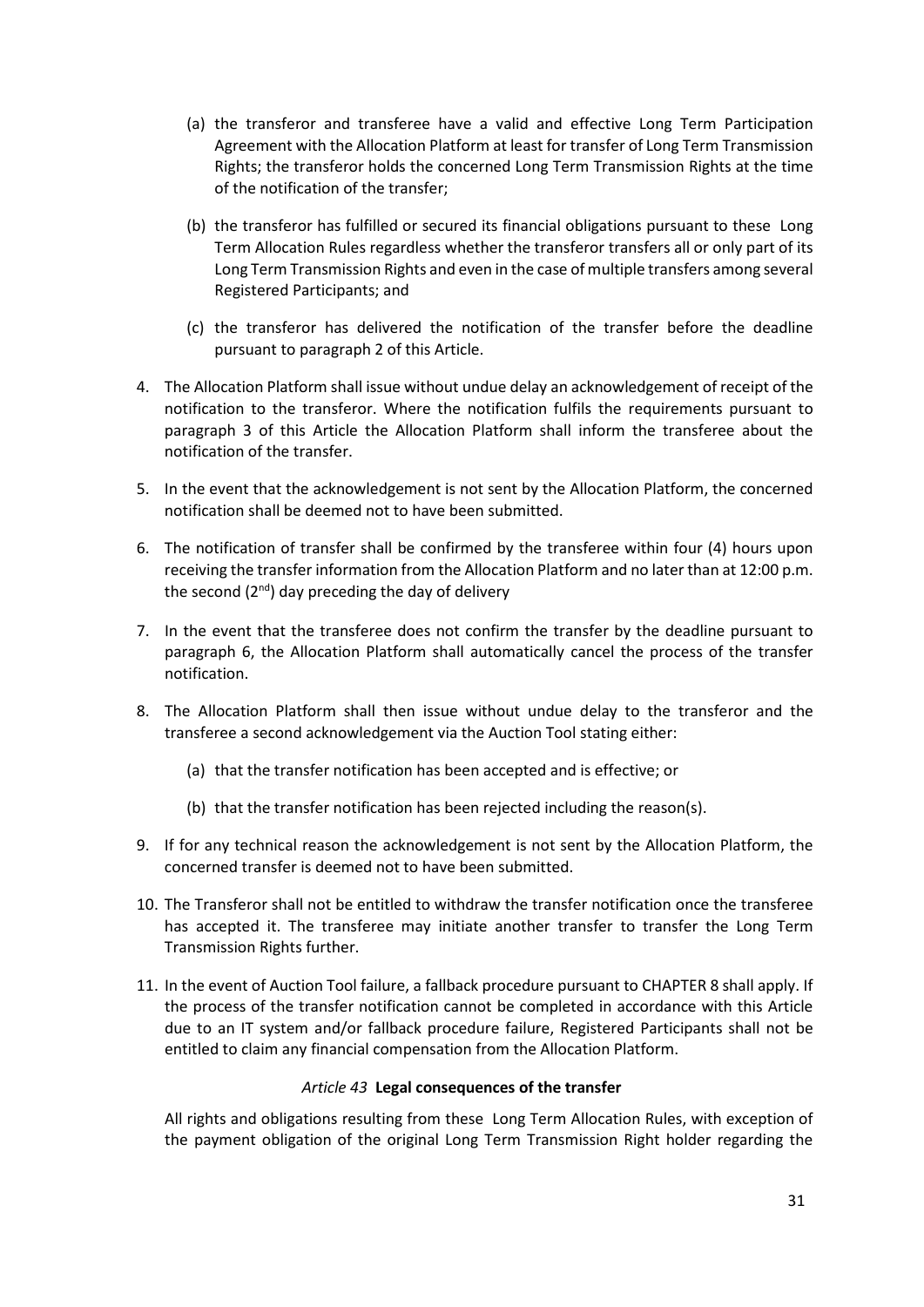- (a) the transferor and transferee have a valid and effective Long Term Participation Agreement with the Allocation Platform at least for transfer of Long Term Transmission Rights; the transferor holds the concerned Long Term Transmission Rights at the time of the notification of the transfer;
- (b) the transferor has fulfilled or secured its financial obligations pursuant to these Long Term Allocation Rules regardless whether the transferor transfers all or only part of its Long Term Transmission Rights and even in the case of multiple transfers among several Registered Participants; and
- (c) the transferor has delivered the notification of the transfer before the deadline pursuant to paragraph 2 of this Article.
- 4. The Allocation Platform shall issue without undue delay an acknowledgement of receipt of the notification to the transferor. Where the notification fulfils the requirements pursuant to paragraph 3 of this Article the Allocation Platform shall inform the transferee about the notification of the transfer.
- 5. In the event that the acknowledgement is not sent by the Allocation Platform, the concerned notification shall be deemed not to have been submitted.
- 6. The notification of transfer shall be confirmed by the transferee within four (4) hours upon receiving the transfer information from the Allocation Platform and no later than at 12:00 p.m. the second  $(2^{nd})$  day preceding the day of delivery
- 7. In the event that the transferee does not confirm the transfer by the deadline pursuant to paragraph 6, the Allocation Platform shall automatically cancel the process of the transfer notification.
- 8. The Allocation Platform shall then issue without undue delay to the transferor and the transferee a second acknowledgement via the Auction Tool stating either:
	- (a) that the transfer notification has been accepted and is effective; or
	- (b) that the transfer notification has been rejected including the reason(s).
- 9. If for any technical reason the acknowledgement is not sent by the Allocation Platform, the concerned transfer is deemed not to have been submitted.
- 10. The Transferor shall not be entitled to withdraw the transfer notification once the transferee has accepted it. The transferee may initiate another transfer to transfer the Long Term Transmission Rights further.
- <span id="page-30-0"></span>11. In the event of Auction Tool failure, a fallback procedure pursuant to CHAPTER 8 shall apply. If the process of the transfer notification cannot be completed in accordance with this Article due to an IT system and/or fallback procedure failure, Registered Participants shall not be entitled to claim any financial compensation from the Allocation Platform.

#### *Article 43* **Legal consequences of the transfer**

All rights and obligations resulting from these Long Term Allocation Rules, with exception of the payment obligation of the original Long Term Transmission Right holder regarding the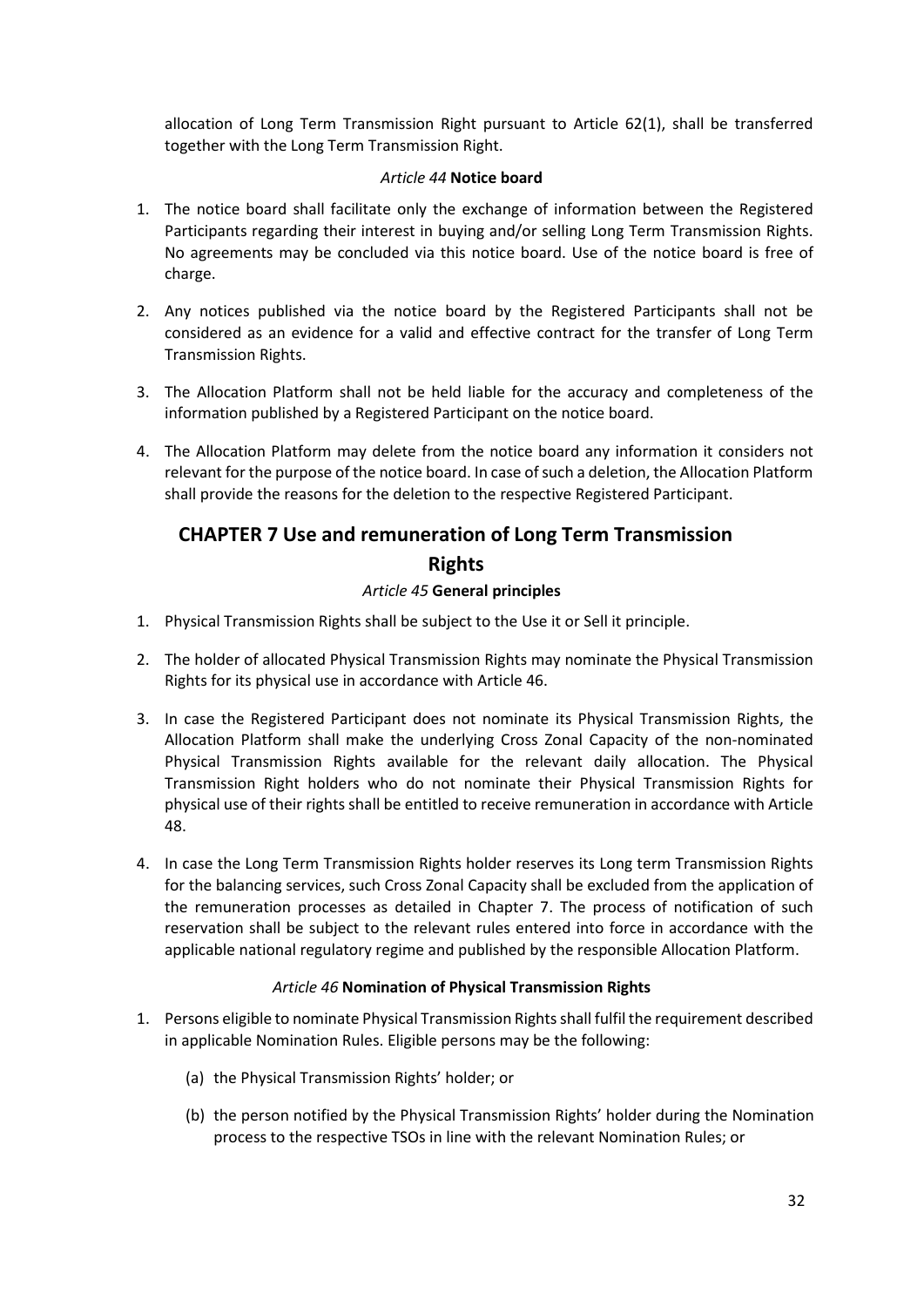<span id="page-31-0"></span>allocation of Long Term Transmission Right pursuant to Article 62(1), shall be transferred together with the Long Term Transmission Right.

#### *Article 44* **Notice board**

- 1. The notice board shall facilitate only the exchange of information between the Registered Participants regarding their interest in buying and/or selling Long Term Transmission Rights. No agreements may be concluded via this notice board. Use of the notice board is free of charge.
- 2. Any notices published via the notice board by the Registered Participants shall not be considered as an evidence for a valid and effective contract for the transfer of Long Term Transmission Rights.
- 3. The Allocation Platform shall not be held liable for the accuracy and completeness of the information published by a Registered Participant on the notice board.
- <span id="page-31-2"></span><span id="page-31-1"></span>4. The Allocation Platform may delete from the notice board any information it considers not relevant for the purpose of the notice board. In case of such a deletion, the Allocation Platform shall provide the reasons for the deletion to the respective Registered Participant.

# **CHAPTER 7 Use and remuneration of Long Term Transmission**

# **Rights**

# *Article 45* **General principles**

- 1. Physical Transmission Rights shall be subject to the Use it or Sell it principle.
- 2. The holder of allocated Physical Transmission Rights may nominate the Physical Transmission Rights for its physical use in accordance with Article 46.
- 3. In case the Registered Participant does not nominate its Physical Transmission Rights, the Allocation Platform shall make the underlying Cross Zonal Capacity of the non-nominated Physical Transmission Rights available for the relevant daily allocation. The Physical Transmission Right holders who do not nominate their Physical Transmission Rights for physical use of their rights shall be entitled to receive remuneration in accordance with Article 48.
- <span id="page-31-3"></span>4. In case the Long Term Transmission Rights holder reserves its Long term Transmission Rights for the balancing services, such Cross Zonal Capacity shall be excluded from the application of the remuneration processes as detailed in Chapter 7. The process of notification of such reservation shall be subject to the relevant rules entered into force in accordance with the applicable national regulatory regime and published by the responsible Allocation Platform.

# *Article 46* **Nomination of Physical Transmission Rights**

- 1. Persons eligible to nominate Physical Transmission Rights shall fulfil the requirement described in applicable Nomination Rules. Eligible persons may be the following:
	- (a) the Physical Transmission Rights' holder; or
	- (b) the person notified by the Physical Transmission Rights' holder during the Nomination process to the respective TSOs in line with the relevant Nomination Rules; or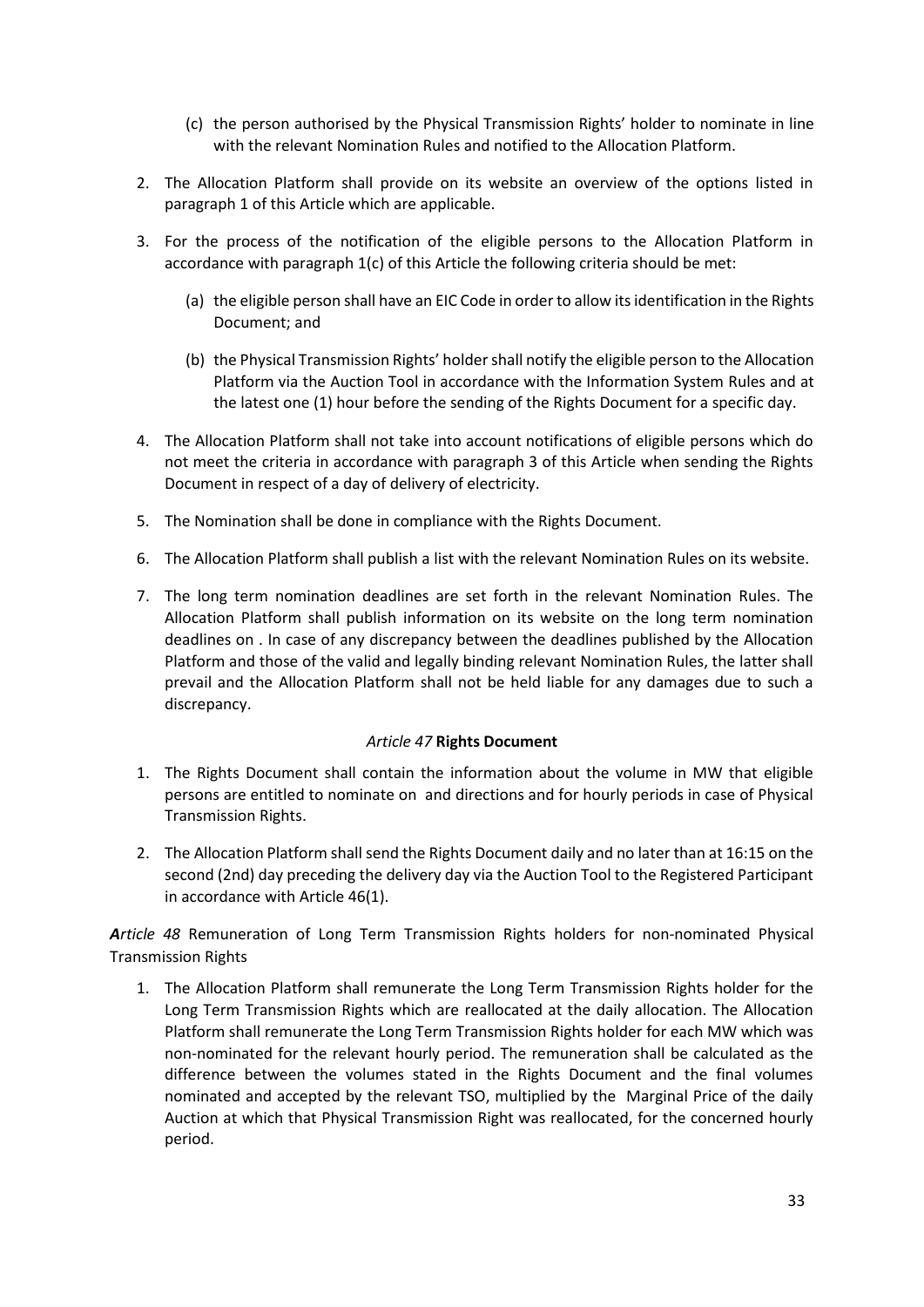- (c) the person authorised by the Physical Transmission Rights' holder to nominate in line with the relevant Nomination Rules and notified to the Allocation Platform.
- 2. The Allocation Platform shall provide on its website an overview of the options listed in paragraph 1 of this Article which are applicable.
- 3. For the process of the notification of the eligible persons to the Allocation Platform in accordance with paragraph  $1(c)$  of this Article the following criteria should be met:
	- (a) the eligible person shall have an EIC Code in order to allow its identification in the Rights Document; and
	- (b) the Physical Transmission Rights' holder shall notify the eligible person to the Allocation Platform via the Auction Tool in accordance with the Information System Rules and at the latest one (1) hour before the sending of the Rights Document for a specific day.
- 4. The Allocation Platform shall not take into account notifications of eligible persons which do not meet the criteria in accordance with paragraph 3 of this Article when sending the Rights Document in respect of a day of delivery of electricity.
- 5. The Nomination shall be done in compliance with the Rights Document.
- 6. The Allocation Platform shall publish a list with the relevant Nomination Rules on its website.
- <span id="page-32-0"></span>7. The long term nomination deadlines are set forth in the relevant Nomination Rules. The Allocation Platform shall publish information on its website on the long term nomination deadlines on . In case of any discrepancy between the deadlines published by the Allocation Platform and those of the valid and legally binding relevant Nomination Rules, the latter shall prevail and the Allocation Platform shall not be held liable for any damages due to such a discrepancy.

#### *Article 47* **Rights Document**

- 1. The Rights Document shall contain the information about the volume in MW that eligible persons are entitled to nominate on and directions and for hourly periods in case of Physical Transmission Rights.
- <span id="page-32-1"></span>2. The Allocation Platform shall send the Rights Document daily and no later than at 16:15 on the second (2nd) day preceding the delivery day via the Auction Tool to the Registered Participant in accordance with Article 46(1).

*Article 48* Remuneration of Long Term Transmission Rights holders for non-nominated Physical Transmission Rights

1. The Allocation Platform shall remunerate the Long Term Transmission Rights holder for the Long Term Transmission Rights which are reallocated at the daily allocation. The Allocation Platform shall remunerate the Long Term Transmission Rights holder for each MW which was non-nominated for the relevant hourly period. The remuneration shall be calculated as the difference between the volumes stated in the Rights Document and the final volumes nominated and accepted by the relevant TSO, multiplied by the Marginal Price of the daily Auction at which that Physical Transmission Right was reallocated, for the concerned hourly period.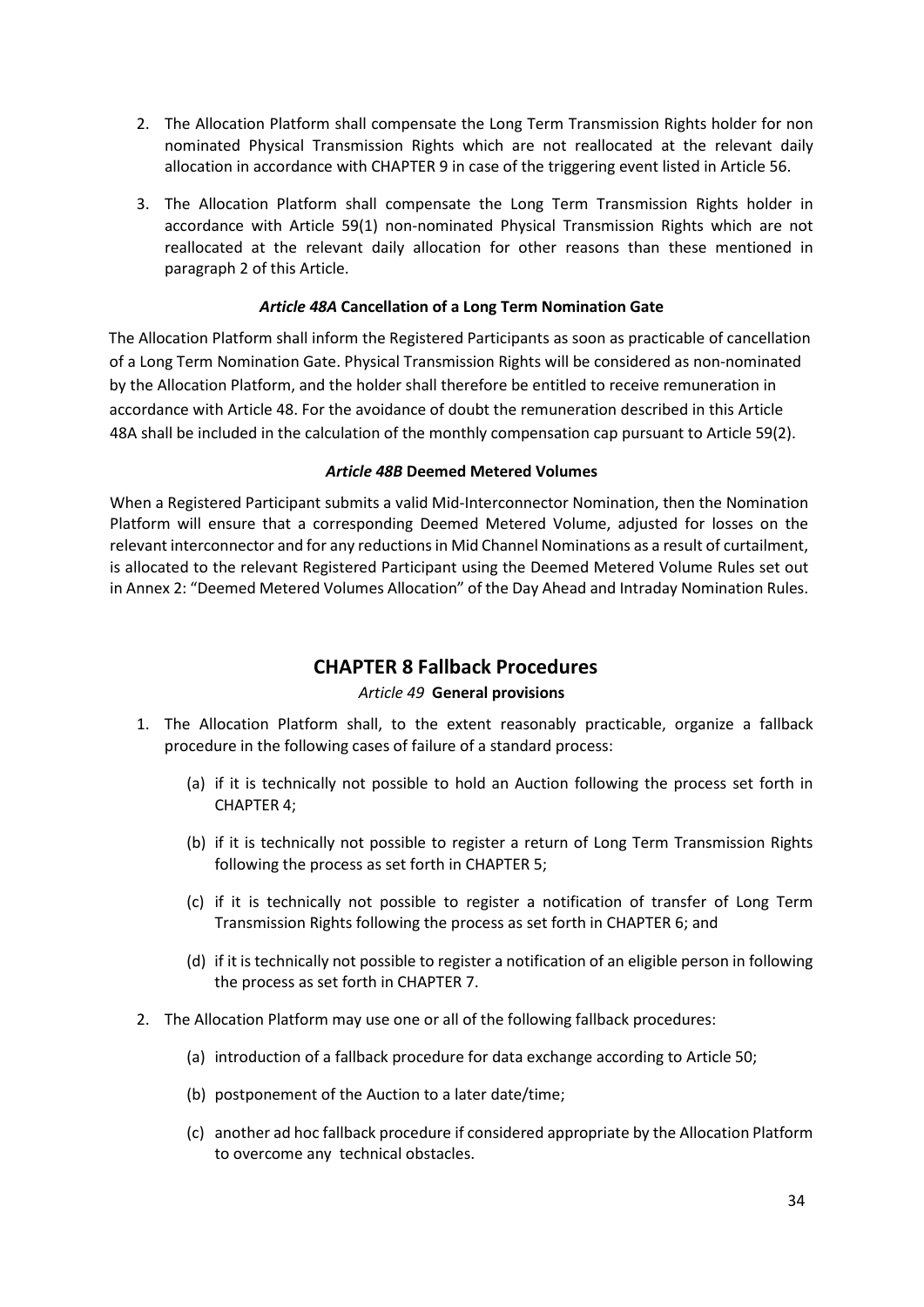- 2. The Allocation Platform shall compensate the Long Term Transmission Rights holder for non nominated Physical Transmission Rights which are not reallocated at the relevant daily allocation in accordance with CHAPTER 9 in case of the triggering event listed in Article 56.
- <span id="page-33-0"></span>3. The Allocation Platform shall compensate the Long Term Transmission Rights holder in accordance with Article 59(1) non-nominated Physical Transmission Rights which are not reallocated at the relevant daily allocation for other reasons than these mentioned in paragraph 2 of this Article.

#### *Article 48A* **Cancellation of a Long Term Nomination Gate**

<span id="page-33-1"></span>The Allocation Platform shall inform the Registered Participants as soon as practicable of cancellation of a Long Term Nomination Gate. Physical Transmission Rights will be considered as non-nominated by the Allocation Platform, and the holder shall therefore be entitled to receive remuneration in accordance with Article 48. For the avoidance of doubt the remuneration described in this Article 48A shall be included in the calculation of the monthly compensation cap pursuant to Article 59(2).

#### *Article 48B* **Deemed Metered Volumes**

<span id="page-33-3"></span><span id="page-33-2"></span>When a Registered Participant submits a valid Mid-Interconnector Nomination, then the Nomination Platform will ensure that a corresponding Deemed Metered Volume, adjusted for losses on the relevant interconnector and for any reductions in Mid Channel Nominations as a result of curtailment, is allocated to the relevant Registered Participant using the Deemed Metered Volume Rules set out in Annex 2: "Deemed Metered Volumes Allocation" of the Day Ahead and Intraday Nomination Rules.

# **CHAPTER 8 Fallback Procedures**

#### *Article 49* **General provisions**

- 1. The Allocation Platform shall, to the extent reasonably practicable, organize a fallback procedure in the following cases of failure of a standard process:
	- (a) if it is technically not possible to hold an Auction following the process set forth in CHAPTER 4;
	- (b) if it is technically not possible to register a return of Long Term Transmission Rights following the process as set forth in CHAPTER 5;
	- (c) if it is technically not possible to register a notification of transfer of Long Term Transmission Rights following the process as set forth in CHAPTER 6; and
	- (d) if it is technically not possible to register a notification of an eligible person in following the process as set forth in CHAPTER 7.
- 2. The Allocation Platform may use one or all of the following fallback procedures:
	- (a) introduction of a fallback procedure for data exchange according to Article 50;
	- (b) postponement of the Auction to a later date/time;
	- (c) another ad hoc fallback procedure if considered appropriate by the Allocation Platform to overcome any technical obstacles.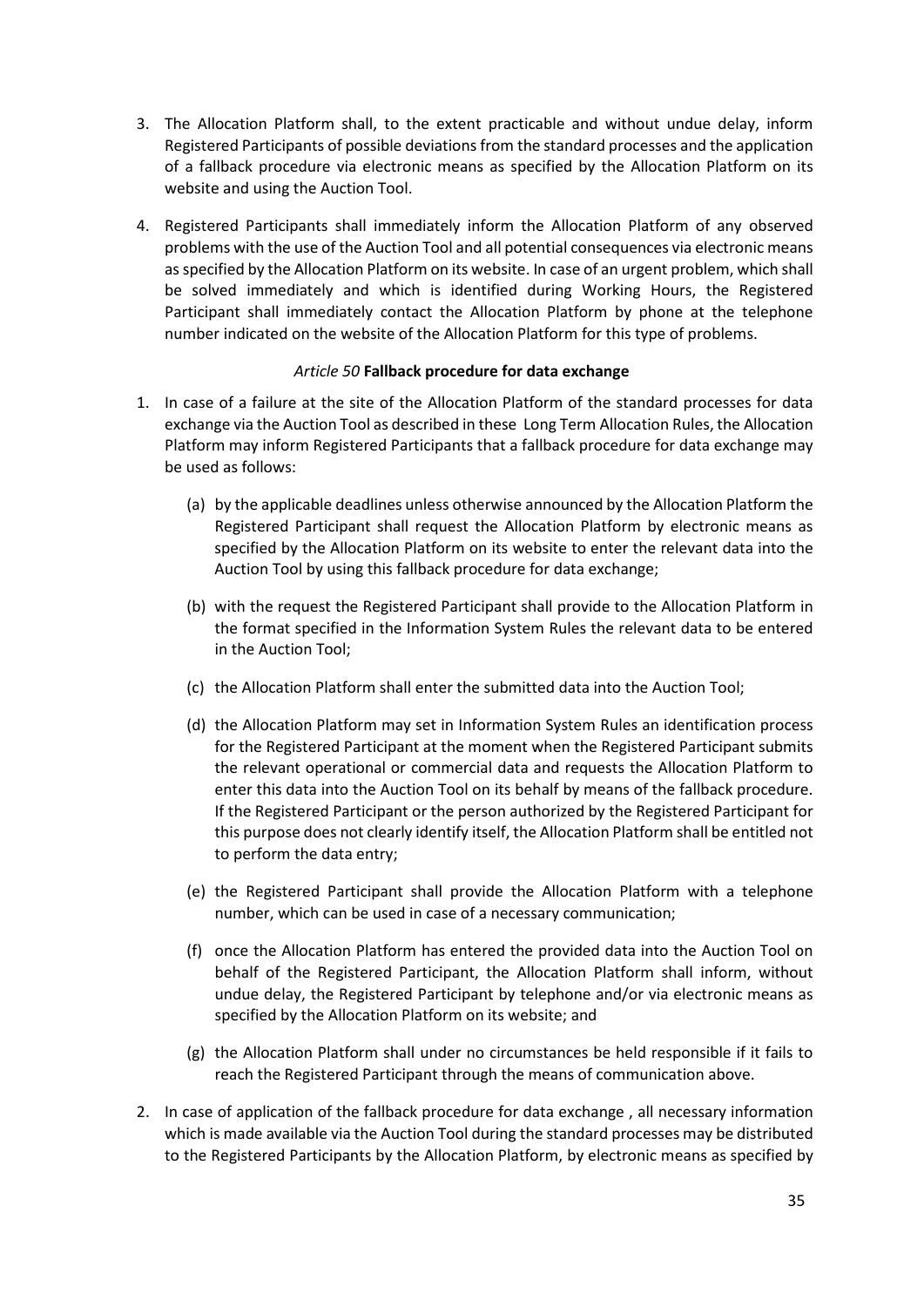- 3. The Allocation Platform shall, to the extent practicable and without undue delay, inform Registered Participants of possible deviations from the standard processes and the application of a fallback procedure via electronic means as specified by the Allocation Platform on its website and using the Auction Tool.
- <span id="page-34-0"></span>4. Registered Participants shall immediately inform the Allocation Platform of any observed problems with the use of the Auction Tool and all potential consequences via electronic means as specified by the Allocation Platform on its website. In case of an urgent problem, which shall be solved immediately and which is identified during Working Hours, the Registered Participant shall immediately contact the Allocation Platform by phone at the telephone number indicated on the website of the Allocation Platform for this type of problems.

### *Article 50* **Fallback procedure for data exchange**

- 1. In case of a failure at the site of the Allocation Platform of the standard processes for data exchange via the Auction Tool as described in these Long Term Allocation Rules, the Allocation Platform may inform Registered Participants that a fallback procedure for data exchange may be used as follows:
	- (a) by the applicable deadlines unless otherwise announced by the Allocation Platform the Registered Participant shall request the Allocation Platform by electronic means as specified by the Allocation Platform on its website to enter the relevant data into the Auction Tool by using this fallback procedure for data exchange;
	- (b) with the request the Registered Participant shall provide to the Allocation Platform in the format specified in the Information System Rules the relevant data to be entered in the Auction Tool;
	- (c) the Allocation Platform shall enter the submitted data into the Auction Tool;
	- (d) the Allocation Platform may set in Information System Rules an identification process for the Registered Participant at the moment when the Registered Participant submits the relevant operational or commercial data and requests the Allocation Platform to enter this data into the Auction Tool on its behalf by means of the fallback procedure. If the Registered Participant or the person authorized by the Registered Participant for this purpose does not clearly identify itself, the Allocation Platform shall be entitled not to perform the data entry;
	- (e) the Registered Participant shall provide the Allocation Platform with a telephone number, which can be used in case of a necessary communication;
	- (f) once the Allocation Platform has entered the provided data into the Auction Tool on behalf of the Registered Participant, the Allocation Platform shall inform, without undue delay, the Registered Participant by telephone and/or via electronic means as specified by the Allocation Platform on its website; and
	- (g) the Allocation Platform shall under no circumstances be held responsible if it fails to reach the Registered Participant through the means of communication above.
- 2. In case of application of the fallback procedure for data exchange , all necessary information which is made available via the Auction Tool during the standard processes may be distributed to the Registered Participants by the Allocation Platform, by electronic means as specified by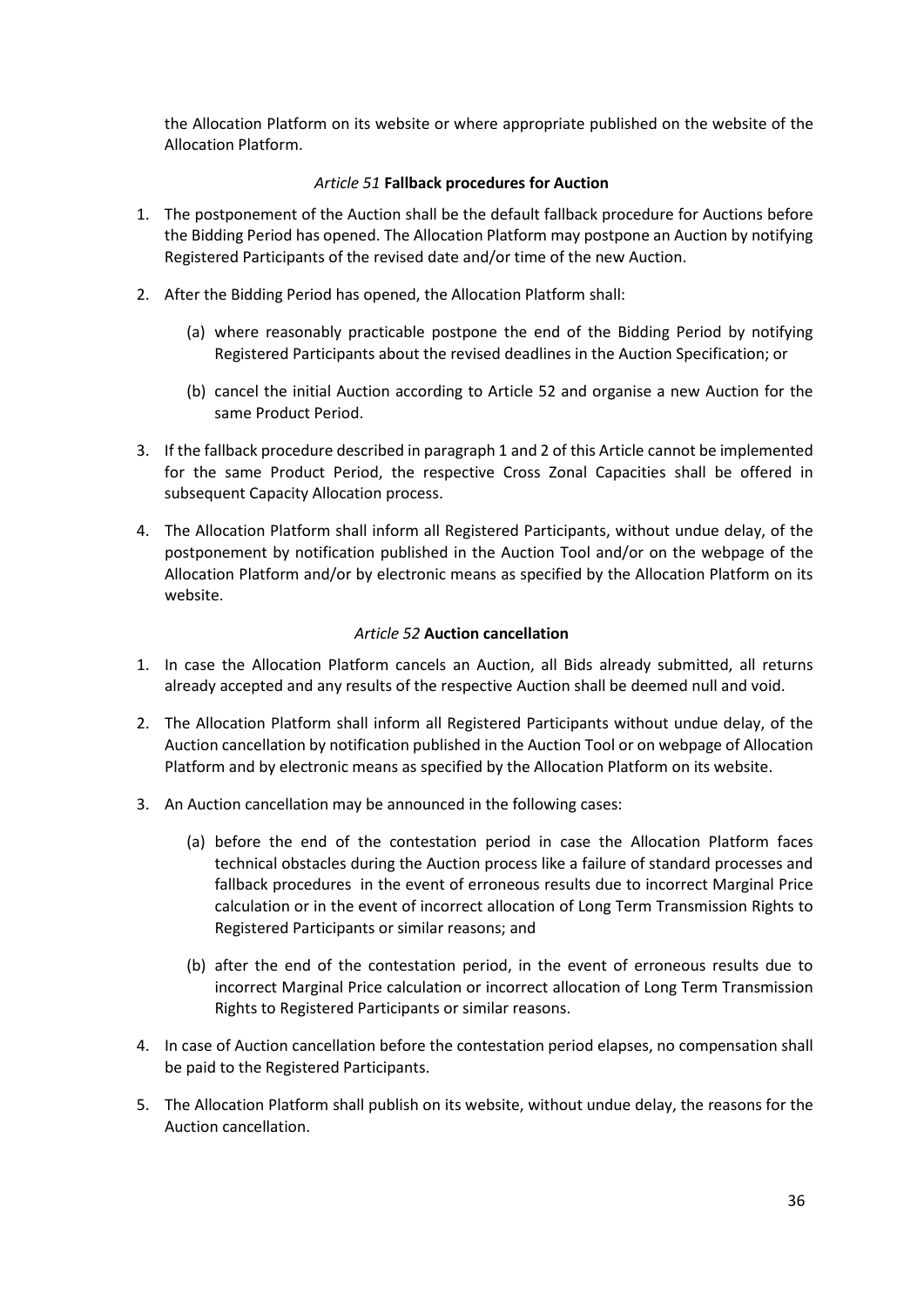<span id="page-35-0"></span>the Allocation Platform on its website or where appropriate published on the website of the Allocation Platform.

#### *Article 51* **Fallback procedures for Auction**

- 1. The postponement of the Auction shall be the default fallback procedure for Auctions before the Bidding Period has opened. The Allocation Platform may postpone an Auction by notifying Registered Participants of the revised date and/or time of the new Auction.
- 2. After the Bidding Period has opened, the Allocation Platform shall:
	- (a) where reasonably practicable postpone the end of the Bidding Period by notifying Registered Participants about the revised deadlines in the Auction Specification; or
	- (b) cancel the initial Auction according to Article 52 and organise a new Auction for the same Product Period.
- 3. If the fallback procedure described in paragraph 1 and 2 of this Article cannot be implemented for the same Product Period, the respective Cross Zonal Capacities shall be offered in subsequent Capacity Allocation process.
- <span id="page-35-1"></span>4. The Allocation Platform shall inform all Registered Participants, without undue delay, of the postponement by notification published in the Auction Tool and/or on the webpage of the Allocation Platform and/or by electronic means as specified by the Allocation Platform on its website.

#### *Article 52* **Auction cancellation**

- 1. In case the Allocation Platform cancels an Auction, all Bids already submitted, all returns already accepted and any results of the respective Auction shall be deemed null and void.
- 2. The Allocation Platform shall inform all Registered Participants without undue delay, of the Auction cancellation by notification published in the Auction Tool or on webpage of Allocation Platform and by electronic means as specified by the Allocation Platform on its website.
- 3. An Auction cancellation may be announced in the following cases:
	- (a) before the end of the contestation period in case the Allocation Platform faces technical obstacles during the Auction process like a failure of standard processes and fallback procedures in the event of erroneous results due to incorrect Marginal Price calculation or in the event of incorrect allocation of Long Term Transmission Rights to Registered Participants or similar reasons; and
	- (b) after the end of the contestation period, in the event of erroneous results due to incorrect Marginal Price calculation or incorrect allocation of Long Term Transmission Rights to Registered Participants or similar reasons.
- 4. In case of Auction cancellation before the contestation period elapses, no compensation shall be paid to the Registered Participants.
- 5. The Allocation Platform shall publish on its website, without undue delay, the reasons for the Auction cancellation.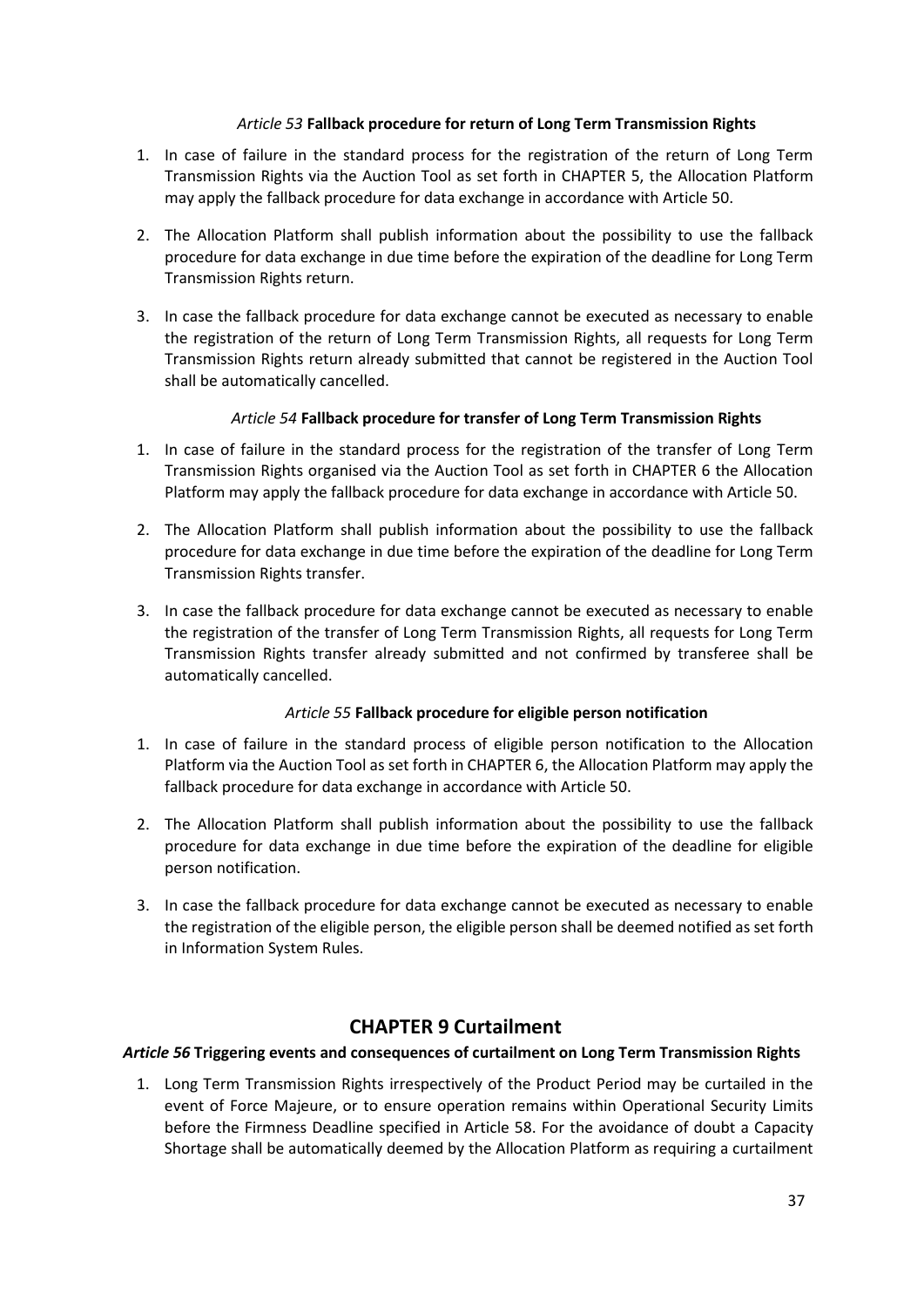### *Article 53* **Fallback procedure for return of Long Term Transmission Rights**

- <span id="page-36-0"></span>1. In case of failure in the standard process for the registration of the return of Long Term Transmission Rights via the Auction Tool as set forth in CHAPTER 5, the Allocation Platform may apply the fallback procedure for data exchange in accordance with Article 50.
- 2. The Allocation Platform shall publish information about the possibility to use the fallback procedure for data exchange in due time before the expiration of the deadline for Long Term Transmission Rights return.
- <span id="page-36-1"></span>3. In case the fallback procedure for data exchange cannot be executed as necessary to enable the registration of the return of Long Term Transmission Rights, all requests for Long Term Transmission Rights return already submitted that cannot be registered in the Auction Tool shall be automatically cancelled.

### *Article 54* **Fallback procedure for transfer of Long Term Transmission Rights**

- 1. In case of failure in the standard process for the registration of the transfer of Long Term Transmission Rights organised via the Auction Tool as set forth in CHAPTER 6 the Allocation Platform may apply the fallback procedure for data exchange in accordance with Article 50.
- 2. The Allocation Platform shall publish information about the possibility to use the fallback procedure for data exchange in due time before the expiration of the deadline for Long Term Transmission Rights transfer.
- <span id="page-36-2"></span>3. In case the fallback procedure for data exchange cannot be executed as necessary to enable the registration of the transfer of Long Term Transmission Rights, all requests for Long Term Transmission Rights transfer already submitted and not confirmed by transferee shall be automatically cancelled.

# *Article 55* **Fallback procedure for eligible person notification**

- 1. In case of failure in the standard process of eligible person notification to the Allocation Platform via the Auction Tool as set forth in CHAPTER 6, the Allocation Platform may apply the fallback procedure for data exchange in accordance with Article 50.
- 2. The Allocation Platform shall publish information about the possibility to use the fallback procedure for data exchange in due time before the expiration of the deadline for eligible person notification.
- <span id="page-36-4"></span><span id="page-36-3"></span>3. In case the fallback procedure for data exchange cannot be executed as necessary to enable the registration of the eligible person, the eligible person shall be deemed notified as set forth in Information System Rules.

# **CHAPTER 9 Curtailment**

# *Article 56* **Triggering events and consequences of curtailment on Long Term Transmission Rights**

1. Long Term Transmission Rights irrespectively of the Product Period may be curtailed in the event of Force Majeure, or to ensure operation remains within Operational Security Limits before the Firmness Deadline specified in Article 58. For the avoidance of doubt a Capacity Shortage shall be automatically deemed by the Allocation Platform as requiring a curtailment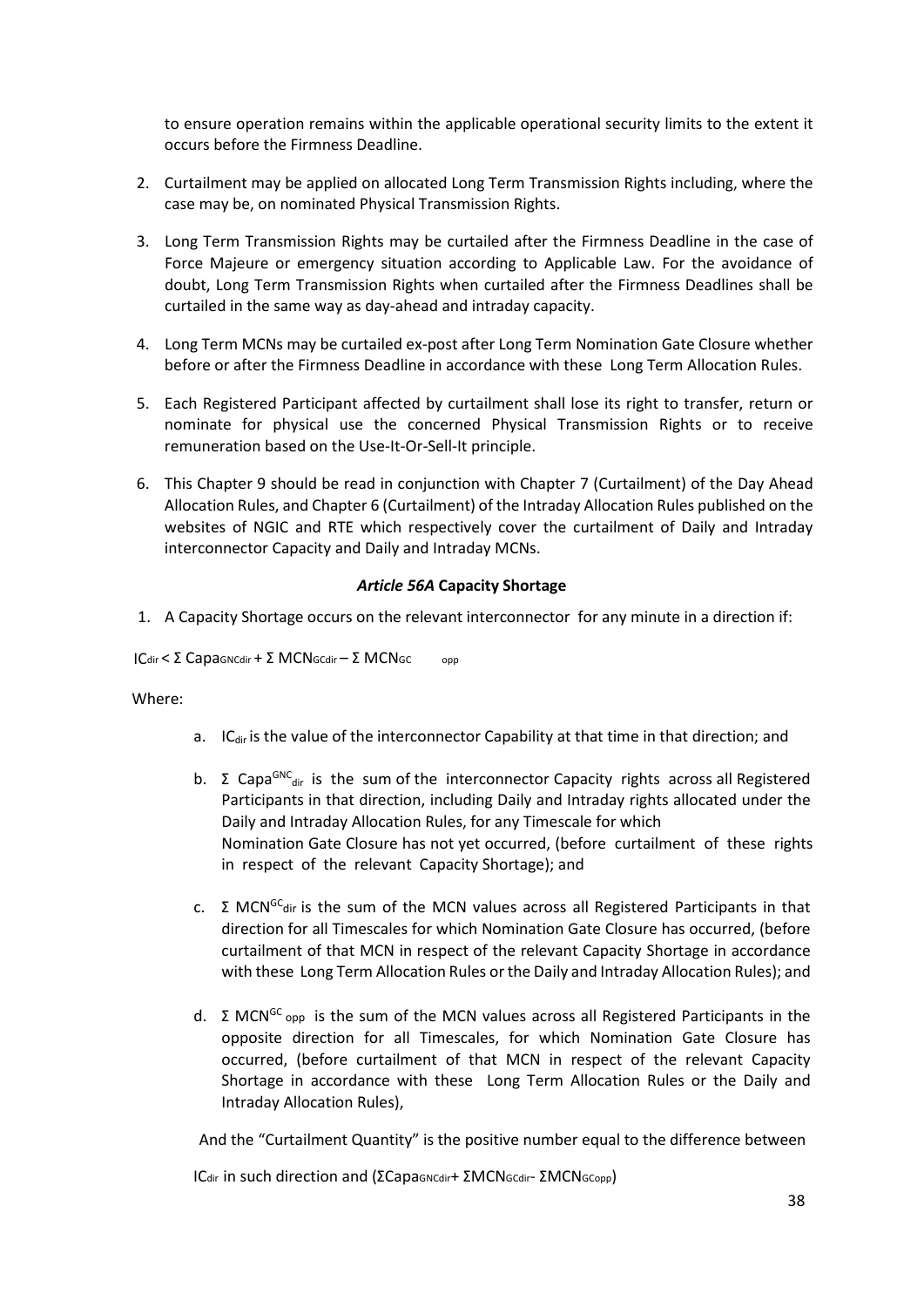to ensure operation remains within the applicable operational security limits to the extent it occurs before the Firmness Deadline.

- 2. Curtailment may be applied on allocated Long Term Transmission Rights including, where the case may be, on nominated Physical Transmission Rights.
- 3. Long Term Transmission Rights may be curtailed after the Firmness Deadline in the case of Force Majeure or emergency situation according to Applicable Law. For the avoidance of doubt, Long Term Transmission Rights when curtailed after the Firmness Deadlines shall be curtailed in the same way as day-ahead and intraday capacity.
- 4. Long Term MCNs may be curtailed ex-post after Long Term Nomination Gate Closure whether before or after the Firmness Deadline in accordance with these Long Term Allocation Rules.
- 5. Each Registered Participant affected by curtailment shall lose its right to transfer, return or nominate for physical use the concerned Physical Transmission Rights or to receive remuneration based on the Use-It-Or-Sell-It principle.
- <span id="page-37-0"></span>6. This Chapter 9 should be read in conjunction with Chapter 7 (Curtailment) of the Day Ahead Allocation Rules, and Chapter 6 (Curtailment) of the Intraday Allocation Rules published on the websites of NGIC and RTE which respectively cover the curtailment of Daily and Intraday interconnector Capacity and Daily and Intraday MCNs.

### *Article 56A* **Capacity Shortage**

1. A Capacity Shortage occurs on the relevant interconnector for any minute in a direction if:

ICdir < Σ CapaGNCdir + Σ MCNGCdir – Σ MCNGC opp

#### Where:

- a. ICdir is the value of the interconnector Capability at that time in that direction; and
- b. Σ Capa<sup>GNC</sup><sub>dir</sub> is the sum of the interconnector Capacity rights across all Registered Participants in that direction, including Daily and Intraday rights allocated under the Daily and Intraday Allocation Rules, for any Timescale for which Nomination Gate Closure has not yet occurred, (before curtailment of these rights in respect of the relevant Capacity Shortage); and
- c. Σ MCN<sup>GC</sup>dir is the sum of the MCN values across all Registered Participants in that direction for all Timescales for which Nomination Gate Closure has occurred, (before curtailment of that MCN in respect of the relevant Capacity Shortage in accordance with these Long Term Allocation Rules or the Daily and Intraday Allocation Rules); and
- d. Σ MCN<sup>GC</sup> opp is the sum of the MCN values across all Registered Participants in the opposite direction for all Timescales, for which Nomination Gate Closure has occurred, (before curtailment of that MCN in respect of the relevant Capacity Shortage in accordance with these Long Term Allocation Rules or the Daily and Intraday Allocation Rules),

And the "Curtailment Quantity" is the positive number equal to the difference between

ICdir in such direction and (ΣCapaGNCdir+ ΣMCNGCdir- ΣMCNGCopp)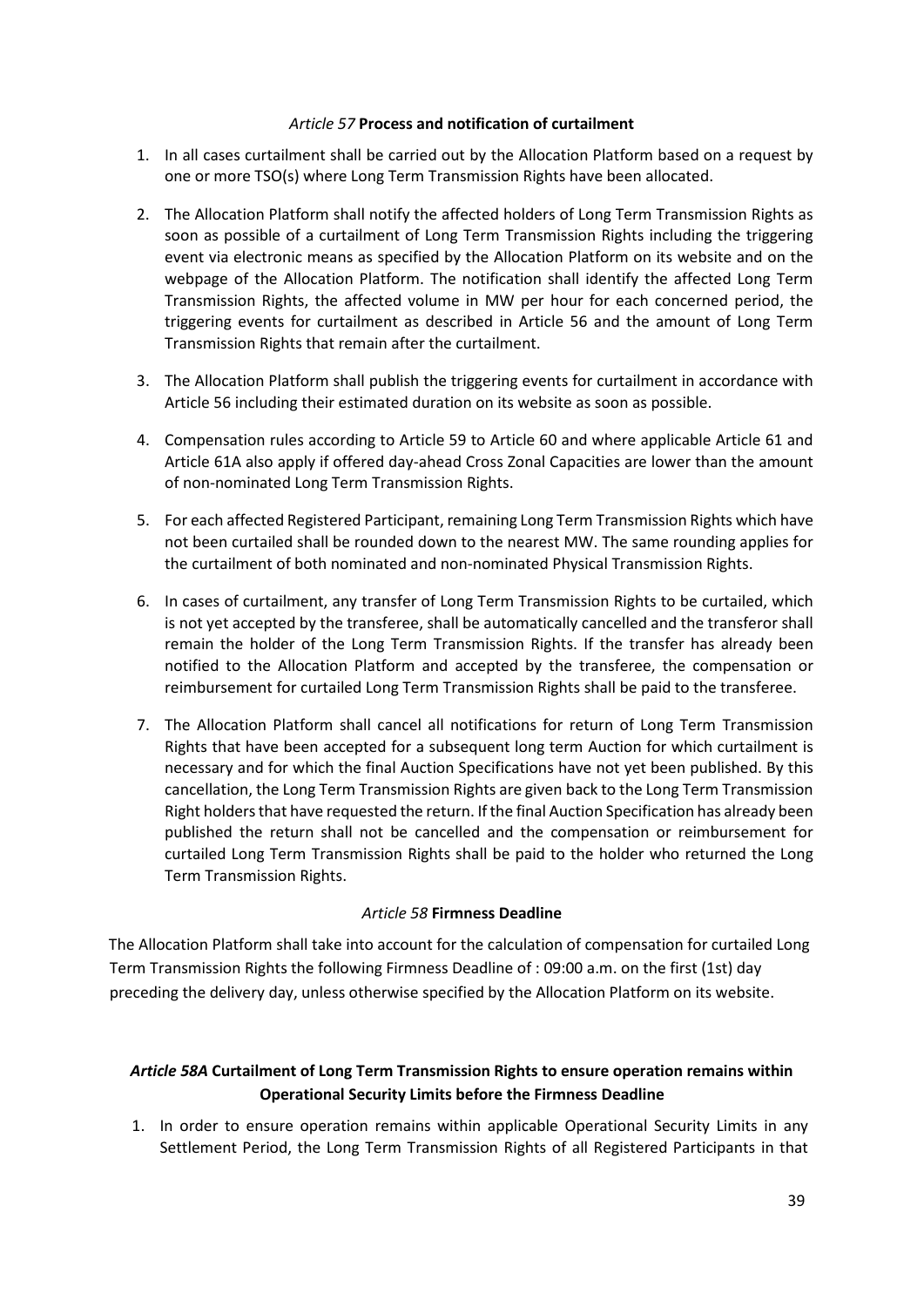#### *Article 57* **Process and notification of curtailment**

- <span id="page-38-0"></span>1. In all cases curtailment shall be carried out by the Allocation Platform based on a request by one or more TSO(s) where Long Term Transmission Rights have been allocated.
- 2. The Allocation Platform shall notify the affected holders of Long Term Transmission Rights as soon as possible of a curtailment of Long Term Transmission Rights including the triggering event via electronic means as specified by the Allocation Platform on its website and on the webpage of the Allocation Platform. The notification shall identify the affected Long Term Transmission Rights, the affected volume in MW per hour for each concerned period, the triggering events for curtailment as described in Article 56 and the amount of Long Term Transmission Rights that remain after the curtailment.
- 3. The Allocation Platform shall publish the triggering events for curtailment in accordance with Article 56 including their estimated duration on its website as soon as possible.
- 4. Compensation rules according to Article 59 to Article 60 and where applicable Article 61 and Article 61A also apply if offered day-ahead Cross Zonal Capacities are lower than the amount of non-nominated Long Term Transmission Rights.
- 5. For each affected Registered Participant, remaining Long Term Transmission Rights which have not been curtailed shall be rounded down to the nearest MW. The same rounding applies for the curtailment of both nominated and non-nominated Physical Transmission Rights.
- 6. In cases of curtailment, any transfer of Long Term Transmission Rights to be curtailed, which is not yet accepted by the transferee, shall be automatically cancelled and the transferor shall remain the holder of the Long Term Transmission Rights. If the transfer has already been notified to the Allocation Platform and accepted by the transferee, the compensation or reimbursement for curtailed Long Term Transmission Rights shall be paid to the transferee.
- <span id="page-38-1"></span>7. The Allocation Platform shall cancel all notifications for return of Long Term Transmission Rights that have been accepted for a subsequent long term Auction for which curtailment is necessary and for which the final Auction Specifications have not yet been published. By this cancellation, the Long Term Transmission Rights are given back to the Long Term Transmission Right holders that have requested the return. If the final Auction Specification has already been published the return shall not be cancelled and the compensation or reimbursement for curtailed Long Term Transmission Rights shall be paid to the holder who returned the Long Term Transmission Rights.

#### *Article 58* **Firmness Deadline**

<span id="page-38-2"></span>The Allocation Platform shall take into account for the calculation of compensation for curtailed Long Term Transmission Rights the following Firmness Deadline of : 09:00 a.m. on the first (1st) day preceding the delivery day, unless otherwise specified by the Allocation Platform on its website.

# *Article 58A* **Curtailment of Long Term Transmission Rights to ensure operation remains within Operational Security Limits before the Firmness Deadline**

1. In order to ensure operation remains within applicable Operational Security Limits in any Settlement Period, the Long Term Transmission Rights of all Registered Participants in that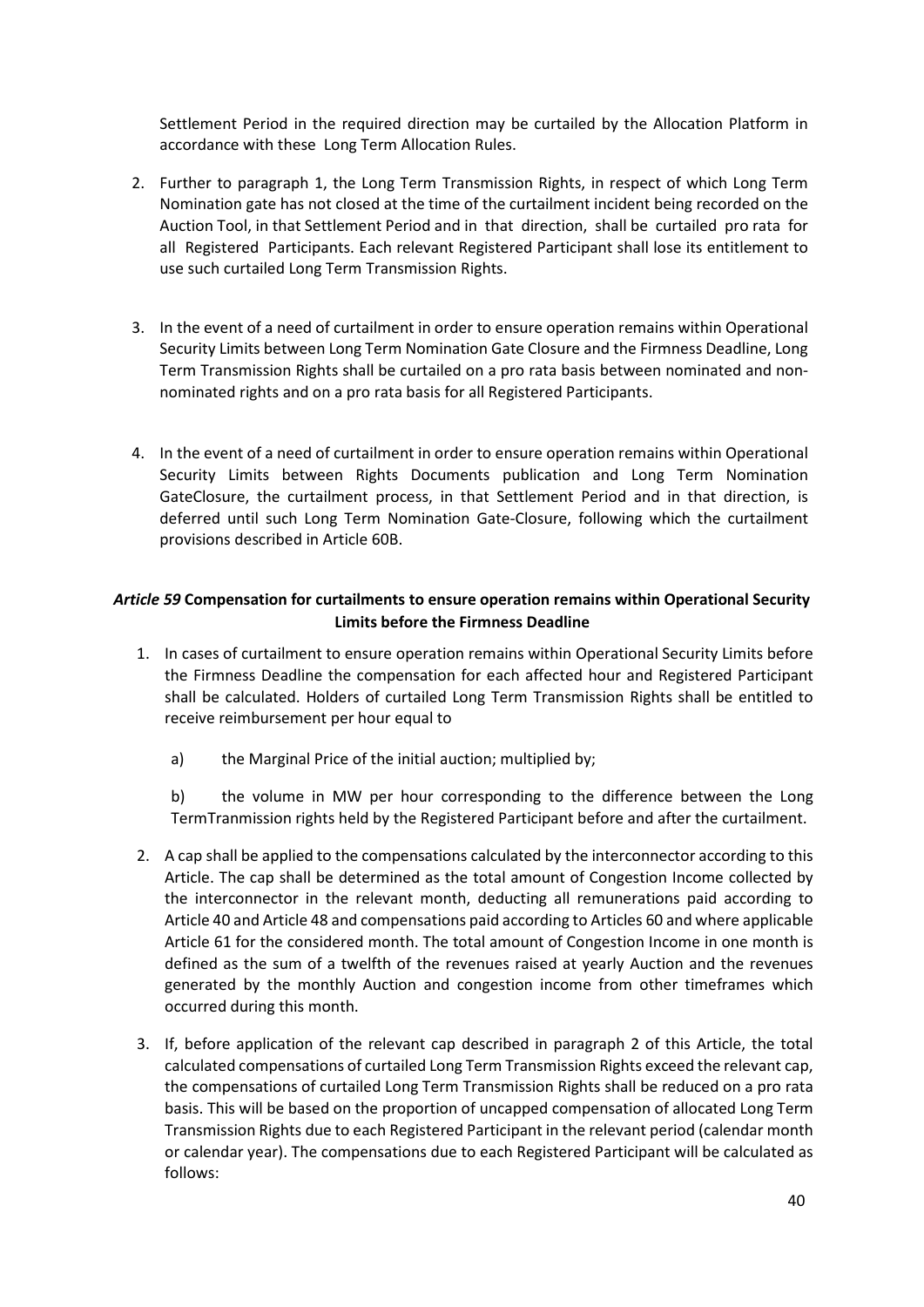Settlement Period in the required direction may be curtailed by the Allocation Platform in accordance with these Long Term Allocation Rules.

- 2. Further to paragraph 1, the Long Term Transmission Rights, in respect of which Long Term Nomination gate has not closed at the time of the curtailment incident being recorded on the Auction Tool, in that Settlement Period and in that direction, shall be curtailed pro rata for all Registered Participants. Each relevant Registered Participant shall lose its entitlement to use such curtailed Long Term Transmission Rights.
- 3. In the event of a need of curtailment in order to ensure operation remains within Operational Security Limits between Long Term Nomination Gate Closure and the Firmness Deadline, Long Term Transmission Rights shall be curtailed on a pro rata basis between nominated and nonnominated rights and on a pro rata basis for all Registered Participants.
- <span id="page-39-0"></span>4. In the event of a need of curtailment in order to ensure operation remains within Operational Security Limits between Rights Documents publication and Long Term Nomination GateClosure, the curtailment process, in that Settlement Period and in that direction, is deferred until such Long Term Nomination Gate-Closure, following which the curtailment provisions described in Article 60B.

# *Article 59* **Compensation for curtailments to ensure operation remains within Operational Security Limits before the Firmness Deadline**

- 1. In cases of curtailment to ensure operation remains within Operational Security Limits before the Firmness Deadline the compensation for each affected hour and Registered Participant shall be calculated. Holders of curtailed Long Term Transmission Rights shall be entitled to receive reimbursement per hour equal to
	- a) the Marginal Price of the initial auction; multiplied by;

b) the volume in MW per hour corresponding to the difference between the Long TermTranmission rights held by the Registered Participant before and after the curtailment.

- 2. A cap shall be applied to the compensations calculated by the interconnector according to this Article. The cap shall be determined as the total amount of Congestion Income collected by the interconnector in the relevant month, deducting all remunerations paid according to Article 40 and Article 48 and compensations paid according to Articles 60 and where applicable Article 61 for the considered month. The total amount of Congestion Income in one month is defined as the sum of a twelfth of the revenues raised at yearly Auction and the revenues generated by the monthly Auction and congestion income from other timeframes which occurred during this month.
- 3. If, before application of the relevant cap described in paragraph 2 of this Article, the total calculated compensations of curtailed Long Term Transmission Rights exceed the relevant cap, the compensations of curtailed Long Term Transmission Rights shall be reduced on a pro rata basis. This will be based on the proportion of uncapped compensation of allocated Long Term Transmission Rights due to each Registered Participant in the relevant period (calendar month or calendar year). The compensations due to each Registered Participant will be calculated as follows: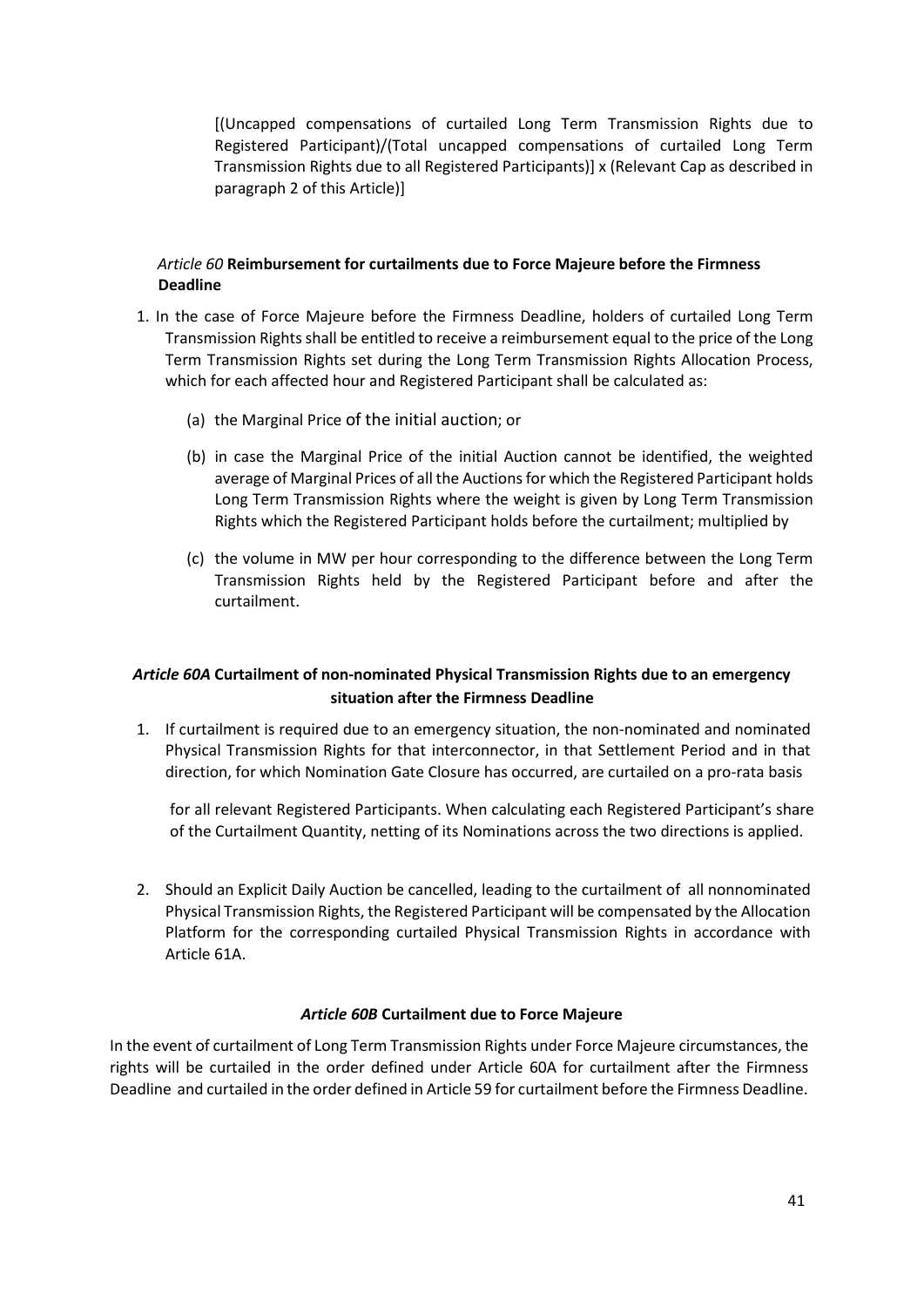[(Uncapped compensations of curtailed Long Term Transmission Rights due to Registered Participant)/(Total uncapped compensations of curtailed Long Term Transmission Rights due to all Registered Participants)] x (Relevant Cap as described in paragraph 2 of this Article)]

# <span id="page-40-0"></span>*Article 60* **Reimbursement for curtailments due to Force Majeure before the Firmness Deadline**

- 1. In the case of Force Majeure before the Firmness Deadline, holders of curtailed Long Term Transmission Rights shall be entitled to receive a reimbursement equal to the price of the Long Term Transmission Rights set during the Long Term Transmission Rights Allocation Process, which for each affected hour and Registered Participant shall be calculated as:
	- (a) the Marginal Price of the initial auction; or
	- (b) in case the Marginal Price of the initial Auction cannot be identified, the weighted average of Marginal Prices of all the Auctions for which the Registered Participant holds Long Term Transmission Rights where the weight is given by Long Term Transmission Rights which the Registered Participant holds before the curtailment; multiplied by
	- (c) the volume in MW per hour corresponding to the difference between the Long Term Transmission Rights held by the Registered Participant before and after the curtailment.

# <span id="page-40-1"></span>*Article 60A* **Curtailment of non-nominated Physical Transmission Rights due to an emergency situation after the Firmness Deadline**

1. If curtailment is required due to an emergency situation, the non-nominated and nominated Physical Transmission Rights for that interconnector, in that Settlement Period and in that direction, for which Nomination Gate Closure has occurred, are curtailed on a pro-rata basis

for all relevant Registered Participants. When calculating each Registered Participant's share of the Curtailment Quantity, netting of its Nominations across the two directions is applied.

<span id="page-40-2"></span>2. Should an Explicit Daily Auction be cancelled, leading to the curtailment of all nonnominated Physical Transmission Rights, the Registered Participant will be compensated by the Allocation Platform for the corresponding curtailed Physical Transmission Rights in accordance with Article 61A.

#### *Article 60B* **Curtailment due to Force Majeure**

In the event of curtailment of Long Term Transmission Rights under Force Majeure circumstances, the rights will be curtailed in the order defined under Article 60A for curtailment after the Firmness Deadline and curtailed in the order defined in Article 59 for curtailment before the Firmness Deadline.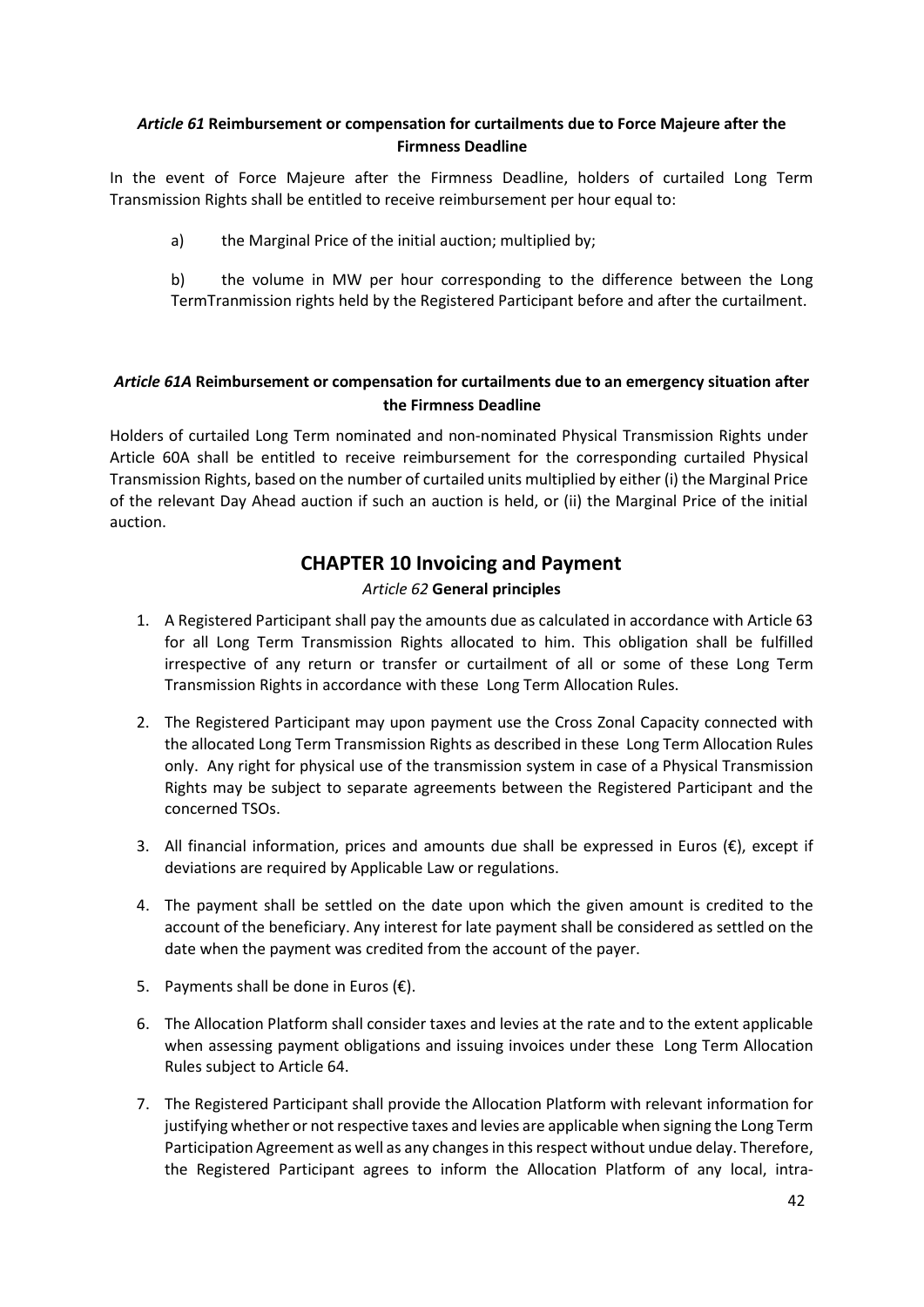# <span id="page-41-0"></span>*Article 61* **Reimbursement or compensation for curtailments due to Force Majeure after the Firmness Deadline**

In the event of Force Majeure after the Firmness Deadline, holders of curtailed Long Term Transmission Rights shall be entitled to receive reimbursement per hour equal to:

a) the Marginal Price of the initial auction; multiplied by;

<span id="page-41-1"></span>b) the volume in MW per hour corresponding to the difference between the Long TermTranmission rights held by the Registered Participant before and after the curtailment.

## *Article 61A* **Reimbursement or compensation for curtailments due to an emergency situation after the Firmness Deadline**

<span id="page-41-3"></span><span id="page-41-2"></span>Holders of curtailed Long Term nominated and non-nominated Physical Transmission Rights under Article 60A shall be entitled to receive reimbursement for the corresponding curtailed Physical Transmission Rights, based on the number of curtailed units multiplied by either (i) the Marginal Price of the relevant Day Ahead auction if such an auction is held, or (ii) the Marginal Price of the initial auction.

# **CHAPTER 10 Invoicing and Payment**

### *Article 62* **General principles**

- 1. A Registered Participant shall pay the amounts due as calculated in accordance with Article 63 for all Long Term Transmission Rights allocated to him. This obligation shall be fulfilled irrespective of any return or transfer or curtailment of all or some of these Long Term Transmission Rights in accordance with these Long Term Allocation Rules.
- 2. The Registered Participant may upon payment use the Cross Zonal Capacity connected with the allocated Long Term Transmission Rights as described in these Long Term Allocation Rules only. Any right for physical use of the transmission system in case of a Physical Transmission Rights may be subject to separate agreements between the Registered Participant and the concerned TSOs.
- 3. All financial information, prices and amounts due shall be expressed in Euros ( $\epsilon$ ), except if deviations are required by Applicable Law or regulations.
- 4. The payment shall be settled on the date upon which the given amount is credited to the account of the beneficiary. Any interest for late payment shall be considered as settled on the date when the payment was credited from the account of the payer.
- 5. Payments shall be done in Euros  $(\epsilon)$ .
- 6. The Allocation Platform shall consider taxes and levies at the rate and to the extent applicable when assessing payment obligations and issuing invoices under these Long Term Allocation Rules subject to Article 64.
- 7. The Registered Participant shall provide the Allocation Platform with relevant information for justifying whether or not respective taxes and levies are applicable when signing the Long Term Participation Agreement as well as any changes in this respect without undue delay. Therefore, the Registered Participant agrees to inform the Allocation Platform of any local, intra-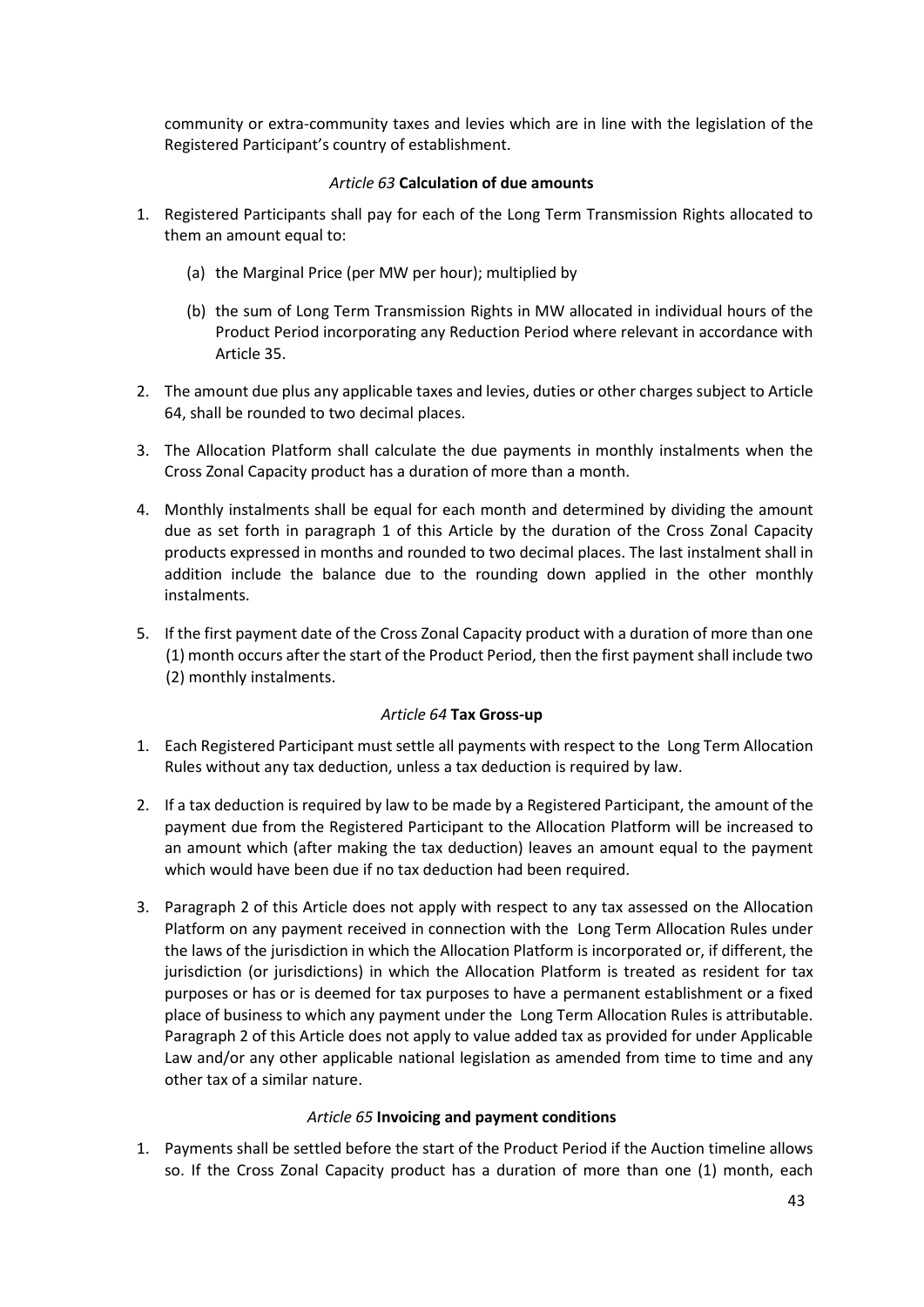<span id="page-42-0"></span>community or extra-community taxes and levies which are in line with the legislation of the Registered Participant's country of establishment.

#### *Article 63* **Calculation of due amounts**

- 1. Registered Participants shall pay for each of the Long Term Transmission Rights allocated to them an amount equal to:
	- (a) the Marginal Price (per MW per hour); multiplied by
	- (b) the sum of Long Term Transmission Rights in MW allocated in individual hours of the Product Period incorporating any Reduction Period where relevant in accordance with Article 35.
- 2. The amount due plus any applicable taxes and levies, duties or other charges subject to Article 64, shall be rounded to two decimal places.
- 3. The Allocation Platform shall calculate the due payments in monthly instalments when the Cross Zonal Capacity product has a duration of more than a month.
- 4. Monthly instalments shall be equal for each month and determined by dividing the amount due as set forth in paragraph 1 of this Article by the duration of the Cross Zonal Capacity products expressed in months and rounded to two decimal places. The last instalment shall in addition include the balance due to the rounding down applied in the other monthly instalments.
- <span id="page-42-1"></span>5. If the first payment date of the Cross Zonal Capacity product with a duration of more than one (1) month occurs after the start of the Product Period, then the first payment shall include two (2) monthly instalments.

#### *Article 64* **Tax Gross-up**

- 1. Each Registered Participant must settle all payments with respect to the Long Term Allocation Rules without any tax deduction, unless a tax deduction is required by law.
- 2. If a tax deduction is required by law to be made by a Registered Participant, the amount of the payment due from the Registered Participant to the Allocation Platform will be increased to an amount which (after making the tax deduction) leaves an amount equal to the payment which would have been due if no tax deduction had been required.
- 3. Paragraph 2 of this Article does not apply with respect to any tax assessed on the Allocation Platform on any payment received in connection with the Long Term Allocation Rules under the laws of the jurisdiction in which the Allocation Platform is incorporated or, if different, the jurisdiction (or jurisdictions) in which the Allocation Platform is treated as resident for tax purposes or has or is deemed for tax purposes to have a permanent establishment or a fixed place of business to which any payment under the Long Term Allocation Rules is attributable. Paragraph 2 of this Article does not apply to value added tax as provided for under Applicable Law and/or any other applicable national legislation as amended from time to time and any other tax of a similar nature.

#### *Article 65* **Invoicing and payment conditions**

<span id="page-42-2"></span>1. Payments shall be settled before the start of the Product Period if the Auction timeline allows so. If the Cross Zonal Capacity product has a duration of more than one (1) month, each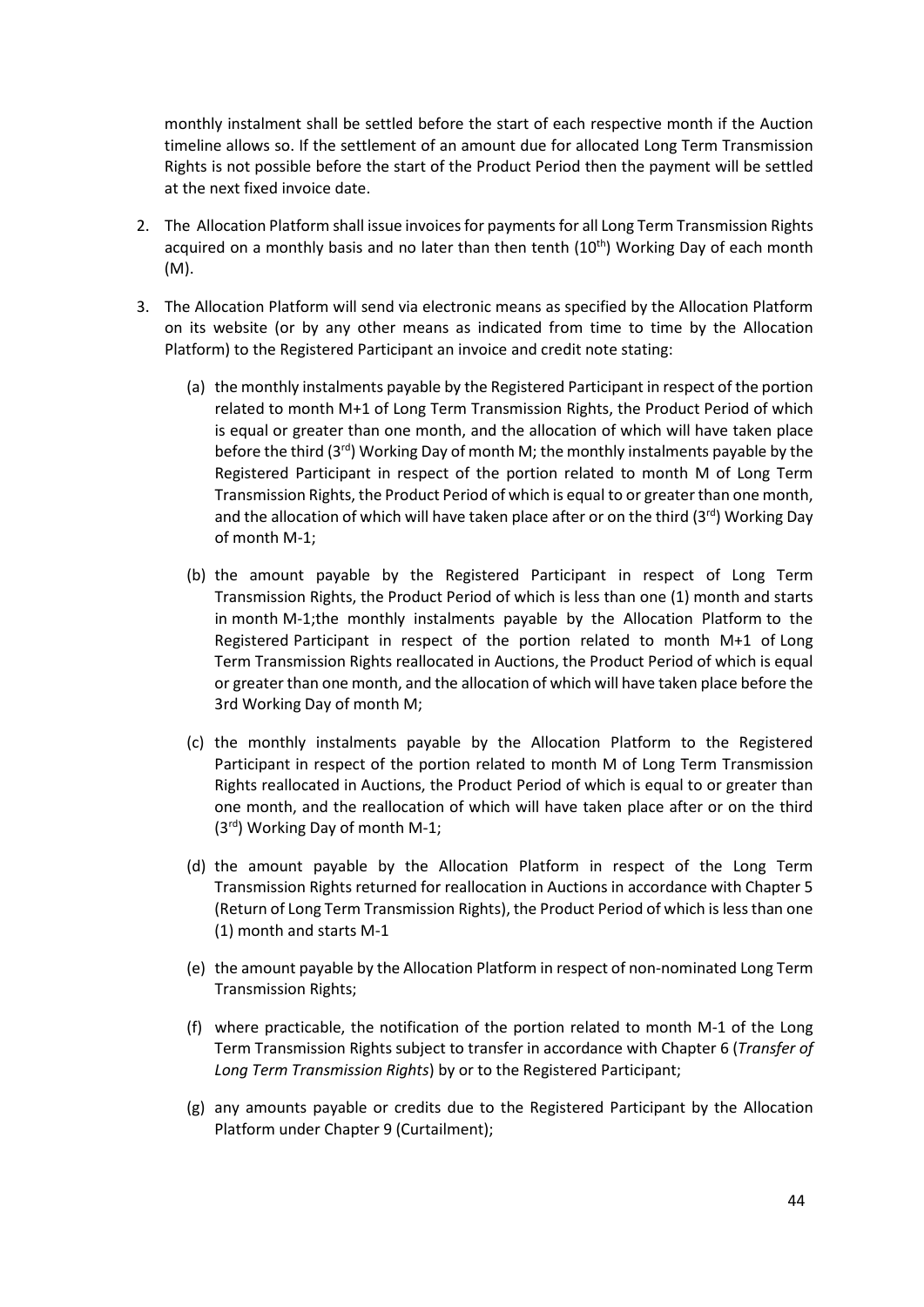monthly instalment shall be settled before the start of each respective month if the Auction timeline allows so. If the settlement of an amount due for allocated Long Term Transmission Rights is not possible before the start of the Product Period then the payment will be settled at the next fixed invoice date.

- 2. The Allocation Platform shall issue invoices for payments for all Long Term Transmission Rights acquired on a monthly basis and no later than then tenth  $(10<sup>th</sup>)$  Working Day of each month (M).
- 3. The Allocation Platform will send via electronic means as specified by the Allocation Platform on its website (or by any other means as indicated from time to time by the Allocation Platform) to the Registered Participant an invoice and credit note stating:
	- (a) the monthly instalments payable by the Registered Participant in respect of the portion related to month M+1 of Long Term Transmission Rights, the Product Period of which is equal or greater than one month, and the allocation of which will have taken place before the third (3rd) Working Day of month M; the monthly instalments payable by the Registered Participant in respect of the portion related to month M of Long Term Transmission Rights, the Product Period of which is equal to or greater than one month, and the allocation of which will have taken place after or on the third  $(3<sup>rd</sup>)$  Working Day of month M-1;
	- (b) the amount payable by the Registered Participant in respect of Long Term Transmission Rights, the Product Period of which is less than one (1) month and starts in month M-1;the monthly instalments payable by the Allocation Platform to the Registered Participant in respect of the portion related to month M+1 of Long Term Transmission Rights reallocated in Auctions, the Product Period of which is equal or greater than one month, and the allocation of which will have taken place before the 3rd Working Day of month M;
	- (c) the monthly instalments payable by the Allocation Platform to the Registered Participant in respect of the portion related to month M of Long Term Transmission Rights reallocated in Auctions, the Product Period of which is equal to or greater than one month, and the reallocation of which will have taken place after or on the third (3rd) Working Day of month M-1;
	- (d) the amount payable by the Allocation Platform in respect of the Long Term Transmission Rights returned for reallocation in Auctions in accordance with Chapter 5 (Return of Long Term Transmission Rights), the Product Period of which is less than one (1) month and starts M-1
	- (e) the amount payable by the Allocation Platform in respect of non-nominated Long Term Transmission Rights;
	- (f) where practicable, the notification of the portion related to month M-1 of the Long Term Transmission Rights subject to transfer in accordance with Chapter 6 (*Transfer of Long Term Transmission Rights*) by or to the Registered Participant;
	- (g) any amounts payable or credits due to the Registered Participant by the Allocation Platform under Chapter 9 (Curtailment);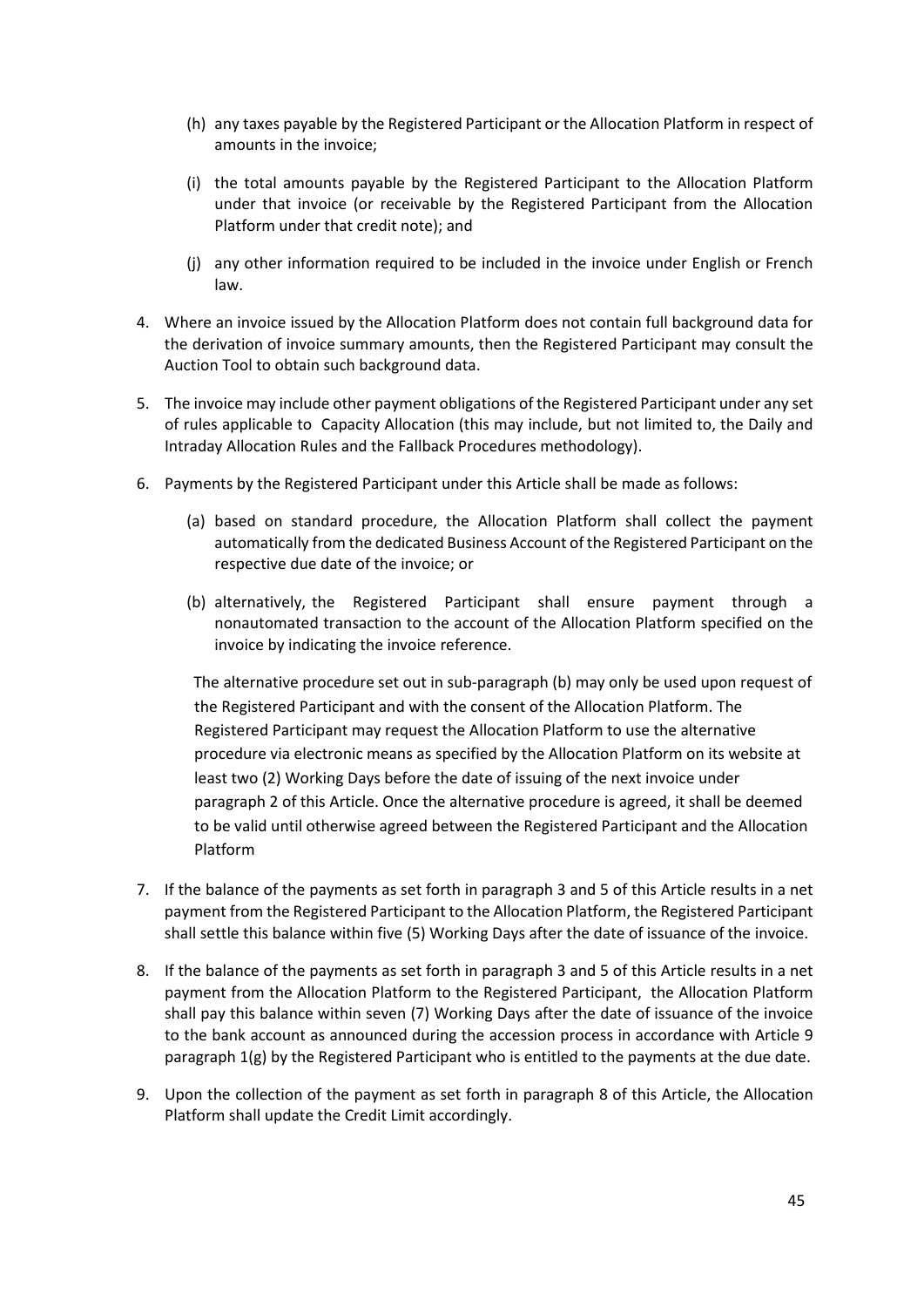- (h) any taxes payable by the Registered Participant or the Allocation Platform in respect of amounts in the invoice;
- (i) the total amounts payable by the Registered Participant to the Allocation Platform under that invoice (or receivable by the Registered Participant from the Allocation Platform under that credit note); and
- (j) any other information required to be included in the invoice under English or French law.
- 4. Where an invoice issued by the Allocation Platform does not contain full background data for the derivation of invoice summary amounts, then the Registered Participant may consult the Auction Tool to obtain such background data.
- 5. The invoice may include other payment obligations of the Registered Participant under any set of rules applicable to Capacity Allocation (this may include, but not limited to, the Daily and Intraday Allocation Rules and the Fallback Procedures methodology).
- 6. Payments by the Registered Participant under this Article shall be made as follows:
	- (a) based on standard procedure, the Allocation Platform shall collect the payment automatically from the dedicated Business Account of the Registered Participant on the respective due date of the invoice; or
	- (b) alternatively, the Registered Participant shall ensure payment through a nonautomated transaction to the account of the Allocation Platform specified on the invoice by indicating the invoice reference.

The alternative procedure set out in sub-paragraph (b) may only be used upon request of the Registered Participant and with the consent of the Allocation Platform. The Registered Participant may request the Allocation Platform to use the alternative procedure via electronic means as specified by the Allocation Platform on its website at least two (2) Working Days before the date of issuing of the next invoice under paragraph 2 of this Article. Once the alternative procedure is agreed, it shall be deemed to be valid until otherwise agreed between the Registered Participant and the Allocation Platform

- 7. If the balance of the payments as set forth in paragraph 3 and 5 of this Article results in a net payment from the Registered Participant to the Allocation Platform, the Registered Participant shall settle this balance within five (5) Working Days after the date of issuance of the invoice.
- 8. If the balance of the payments as set forth in paragraph 3 and 5 of this Article results in a net payment from the Allocation Platform to the Registered Participant, the Allocation Platform shall pay this balance within seven (7) Working Days after the date of issuance of the invoice to the bank account as announced during the accession process in accordance with Article 9 paragraph 1(g) by the Registered Participant who is entitled to the payments at the due date.
- 9. Upon the collection of the payment as set forth in paragraph 8 of this Article, the Allocation Platform shall update the Credit Limit accordingly.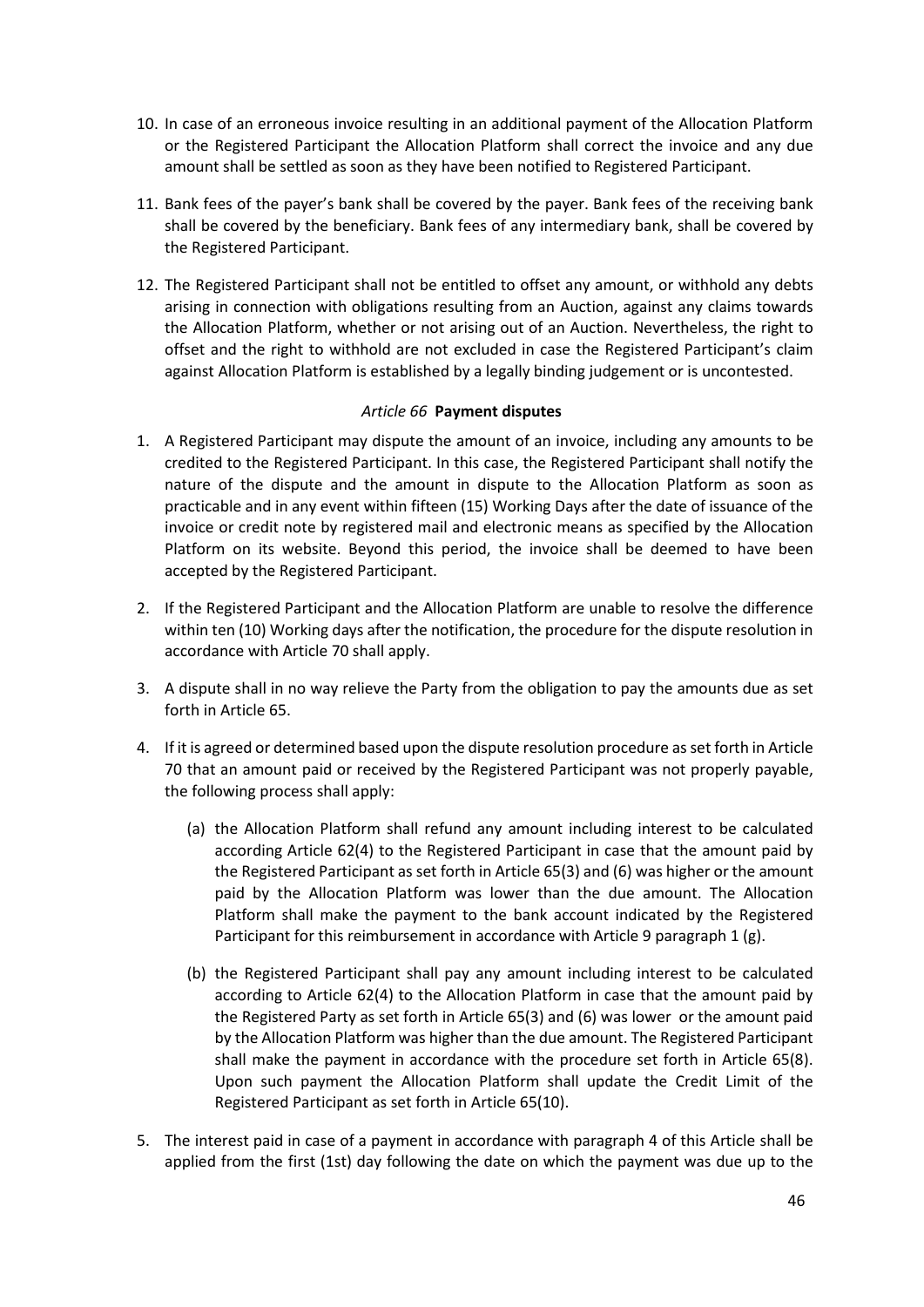- 10. In case of an erroneous invoice resulting in an additional payment of the Allocation Platform or the Registered Participant the Allocation Platform shall correct the invoice and any due amount shall be settled as soon as they have been notified to Registered Participant.
- 11. Bank fees of the payer's bank shall be covered by the payer. Bank fees of the receiving bank shall be covered by the beneficiary. Bank fees of any intermediary bank, shall be covered by the Registered Participant.
- <span id="page-45-0"></span>12. The Registered Participant shall not be entitled to offset any amount, or withhold any debts arising in connection with obligations resulting from an Auction, against any claims towards the Allocation Platform, whether or not arising out of an Auction. Nevertheless, the right to offset and the right to withhold are not excluded in case the Registered Participant's claim against Allocation Platform is established by a legally binding judgement or is uncontested.

### *Article 66* **Payment disputes**

- 1. A Registered Participant may dispute the amount of an invoice, including any amounts to be credited to the Registered Participant. In this case, the Registered Participant shall notify the nature of the dispute and the amount in dispute to the Allocation Platform as soon as practicable and in any event within fifteen (15) Working Days after the date of issuance of the invoice or credit note by registered mail and electronic means as specified by the Allocation Platform on its website. Beyond this period, the invoice shall be deemed to have been accepted by the Registered Participant.
- 2. If the Registered Participant and the Allocation Platform are unable to resolve the difference within ten (10) Working days after the notification, the procedure for the dispute resolution in accordance with Article 70 shall apply.
- 3. A dispute shall in no way relieve the Party from the obligation to pay the amounts due as set forth in Article 65.
- 4. If it is agreed or determined based upon the dispute resolution procedure as set forth in Article 70 that an amount paid or received by the Registered Participant was not properly payable, the following process shall apply:
	- (a) the Allocation Platform shall refund any amount including interest to be calculated according Article 62(4) to the Registered Participant in case that the amount paid by the Registered Participant as set forth in Article 65(3) and (6) was higher or the amount paid by the Allocation Platform was lower than the due amount. The Allocation Platform shall make the payment to the bank account indicated by the Registered Participant for this reimbursement in accordance with Article 9 paragraph 1 (g).
	- (b) the Registered Participant shall pay any amount including interest to be calculated according to Article 62(4) to the Allocation Platform in case that the amount paid by the Registered Party as set forth in Article 65(3) and (6) was lower or the amount paid by the Allocation Platform was higher than the due amount. The Registered Participant shall make the payment in accordance with the procedure set forth in Article 65(8). Upon such payment the Allocation Platform shall update the Credit Limit of the Registered Participant as set forth in Article 65(10).
- 5. The interest paid in case of a payment in accordance with paragraph 4 of this Article shall be applied from the first (1st) day following the date on which the payment was due up to the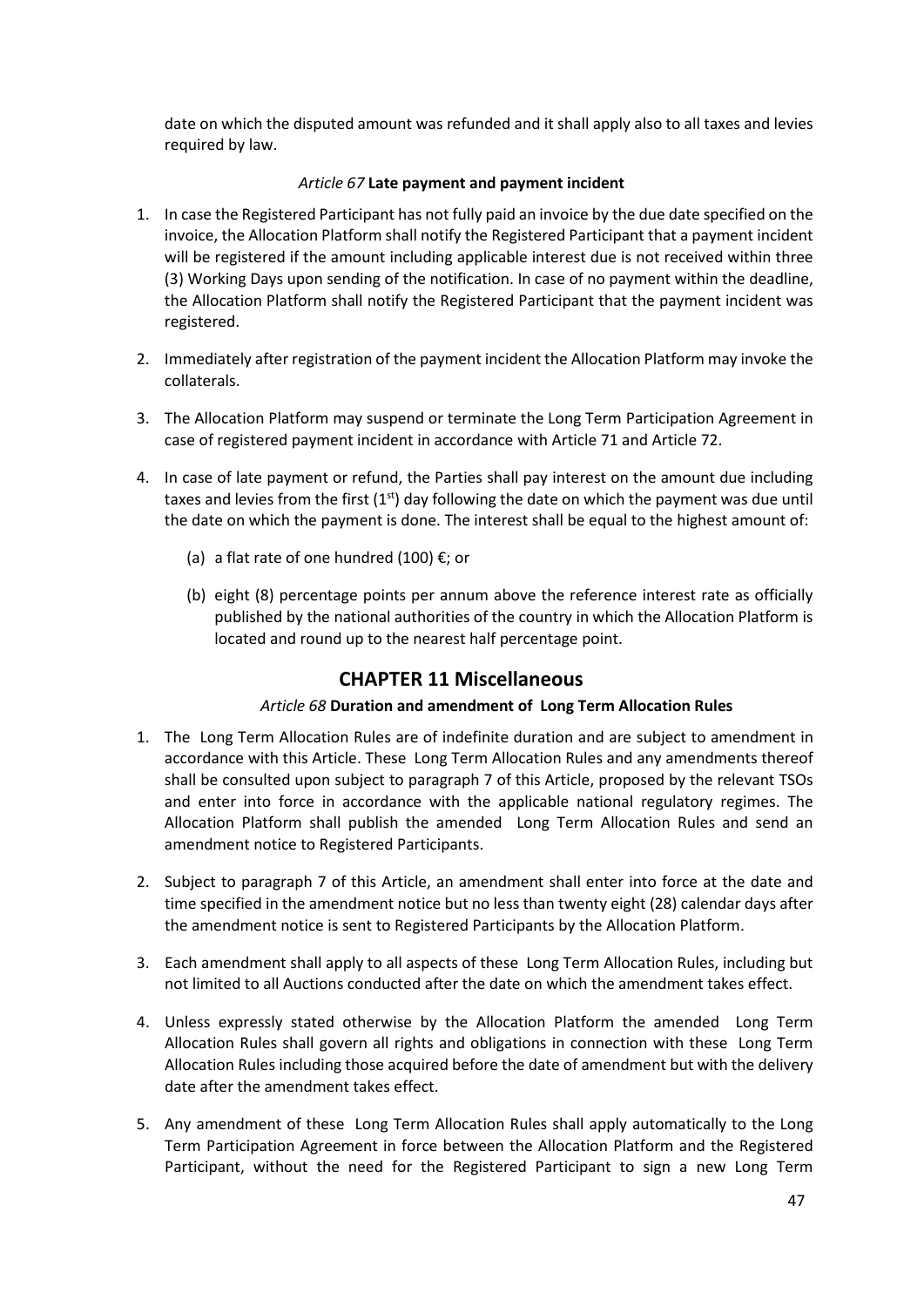<span id="page-46-0"></span>date on which the disputed amount was refunded and it shall apply also to all taxes and levies required by law.

#### *Article 67* **Late payment and payment incident**

- 1. In case the Registered Participant has not fully paid an invoice by the due date specified on the invoice, the Allocation Platform shall notify the Registered Participant that a payment incident will be registered if the amount including applicable interest due is not received within three (3) Working Days upon sending of the notification. In case of no payment within the deadline, the Allocation Platform shall notify the Registered Participant that the payment incident was registered.
- 2. Immediately after registration of the payment incident the Allocation Platform may invoke the collaterals.
- 3. The Allocation Platform may suspend or terminate the Long Term Participation Agreement in case of registered payment incident in accordance with Article 71 and Article 72.
- <span id="page-46-1"></span>4. In case of late payment or refund, the Parties shall pay interest on the amount due including taxes and levies from the first  $(1<sup>st</sup>)$  day following the date on which the payment was due until the date on which the payment is done. The interest shall be equal to the highest amount of:
	- (a) a flat rate of one hundred (100)  $\varepsilon$ ; or
	- (b) eight (8) percentage points per annum above the reference interest rate as officially published by the national authorities of the country in which the Allocation Platform is located and round up to the nearest half percentage point.

# **CHAPTER 11 Miscellaneous**

# *Article 68* **Duration and amendment of Long Term Allocation Rules**

- <span id="page-46-2"></span>1. The Long Term Allocation Rules are of indefinite duration and are subject to amendment in accordance with this Article. These Long Term Allocation Rules and any amendments thereof shall be consulted upon subject to paragraph 7 of this Article, proposed by the relevant TSOs and enter into force in accordance with the applicable national regulatory regimes. The Allocation Platform shall publish the amended Long Term Allocation Rules and send an amendment notice to Registered Participants.
- 2. Subject to paragraph 7 of this Article, an amendment shall enter into force at the date and time specified in the amendment notice but no less than twenty eight (28) calendar days after the amendment notice is sent to Registered Participants by the Allocation Platform.
- 3. Each amendment shall apply to all aspects of these Long Term Allocation Rules, including but not limited to all Auctions conducted after the date on which the amendment takes effect.
- 4. Unless expressly stated otherwise by the Allocation Platform the amended Long Term Allocation Rules shall govern all rights and obligations in connection with these Long Term Allocation Rules including those acquired before the date of amendment but with the delivery date after the amendment takes effect.
- 5. Any amendment of these Long Term Allocation Rules shall apply automatically to the Long Term Participation Agreement in force between the Allocation Platform and the Registered Participant, without the need for the Registered Participant to sign a new Long Term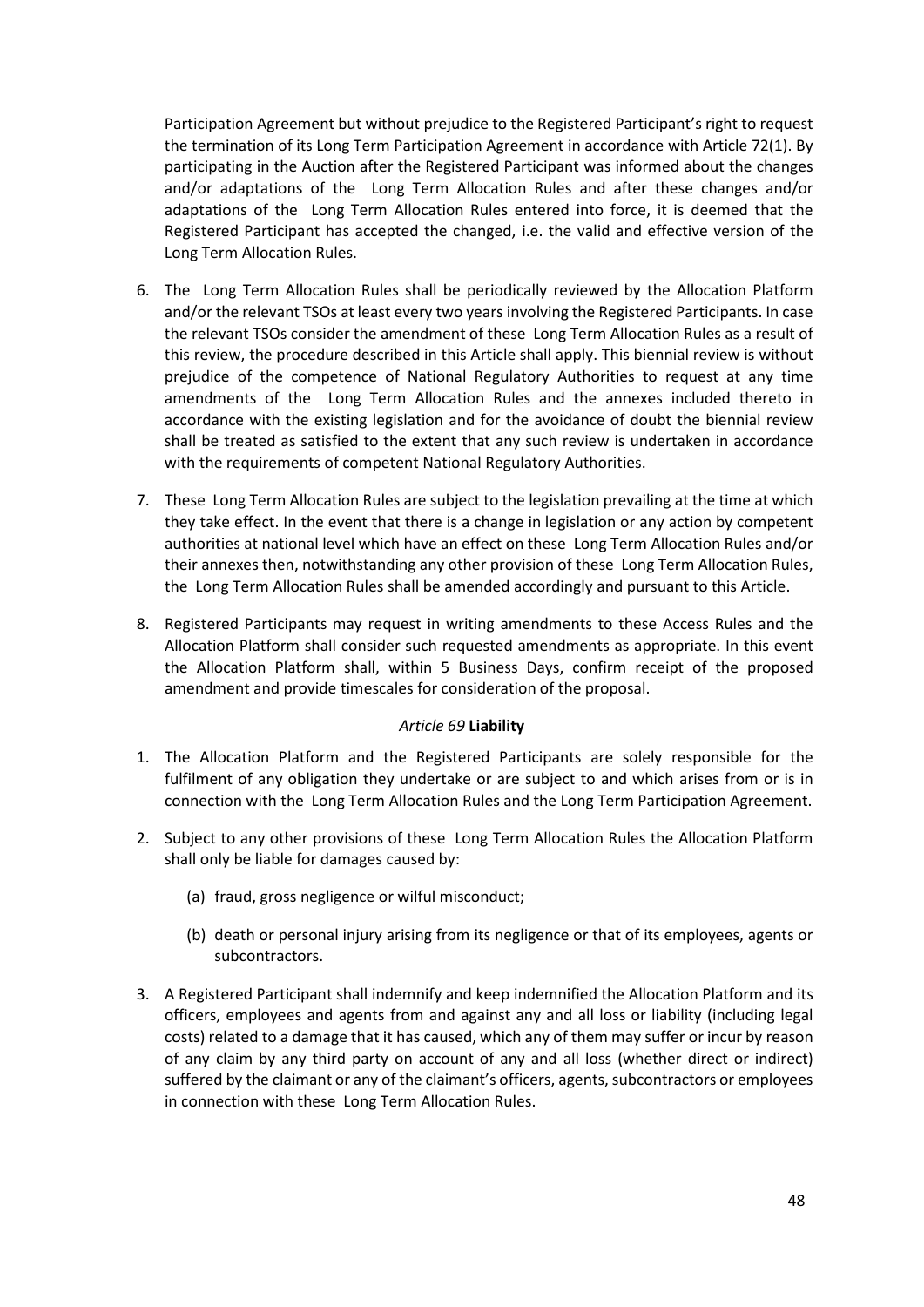Participation Agreement but without prejudice to the Registered Participant's right to request the termination of its Long Term Participation Agreement in accordance with Article 72(1). By participating in the Auction after the Registered Participant was informed about the changes and/or adaptations of the Long Term Allocation Rules and after these changes and/or adaptations of the Long Term Allocation Rules entered into force, it is deemed that the Registered Participant has accepted the changed, i.e. the valid and effective version of the Long Term Allocation Rules.

- 6. The Long Term Allocation Rules shall be periodically reviewed by the Allocation Platform and/or the relevant TSOs at least every two years involving the Registered Participants. In case the relevant TSOs consider the amendment of these Long Term Allocation Rules as a result of this review, the procedure described in this Article shall apply. This biennial review is without prejudice of the competence of National Regulatory Authorities to request at any time amendments of the Long Term Allocation Rules and the annexes included thereto in accordance with the existing legislation and for the avoidance of doubt the biennial review shall be treated as satisfied to the extent that any such review is undertaken in accordance with the requirements of competent National Regulatory Authorities.
- 7. These Long Term Allocation Rules are subject to the legislation prevailing at the time at which they take effect. In the event that there is a change in legislation or any action by competent authorities at national level which have an effect on these Long Term Allocation Rules and/or their annexes then, notwithstanding any other provision of these Long Term Allocation Rules, the Long Term Allocation Rules shall be amended accordingly and pursuant to this Article.
- <span id="page-47-0"></span>8. Registered Participants may request in writing amendments to these Access Rules and the Allocation Platform shall consider such requested amendments as appropriate. In this event the Allocation Platform shall, within 5 Business Days, confirm receipt of the proposed amendment and provide timescales for consideration of the proposal.

#### *Article 69* **Liability**

- 1. The Allocation Platform and the Registered Participants are solely responsible for the fulfilment of any obligation they undertake or are subject to and which arises from or is in connection with the Long Term Allocation Rules and the Long Term Participation Agreement.
- 2. Subject to any other provisions of these Long Term Allocation Rules the Allocation Platform shall only be liable for damages caused by:
	- (a) fraud, gross negligence or wilful misconduct;
	- (b) death or personal injury arising from its negligence or that of its employees, agents or subcontractors.
- 3. A Registered Participant shall indemnify and keep indemnified the Allocation Platform and its officers, employees and agents from and against any and all loss or liability (including legal costs) related to a damage that it has caused, which any of them may suffer or incur by reason of any claim by any third party on account of any and all loss (whether direct or indirect) suffered by the claimant or any of the claimant's officers, agents, subcontractors or employees in connection with these Long Term Allocation Rules.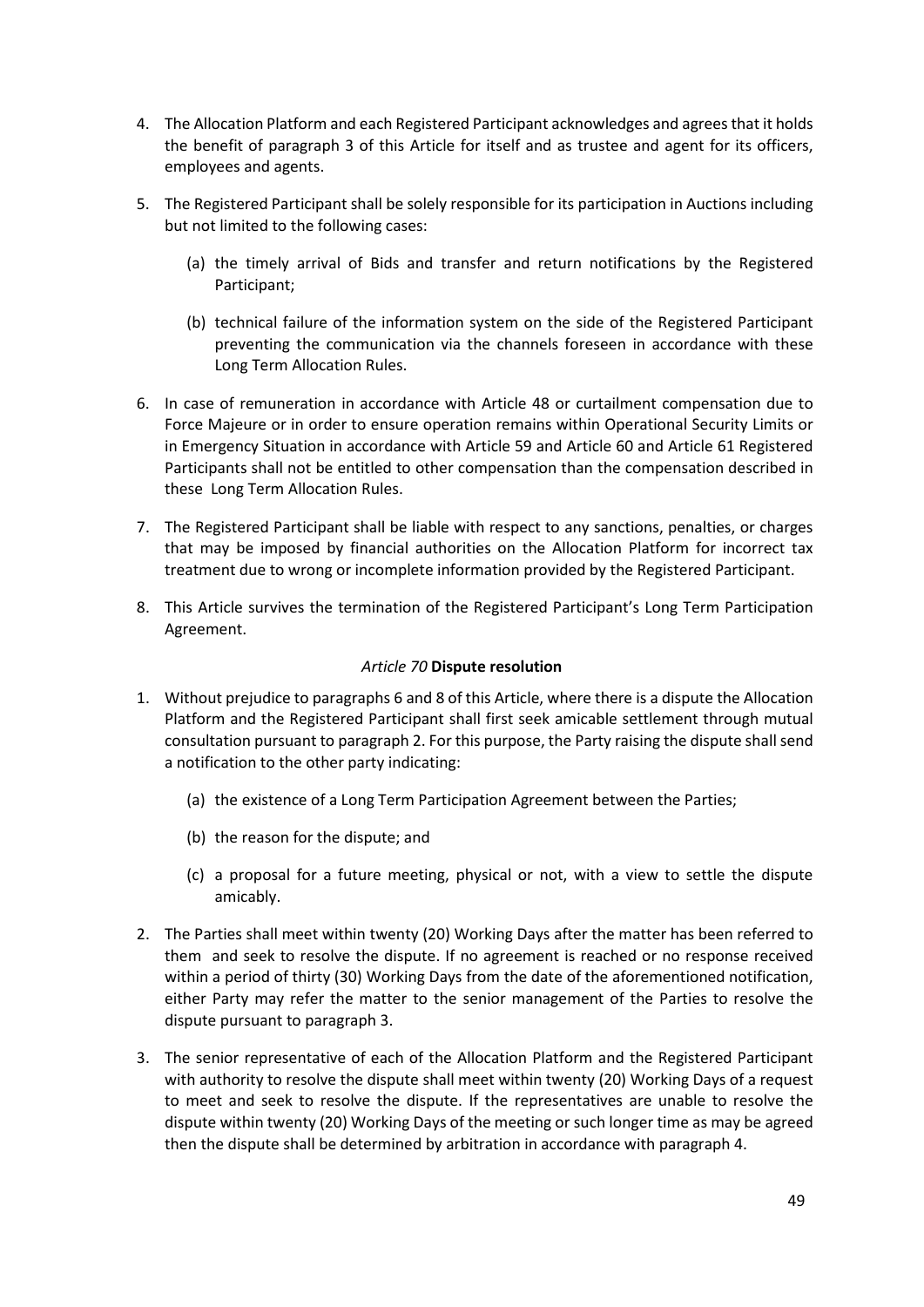- 4. The Allocation Platform and each Registered Participant acknowledges and agrees that it holds the benefit of paragraph 3 of this Article for itself and as trustee and agent for its officers, employees and agents.
- 5. The Registered Participant shall be solely responsible for its participation in Auctions including but not limited to the following cases:
	- (a) the timely arrival of Bids and transfer and return notifications by the Registered Participant;
	- (b) technical failure of the information system on the side of the Registered Participant preventing the communication via the channels foreseen in accordance with these Long Term Allocation Rules.
- 6. In case of remuneration in accordance with Article 48 or curtailment compensation due to Force Majeure or in order to ensure operation remains within Operational Security Limits or in Emergency Situation in accordance with Article 59 and Article 60 and Article 61 Registered Participants shall not be entitled to other compensation than the compensation described in these Long Term Allocation Rules.
- 7. The Registered Participant shall be liable with respect to any sanctions, penalties, or charges that may be imposed by financial authorities on the Allocation Platform for incorrect tax treatment due to wrong or incomplete information provided by the Registered Participant.
- <span id="page-48-0"></span>8. This Article survives the termination of the Registered Participant's Long Term Participation Agreement.

# *Article 70* **Dispute resolution**

- 1. Without prejudice to paragraphs 6 and 8 of this Article, where there is a dispute the Allocation Platform and the Registered Participant shall first seek amicable settlement through mutual consultation pursuant to paragraph 2. For this purpose, the Party raising the dispute shall send a notification to the other party indicating:
	- (a) the existence of a Long Term Participation Agreement between the Parties;
	- (b) the reason for the dispute; and
	- (c) a proposal for a future meeting, physical or not, with a view to settle the dispute amicably.
- 2. The Parties shall meet within twenty (20) Working Days after the matter has been referred to them and seek to resolve the dispute. If no agreement is reached or no response received within a period of thirty (30) Working Days from the date of the aforementioned notification, either Party may refer the matter to the senior management of the Parties to resolve the dispute pursuant to paragraph 3.
- 3. The senior representative of each of the Allocation Platform and the Registered Participant with authority to resolve the dispute shall meet within twenty (20) Working Days of a request to meet and seek to resolve the dispute. If the representatives are unable to resolve the dispute within twenty (20) Working Days of the meeting or such longer time as may be agreed then the dispute shall be determined by arbitration in accordance with paragraph 4.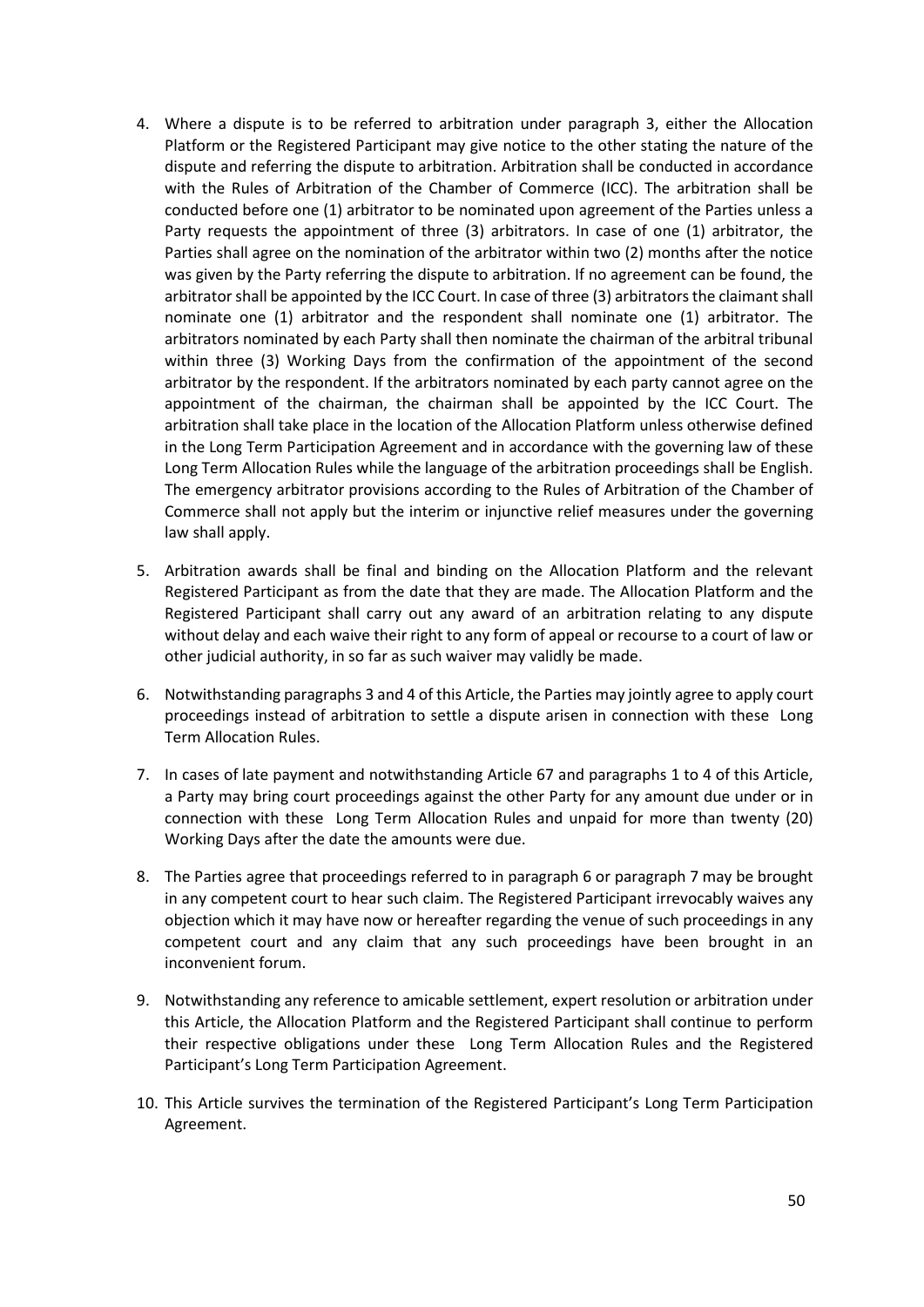- 4. Where a dispute is to be referred to arbitration under paragraph 3, either the Allocation Platform or the Registered Participant may give notice to the other stating the nature of the dispute and referring the dispute to arbitration. Arbitration shall be conducted in accordance with the Rules of Arbitration of the Chamber of Commerce (ICC). The arbitration shall be conducted before one (1) arbitrator to be nominated upon agreement of the Parties unless a Party requests the appointment of three (3) arbitrators. In case of one (1) arbitrator, the Parties shall agree on the nomination of the arbitrator within two (2) months after the notice was given by the Party referring the dispute to arbitration. If no agreement can be found, the arbitrator shall be appointed by the ICC Court. In case of three (3) arbitrators the claimant shall nominate one (1) arbitrator and the respondent shall nominate one (1) arbitrator. The arbitrators nominated by each Party shall then nominate the chairman of the arbitral tribunal within three (3) Working Days from the confirmation of the appointment of the second arbitrator by the respondent. If the arbitrators nominated by each party cannot agree on the appointment of the chairman, the chairman shall be appointed by the ICC Court. The arbitration shall take place in the location of the Allocation Platform unless otherwise defined in the Long Term Participation Agreement and in accordance with the governing law of these Long Term Allocation Rules while the language of the arbitration proceedings shall be English. The emergency arbitrator provisions according to the Rules of Arbitration of the Chamber of Commerce shall not apply but the interim or injunctive relief measures under the governing law shall apply.
- 5. Arbitration awards shall be final and binding on the Allocation Platform and the relevant Registered Participant as from the date that they are made. The Allocation Platform and the Registered Participant shall carry out any award of an arbitration relating to any dispute without delay and each waive their right to any form of appeal or recourse to a court of law or other judicial authority, in so far as such waiver may validly be made.
- 6. Notwithstanding paragraphs 3 and 4 of this Article, the Parties may jointly agree to apply court proceedings instead of arbitration to settle a dispute arisen in connection with these Long Term Allocation Rules.
- 7. In cases of late payment and notwithstanding Article 67 and paragraphs 1 to 4 of this Article, a Party may bring court proceedings against the other Party for any amount due under or in connection with these Long Term Allocation Rules and unpaid for more than twenty (20) Working Days after the date the amounts were due.
- 8. The Parties agree that proceedings referred to in paragraph 6 or paragraph 7 may be brought in any competent court to hear such claim. The Registered Participant irrevocably waives any objection which it may have now or hereafter regarding the venue of such proceedings in any competent court and any claim that any such proceedings have been brought in an inconvenient forum.
- 9. Notwithstanding any reference to amicable settlement, expert resolution or arbitration under this Article, the Allocation Platform and the Registered Participant shall continue to perform their respective obligations under these Long Term Allocation Rules and the Registered Participant's Long Term Participation Agreement.
- 10. This Article survives the termination of the Registered Participant's Long Term Participation Agreement.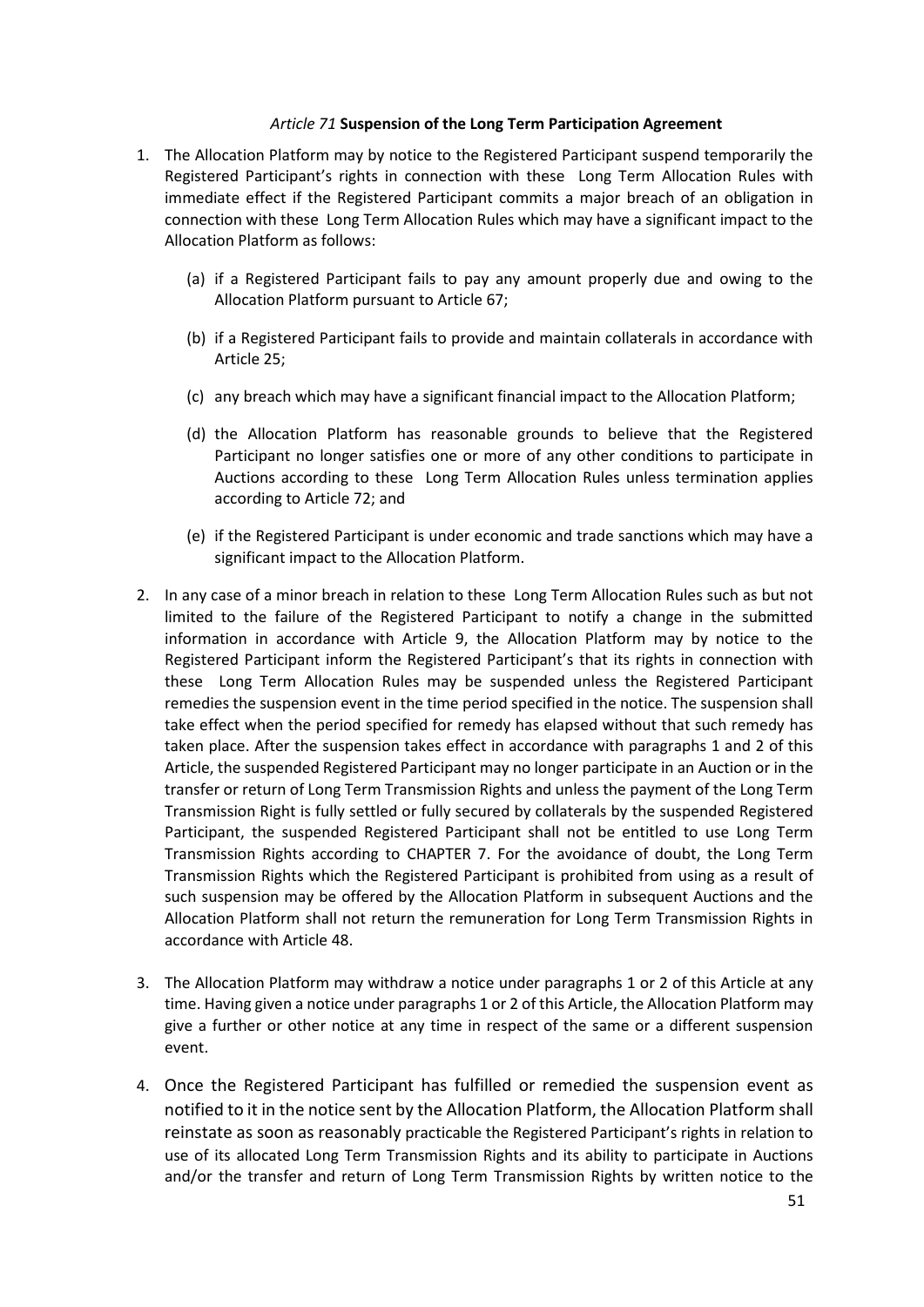#### *Article 71* **Suspension of the Long Term Participation Agreement**

- <span id="page-50-0"></span>1. The Allocation Platform may by notice to the Registered Participant suspend temporarily the Registered Participant's rights in connection with these Long Term Allocation Rules with immediate effect if the Registered Participant commits a major breach of an obligation in connection with these Long Term Allocation Rules which may have a significant impact to the Allocation Platform as follows:
	- (a) if a Registered Participant fails to pay any amount properly due and owing to the Allocation Platform pursuant to Article 67;
	- (b) if a Registered Participant fails to provide and maintain collaterals in accordance with Article 25;
	- (c) any breach which may have a significant financial impact to the Allocation Platform;
	- (d) the Allocation Platform has reasonable grounds to believe that the Registered Participant no longer satisfies one or more of any other conditions to participate in Auctions according to these Long Term Allocation Rules unless termination applies according to Article 72; and
	- (e) if the Registered Participant is under economic and trade sanctions which may have a significant impact to the Allocation Platform.
- 2. In any case of a minor breach in relation to these Long Term Allocation Rules such as but not limited to the failure of the Registered Participant to notify a change in the submitted information in accordance with Article 9, the Allocation Platform may by notice to the Registered Participant inform the Registered Participant's that its rights in connection with these Long Term Allocation Rules may be suspended unless the Registered Participant remedies the suspension event in the time period specified in the notice. The suspension shall take effect when the period specified for remedy has elapsed without that such remedy has taken place. After the suspension takes effect in accordance with paragraphs 1 and 2 of this Article, the suspended Registered Participant may no longer participate in an Auction or in the transfer or return of Long Term Transmission Rights and unless the payment of the Long Term Transmission Right is fully settled or fully secured by collaterals by the suspended Registered Participant, the suspended Registered Participant shall not be entitled to use Long Term Transmission Rights according to CHAPTER 7. For the avoidance of doubt, the Long Term Transmission Rights which the Registered Participant is prohibited from using as a result of such suspension may be offered by the Allocation Platform in subsequent Auctions and the Allocation Platform shall not return the remuneration for Long Term Transmission Rights in accordance with Article 48.
- 3. The Allocation Platform may withdraw a notice under paragraphs 1 or 2 of this Article at any time. Having given a notice under paragraphs 1 or 2 of this Article, the Allocation Platform may give a further or other notice at any time in respect of the same or a different suspension event.
- 4. Once the Registered Participant has fulfilled or remedied the suspension event as notified to it in the notice sent by the Allocation Platform, the Allocation Platform shall reinstate as soon as reasonably practicable the Registered Participant's rights in relation to use of its allocated Long Term Transmission Rights and its ability to participate in Auctions and/or the transfer and return of Long Term Transmission Rights by written notice to the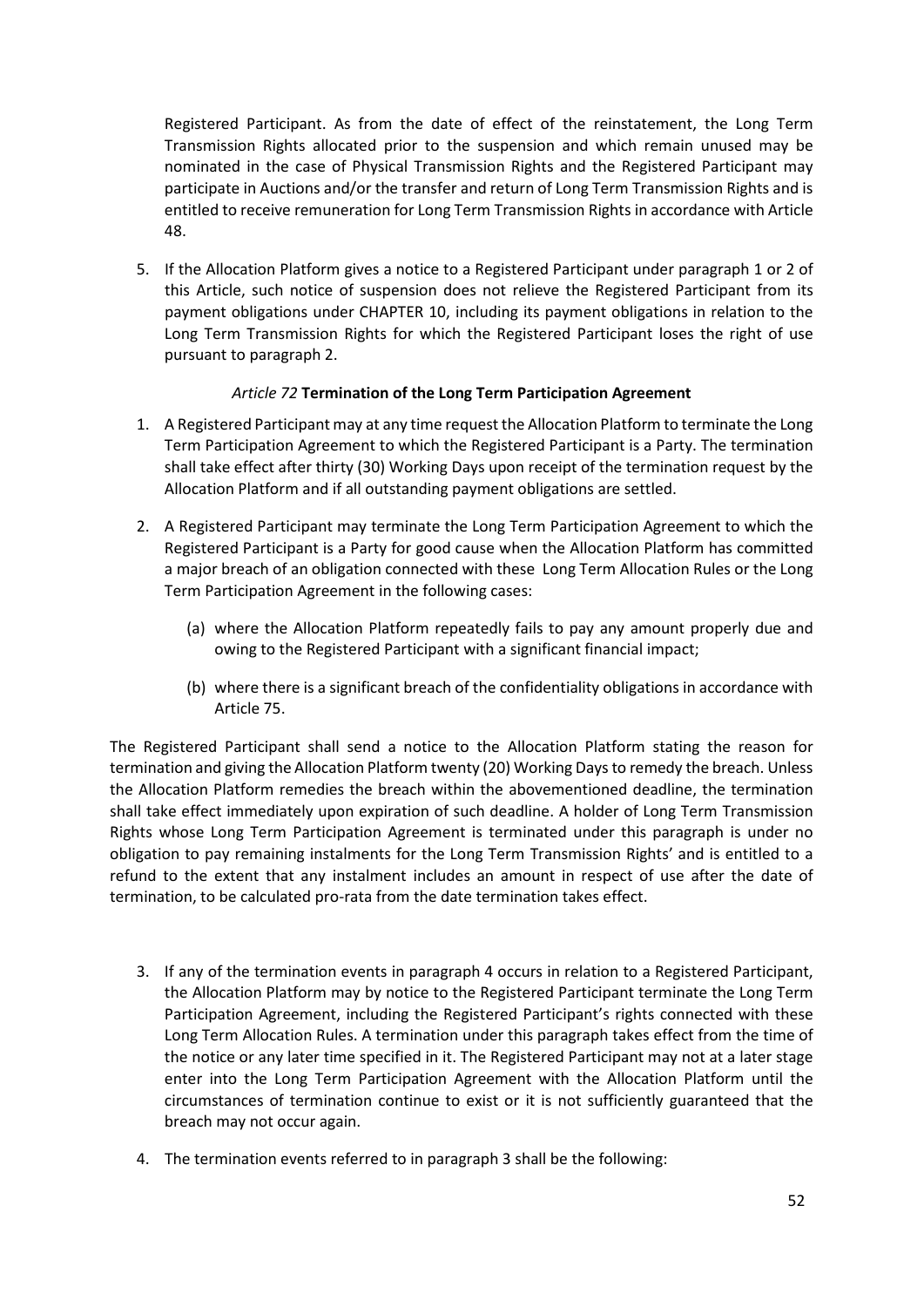Registered Participant. As from the date of effect of the reinstatement, the Long Term Transmission Rights allocated prior to the suspension and which remain unused may be nominated in the case of Physical Transmission Rights and the Registered Participant may participate in Auctions and/or the transfer and return of Long Term Transmission Rights and is entitled to receive remuneration for Long Term Transmission Rights in accordance with Article 48.

<span id="page-51-0"></span>5. If the Allocation Platform gives a notice to a Registered Participant under paragraph 1 or 2 of this Article, such notice of suspension does not relieve the Registered Participant from its payment obligations under CHAPTER 10, including its payment obligations in relation to the Long Term Transmission Rights for which the Registered Participant loses the right of use pursuant to paragraph 2.

### *Article 72* **Termination of the Long Term Participation Agreement**

- 1. A Registered Participant may at any time request the Allocation Platform to terminate the Long Term Participation Agreement to which the Registered Participant is a Party. The termination shall take effect after thirty (30) Working Days upon receipt of the termination request by the Allocation Platform and if all outstanding payment obligations are settled.
- 2. A Registered Participant may terminate the Long Term Participation Agreement to which the Registered Participant is a Party for good cause when the Allocation Platform has committed a major breach of an obligation connected with these Long Term Allocation Rules or the Long Term Participation Agreement in the following cases:
	- (a) where the Allocation Platform repeatedly fails to pay any amount properly due and owing to the Registered Participant with a significant financial impact;
	- (b) where there is a significant breach of the confidentiality obligations in accordance with Article 75.

The Registered Participant shall send a notice to the Allocation Platform stating the reason for termination and giving the Allocation Platform twenty (20) Working Days to remedy the breach. Unless the Allocation Platform remedies the breach within the abovementioned deadline, the termination shall take effect immediately upon expiration of such deadline. A holder of Long Term Transmission Rights whose Long Term Participation Agreement is terminated under this paragraph is under no obligation to pay remaining instalments for the Long Term Transmission Rights' and is entitled to a refund to the extent that any instalment includes an amount in respect of use after the date of termination, to be calculated pro-rata from the date termination takes effect.

- 3. If any of the termination events in paragraph 4 occurs in relation to a Registered Participant, the Allocation Platform may by notice to the Registered Participant terminate the Long Term Participation Agreement, including the Registered Participant's rights connected with these Long Term Allocation Rules. A termination under this paragraph takes effect from the time of the notice or any later time specified in it. The Registered Participant may not at a later stage enter into the Long Term Participation Agreement with the Allocation Platform until the circumstances of termination continue to exist or it is not sufficiently guaranteed that the breach may not occur again.
- 4. The termination events referred to in paragraph 3 shall be the following: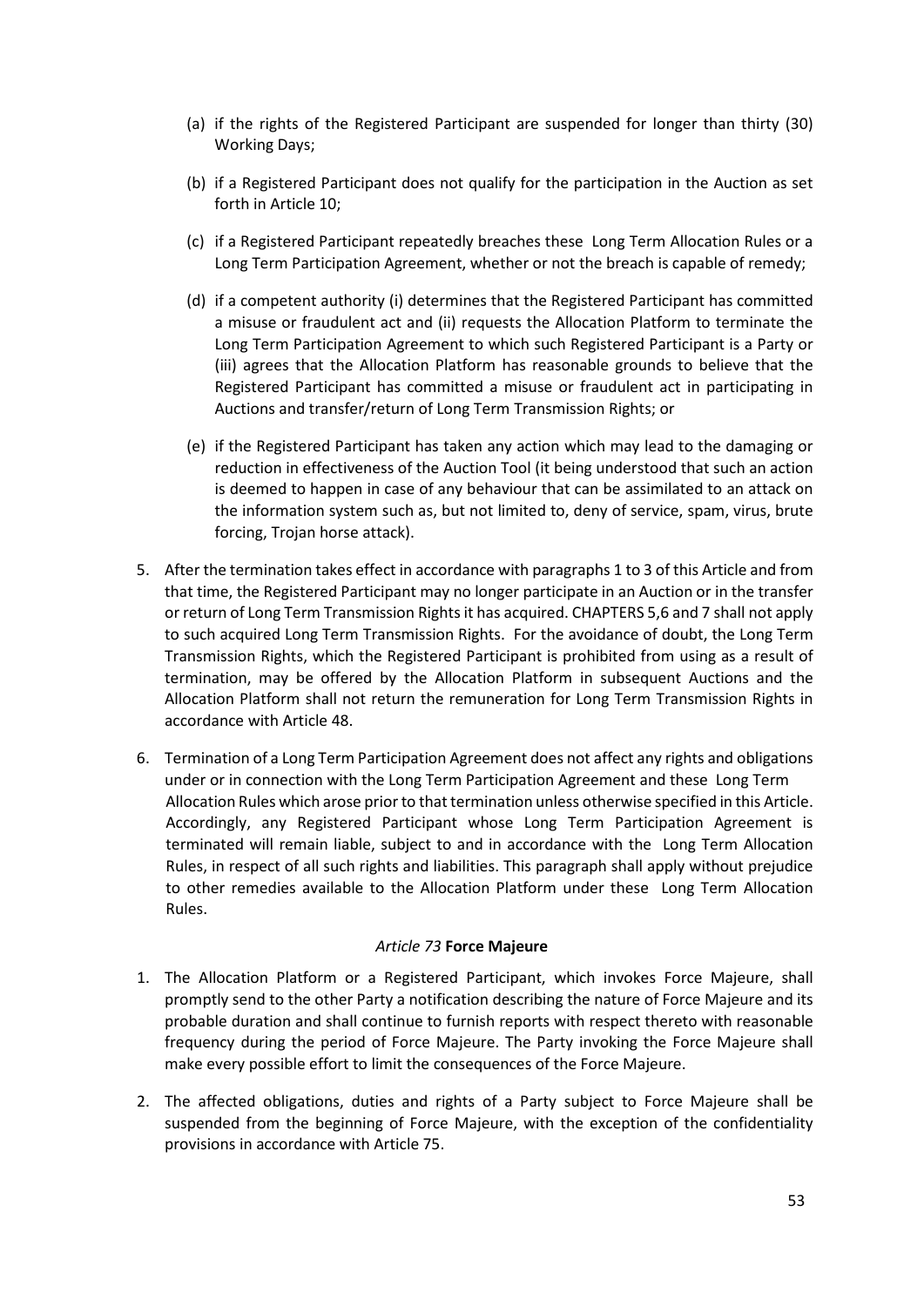- (a) if the rights of the Registered Participant are suspended for longer than thirty (30) Working Days;
- (b) if a Registered Participant does not qualify for the participation in the Auction as set forth in Article 10;
- (c) if a Registered Participant repeatedly breaches these Long Term Allocation Rules or a Long Term Participation Agreement, whether or not the breach is capable of remedy;
- (d) if a competent authority (i) determines that the Registered Participant has committed a misuse or fraudulent act and (ii) requests the Allocation Platform to terminate the Long Term Participation Agreement to which such Registered Participant is a Party or (iii) agrees that the Allocation Platform has reasonable grounds to believe that the Registered Participant has committed a misuse or fraudulent act in participating in Auctions and transfer/return of Long Term Transmission Rights; or
- (e) if the Registered Participant has taken any action which may lead to the damaging or reduction in effectiveness of the Auction Tool (it being understood that such an action is deemed to happen in case of any behaviour that can be assimilated to an attack on the information system such as, but not limited to, deny of service, spam, virus, brute forcing, Trojan horse attack).
- 5. After the termination takes effect in accordance with paragraphs 1 to 3 of this Article and from that time, the Registered Participant may no longer participate in an Auction or in the transfer or return of Long Term Transmission Rights it has acquired. CHAPTERS 5,6 and 7 shall not apply to such acquired Long Term Transmission Rights. For the avoidance of doubt, the Long Term Transmission Rights, which the Registered Participant is prohibited from using as a result of termination, may be offered by the Allocation Platform in subsequent Auctions and the Allocation Platform shall not return the remuneration for Long Term Transmission Rights in accordance with Article 48.
- <span id="page-52-0"></span>6. Termination of a Long Term Participation Agreement does not affect any rights and obligations under or in connection with the Long Term Participation Agreement and these Long Term Allocation Rules which arose prior to that termination unless otherwise specified in this Article. Accordingly, any Registered Participant whose Long Term Participation Agreement is terminated will remain liable, subject to and in accordance with the Long Term Allocation Rules, in respect of all such rights and liabilities. This paragraph shall apply without prejudice to other remedies available to the Allocation Platform under these Long Term Allocation Rules.

#### *Article 73* **Force Majeure**

- 1. The Allocation Platform or a Registered Participant, which invokes Force Majeure, shall promptly send to the other Party a notification describing the nature of Force Majeure and its probable duration and shall continue to furnish reports with respect thereto with reasonable frequency during the period of Force Majeure. The Party invoking the Force Majeure shall make every possible effort to limit the consequences of the Force Majeure.
- 2. The affected obligations, duties and rights of a Party subject to Force Majeure shall be suspended from the beginning of Force Majeure, with the exception of the confidentiality provisions in accordance with Article 75.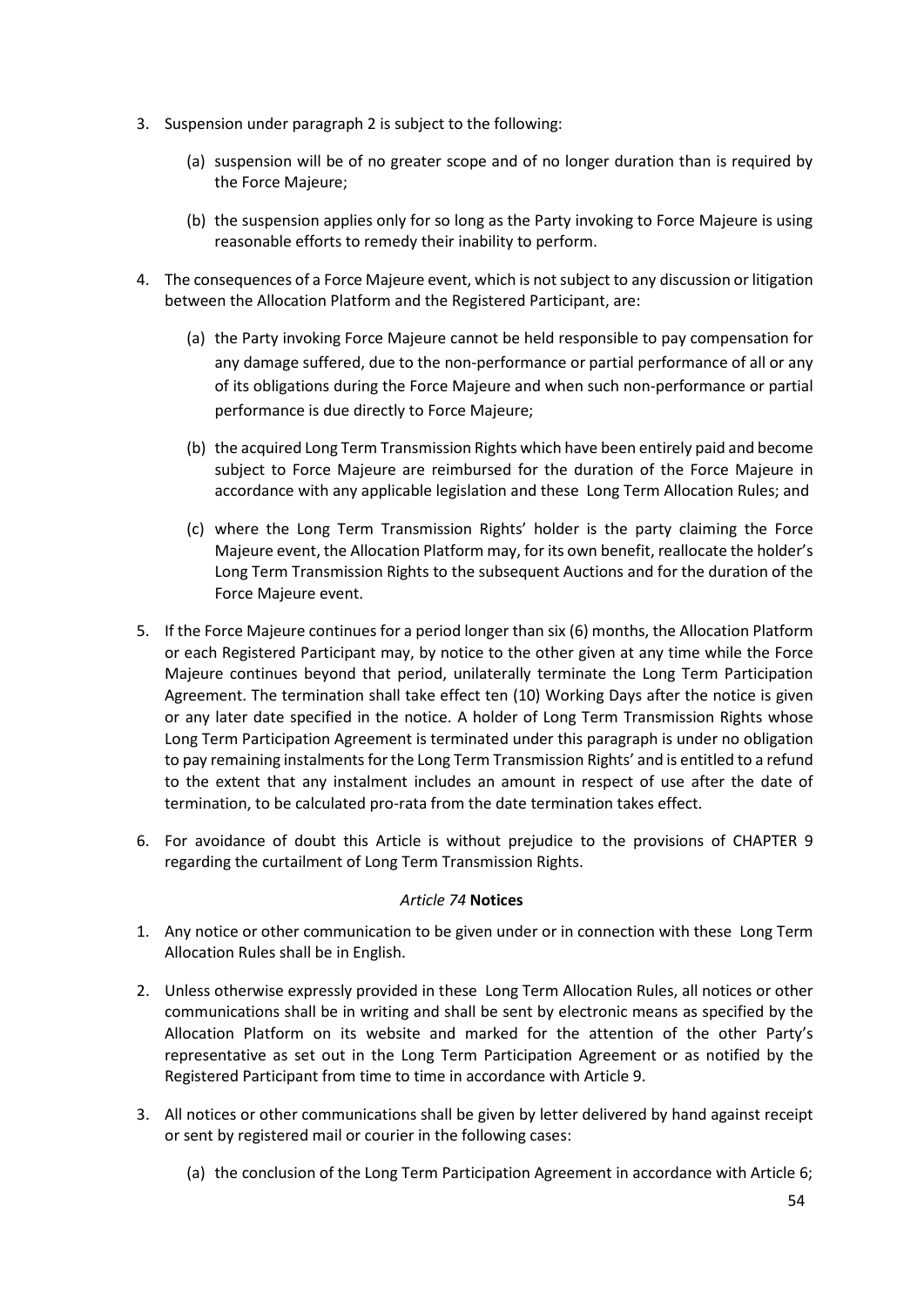- 3. Suspension under paragraph 2 is subject to the following:
	- (a) suspension will be of no greater scope and of no longer duration than is required by the Force Majeure;
	- (b) the suspension applies only for so long as the Party invoking to Force Majeure is using reasonable efforts to remedy their inability to perform.
- 4. The consequences of a Force Majeure event, which is not subject to any discussion or litigation between the Allocation Platform and the Registered Participant, are:
	- (a) the Party invoking Force Majeure cannot be held responsible to pay compensation for any damage suffered, due to the non-performance or partial performance of all or any of its obligations during the Force Majeure and when such non-performance or partial performance is due directly to Force Majeure;
	- (b) the acquired Long Term Transmission Rights which have been entirely paid and become subject to Force Majeure are reimbursed for the duration of the Force Majeure in accordance with any applicable legislation and these Long Term Allocation Rules; and
	- (c) where the Long Term Transmission Rights' holder is the party claiming the Force Majeure event, the Allocation Platform may, for its own benefit, reallocate the holder's Long Term Transmission Rights to the subsequent Auctions and for the duration of the Force Majeure event.
- 5. If the Force Majeure continues for a period longer than six (6) months, the Allocation Platform or each Registered Participant may, by notice to the other given at any time while the Force Majeure continues beyond that period, unilaterally terminate the Long Term Participation Agreement. The termination shall take effect ten (10) Working Days after the notice is given or any later date specified in the notice. A holder of Long Term Transmission Rights whose Long Term Participation Agreement is terminated under this paragraph is under no obligation to pay remaining instalments for the Long Term Transmission Rights' and is entitled to a refund to the extent that any instalment includes an amount in respect of use after the date of termination, to be calculated pro-rata from the date termination takes effect.
- <span id="page-53-0"></span>6. For avoidance of doubt this Article is without prejudice to the provisions of CHAPTER 9 regarding the curtailment of Long Term Transmission Rights.

#### *Article 74* **Notices**

- 1. Any notice or other communication to be given under or in connection with these Long Term Allocation Rules shall be in English.
- 2. Unless otherwise expressly provided in these Long Term Allocation Rules, all notices or other communications shall be in writing and shall be sent by electronic means as specified by the Allocation Platform on its website and marked for the attention of the other Party's representative as set out in the Long Term Participation Agreement or as notified by the Registered Participant from time to time in accordance with Article 9.
- 3. All notices or other communications shall be given by letter delivered by hand against receipt or sent by registered mail or courier in the following cases:
	- (a) the conclusion of the Long Term Participation Agreement in accordance with Article 6;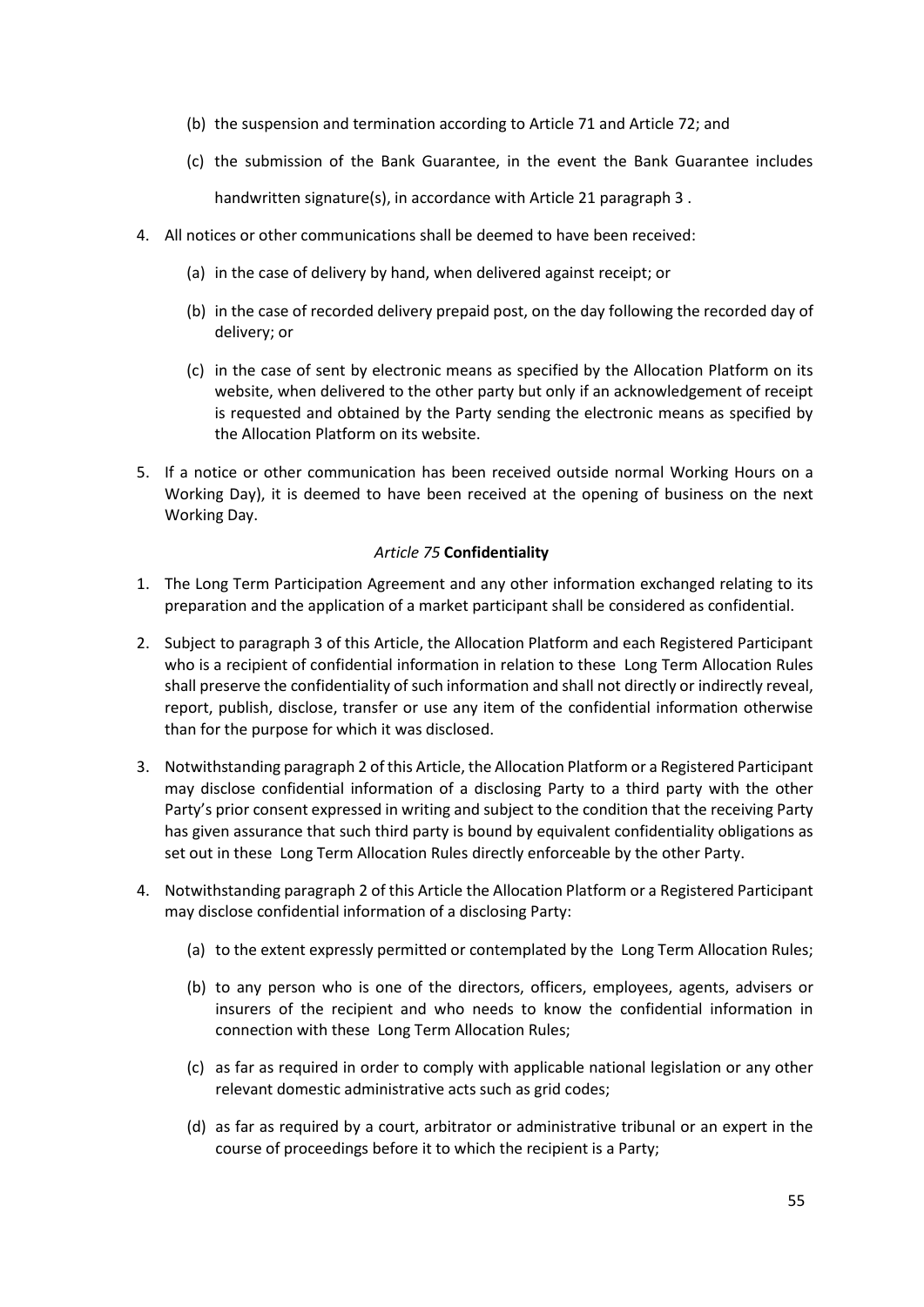- (b) the suspension and termination according to Article 71 and Article 72; and
- (c) the submission of the Bank Guarantee, in the event the Bank Guarantee includes handwritten signature(s), in accordance with Article 21 paragraph 3 .
- 4. All notices or other communications shall be deemed to have been received:
	- (a) in the case of delivery by hand, when delivered against receipt; or
	- (b) in the case of recorded delivery prepaid post, on the day following the recorded day of delivery; or
	- (c) in the case of sent by electronic means as specified by the Allocation Platform on its website, when delivered to the other party but only if an acknowledgement of receipt is requested and obtained by the Party sending the electronic means as specified by the Allocation Platform on its website.
- <span id="page-54-0"></span>5. If a notice or other communication has been received outside normal Working Hours on a Working Day), it is deemed to have been received at the opening of business on the next Working Day.

### *Article 75* **Confidentiality**

- 1. The Long Term Participation Agreement and any other information exchanged relating to its preparation and the application of a market participant shall be considered as confidential.
- 2. Subject to paragraph 3 of this Article, the Allocation Platform and each Registered Participant who is a recipient of confidential information in relation to these Long Term Allocation Rules shall preserve the confidentiality of such information and shall not directly or indirectly reveal, report, publish, disclose, transfer or use any item of the confidential information otherwise than for the purpose for which it was disclosed.
- 3. Notwithstanding paragraph 2 of this Article, the Allocation Platform or a Registered Participant may disclose confidential information of a disclosing Party to a third party with the other Party's prior consent expressed in writing and subject to the condition that the receiving Party has given assurance that such third party is bound by equivalent confidentiality obligations as set out in these Long Term Allocation Rules directly enforceable by the other Party.
- 4. Notwithstanding paragraph 2 of this Article the Allocation Platform or a Registered Participant may disclose confidential information of a disclosing Party:
	- (a) to the extent expressly permitted or contemplated by the Long Term Allocation Rules;
	- (b) to any person who is one of the directors, officers, employees, agents, advisers or insurers of the recipient and who needs to know the confidential information in connection with these Long Term Allocation Rules;
	- (c) as far as required in order to comply with applicable national legislation or any other relevant domestic administrative acts such as grid codes;
	- (d) as far as required by a court, arbitrator or administrative tribunal or an expert in the course of proceedings before it to which the recipient is a Party;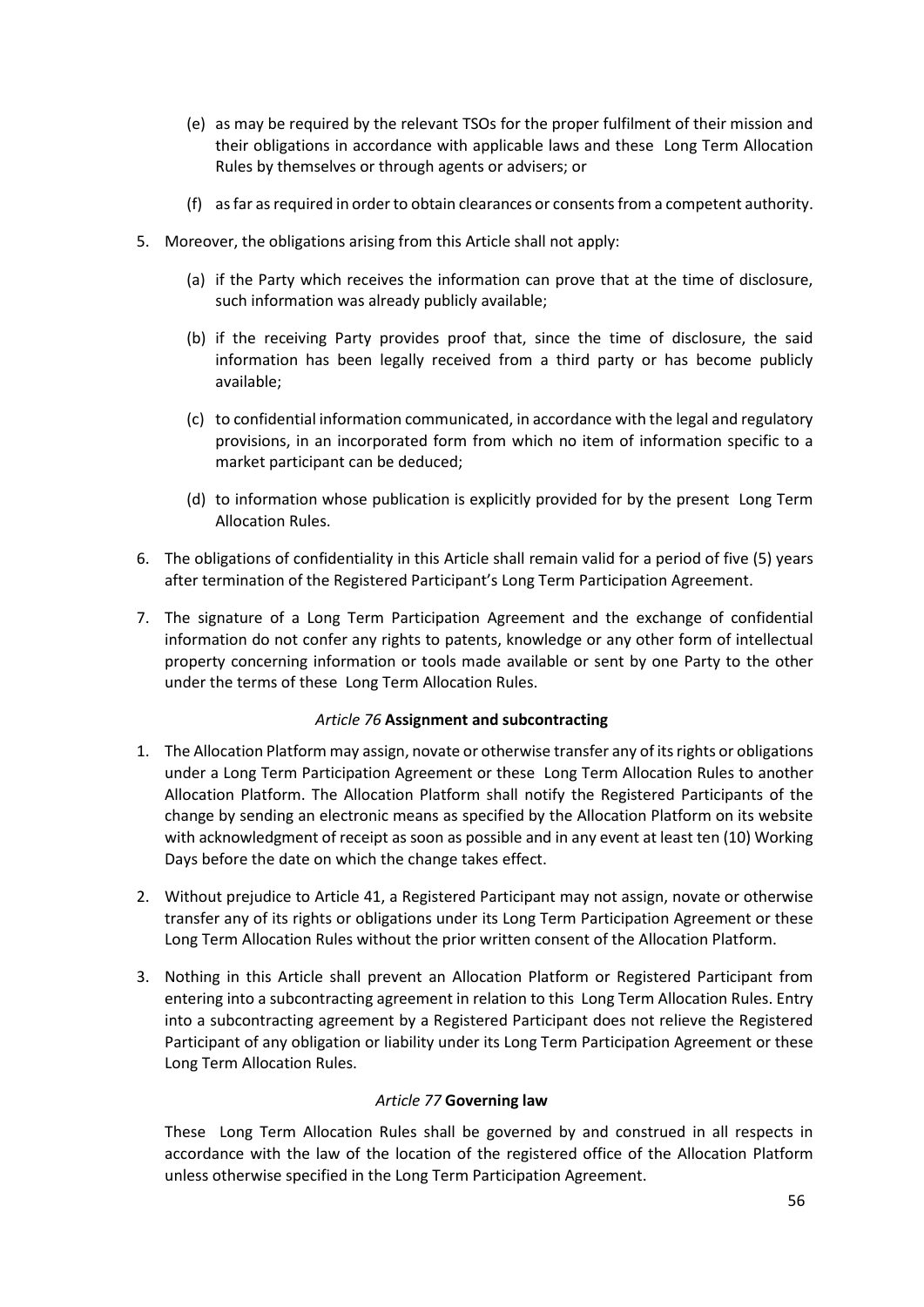- (e) as may be required by the relevant TSOs for the proper fulfilment of their mission and their obligations in accordance with applicable laws and these Long Term Allocation Rules by themselves or through agents or advisers; or
- (f) as far as required in order to obtain clearances or consents from a competent authority.
- 5. Moreover, the obligations arising from this Article shall not apply:
	- (a) if the Party which receives the information can prove that at the time of disclosure, such information was already publicly available;
	- (b) if the receiving Party provides proof that, since the time of disclosure, the said information has been legally received from a third party or has become publicly available;
	- (c) to confidential information communicated, in accordance with the legal and regulatory provisions, in an incorporated form from which no item of information specific to a market participant can be deduced;
	- (d) to information whose publication is explicitly provided for by the present Long Term Allocation Rules.
- 6. The obligations of confidentiality in this Article shall remain valid for a period of five (5) years after termination of the Registered Participant's Long Term Participation Agreement.
- <span id="page-55-0"></span>7. The signature of a Long Term Participation Agreement and the exchange of confidential information do not confer any rights to patents, knowledge or any other form of intellectual property concerning information or tools made available or sent by one Party to the other under the terms of these Long Term Allocation Rules.

#### *Article 76* **Assignment and subcontracting**

- 1. The Allocation Platform may assign, novate or otherwise transfer any of its rights or obligations under a Long Term Participation Agreement or these Long Term Allocation Rules to another Allocation Platform. The Allocation Platform shall notify the Registered Participants of the change by sending an electronic means as specified by the Allocation Platform on its website with acknowledgment of receipt as soon as possible and in any event at least ten (10) Working Days before the date on which the change takes effect.
- 2. Without prejudice to Article 41, a Registered Participant may not assign, novate or otherwise transfer any of its rights or obligations under its Long Term Participation Agreement or these Long Term Allocation Rules without the prior written consent of the Allocation Platform.
- <span id="page-55-1"></span>3. Nothing in this Article shall prevent an Allocation Platform or Registered Participant from entering into a subcontracting agreement in relation to this Long Term Allocation Rules. Entry into a subcontracting agreement by a Registered Participant does not relieve the Registered Participant of any obligation or liability under its Long Term Participation Agreement or these Long Term Allocation Rules.

#### *Article 77* **Governing law**

These Long Term Allocation Rules shall be governed by and construed in all respects in accordance with the law of the location of the registered office of the Allocation Platform unless otherwise specified in the Long Term Participation Agreement.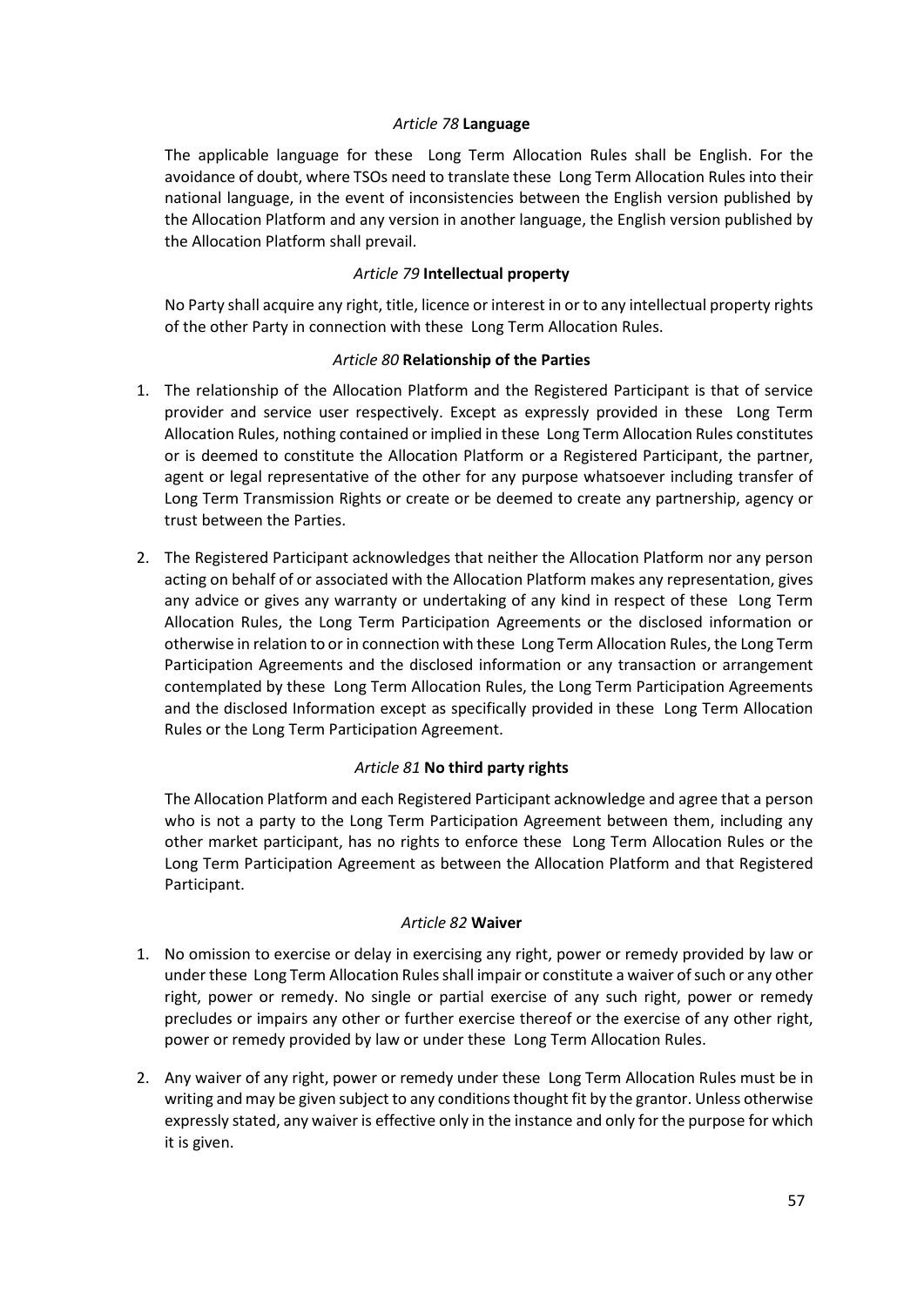## *Article 78* **Language**

<span id="page-56-1"></span><span id="page-56-0"></span>The applicable language for these Long Term Allocation Rules shall be English. For the avoidance of doubt, where TSOs need to translate these Long Term Allocation Rules into their national language, in the event of inconsistencies between the English version published by the Allocation Platform and any version in another language, the English version published by the Allocation Platform shall prevail.

#### *Article 79* **Intellectual property**

<span id="page-56-2"></span>No Party shall acquire any right, title, licence or interest in or to any intellectual property rights of the other Party in connection with these Long Term Allocation Rules.

#### *Article 80* **Relationship of the Parties**

- 1. The relationship of the Allocation Platform and the Registered Participant is that of service provider and service user respectively. Except as expressly provided in these Long Term Allocation Rules, nothing contained or implied in these Long Term Allocation Rules constitutes or is deemed to constitute the Allocation Platform or a Registered Participant, the partner, agent or legal representative of the other for any purpose whatsoever including transfer of Long Term Transmission Rights or create or be deemed to create any partnership, agency or trust between the Parties.
- 2. The Registered Participant acknowledges that neither the Allocation Platform nor any person acting on behalf of or associated with the Allocation Platform makes any representation, gives any advice or gives any warranty or undertaking of any kind in respect of these Long Term Allocation Rules, the Long Term Participation Agreements or the disclosed information or otherwise in relation to or in connection with these Long Term Allocation Rules, the Long Term Participation Agreements and the disclosed information or any transaction or arrangement contemplated by these Long Term Allocation Rules, the Long Term Participation Agreements and the disclosed Information except as specifically provided in these Long Term Allocation Rules or the Long Term Participation Agreement.

# *Article 81* **No third party rights**

<span id="page-56-4"></span><span id="page-56-3"></span>The Allocation Platform and each Registered Participant acknowledge and agree that a person who is not a party to the Long Term Participation Agreement between them, including any other market participant, has no rights to enforce these Long Term Allocation Rules or the Long Term Participation Agreement as between the Allocation Platform and that Registered Participant.

#### *Article 82* **Waiver**

- 1. No omission to exercise or delay in exercising any right, power or remedy provided by law or under these Long Term Allocation Rules shall impair or constitute a waiver of such or any other right, power or remedy. No single or partial exercise of any such right, power or remedy precludes or impairs any other or further exercise thereof or the exercise of any other right, power or remedy provided by law or under these Long Term Allocation Rules.
- 2. Any waiver of any right, power or remedy under these Long Term Allocation Rules must be in writing and may be given subject to any conditions thought fit by the grantor. Unless otherwise expressly stated, any waiver is effective only in the instance and only for the purpose for which it is given.